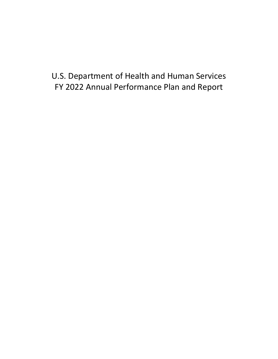# U.S. Department of Health and Human Services FY 2022 Annual Performance Plan and Report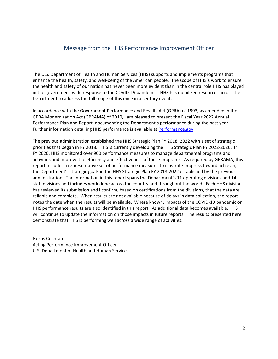### Message from the HHS Performance Improvement Officer

The U.S. Department of Health and Human Services (HHS) supports and implements programs that enhance the health, safety, and well-being of the American people. The scope of HHS's work to ensure the health and safety of our nation has never been more evident than in the central role HHS has played in the government-wide response to the COVID-19 pandemic. HHS has mobilized resources across the Department to address the full scope of this once in a century event.

In accordance with the Government Performance and Results Act (GPRA) of 1993, as amended in the GPRA Modernization Act (GPRAMA) of 2010, I am pleased to present the Fiscal Year 2022 Annual Performance Plan and Report, documenting the Department's performance during the past year. Further information detailing HHS performance is available at [Performance.gov.](http://www.performance.gov/)

The previous administration established the HHS Strategic Plan FY 2018–2022 with a set of strategic priorities that began in FY 2018. HHS is currently developing the HHS Strategic Plan FY 2022-2026. In FY 2020, HHS monitored over 900 performance measures to manage departmental programs and activities and improve the efficiency and effectiveness of these programs. As required by GPRAMA, this report includes a representative set of performance measures to illustrate progress toward achieving the Department's strategic goals in the HHS Strategic Plan FY 2018-2022 established by the previous administration. The information in this report spans the Department's 11 operating divisions and 14 staff divisions and includes work done across the country and throughout the world. Each HHS division has reviewed its submission and I confirm, based on certifications from the divisions, that the data are reliable and complete. When results are not available because of delays in data collection, the report notes the date when the results will be available. Where known, impacts of the COVID-19 pandemic on HHS performance results are also identified in this report. As additional data becomes available, HHS will continue to update the information on those impacts in future reports. The results presented here demonstrate that HHS is performing well across a wide range of activities.

Norris Cochran Acting Performance Improvement Officer U.S. Department of Health and Human Services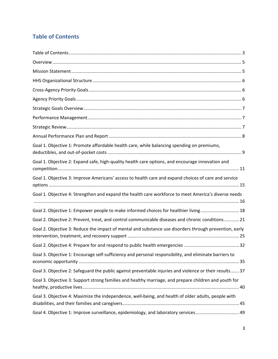# <span id="page-2-0"></span>**Table of Contents**

| Goal 1. Objective 1: Promote affordable health care, while balancing spending on premiums,              |
|---------------------------------------------------------------------------------------------------------|
| Goal 1. Objective 2: Expand safe, high-quality health care options, and encourage innovation and        |
| Goal 1. Objective 3: Improve Americans' access to health care and expand choices of care and service    |
| Goal 1. Objective 4: Strengthen and expand the health care workforce to meet America's diverse needs    |
| Goal 2. Objective 1: Empower people to make informed choices for healthier living 18                    |
| Goal 2. Objective 2: Prevent, treat, and control communicable diseases and chronic conditions  21       |
| Goal 2. Objective 3: Reduce the impact of mental and substance use disorders through prevention, early  |
|                                                                                                         |
| Goal 3. Objective 1: Encourage self-sufficiency and personal responsibility, and eliminate barriers to  |
| Goal 3. Objective 2: Safeguard the public against preventable injuries and violence or their results 37 |
| Goal 3. Objective 3: Support strong families and healthy marriage, and prepare children and youth for   |
| Goal 3. Objective 4: Maximize the independence, well-being, and health of older adults, people with     |
| Goal 4. Objective 1: Improve surveillance, epidemiology, and laboratory services 49                     |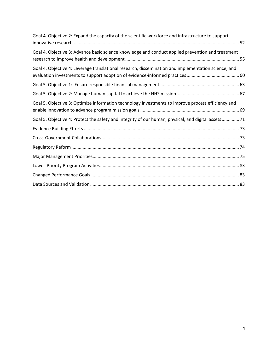| Goal 4. Objective 2: Expand the capacity of the scientific workforce and infrastructure to support  |
|-----------------------------------------------------------------------------------------------------|
| Goal 4. Objective 3: Advance basic science knowledge and conduct applied prevention and treatment   |
| Goal 4. Objective 4: Leverage translational research, dissemination and implementation science, and |
|                                                                                                     |
|                                                                                                     |
| Goal 5. Objective 3: Optimize information technology investments to improve process efficiency and  |
| Goal 5. Objective 4: Protect the safety and integrity of our human, physical, and digital assets 71 |
|                                                                                                     |
|                                                                                                     |
|                                                                                                     |
|                                                                                                     |
|                                                                                                     |
|                                                                                                     |
|                                                                                                     |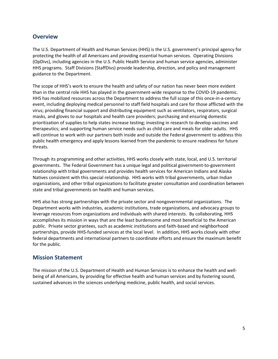### <span id="page-4-0"></span>**Overview**

The U.S. Department of Health and Human Services (HHS) is the U.S. government's principal agency for protecting the health of all Americans and providing essential human services. Operating Divisions (OpDivs), including agencies in the U.S. Public Health Service and human service agencies, administer HHS programs. Staff Divisions (StaffDivs) provide leadership, direction, and policy and management guidance to the Department.

The scope of HHS's work to ensure the health and safety of our nation has never been more evident than in the central role HHS has played in the government-wide response to the COVID-19 pandemic. HHS has mobilized resources across the Department to address the full scope of this once-in-a-century event, including deploying medical personnel to staff field hospitals and care for those afflicted with the virus; providing financial support and distributing equipment such as ventilators, respirators, surgical masks, and gloves to our hospitals and health care providers; purchasing and ensuring domestic prioritization of supplies to help states increase testing; investing in research to develop vaccines and therapeutics; and supporting human service needs such as child care and meals for older adults. HHS will continue to work with our partners both inside and outside the Federal government to address this public health emergency and apply lessons learned from the pandemic to ensure readiness for future threats.

Through its programming and other activities, HHS works closely with state, local, and U.S. territorial governments. The Federal Government has a unique legal and political government-to-government relationship with tribal governments and provides health services for American Indians and Alaska Natives consistent with this special relationship. HHS works with tribal governments, urban Indian organizations, and other tribal organizations to facilitate greater consultation and coordination between state and tribal governments on health and human services.

HHS also has strong partnerships with the private sector and nongovernmental organizations. The Department works with industries, academic institutions, trade organizations, and advocacy groups to leverage resources from organizations and individuals with shared interests. By collaborating, HHS accomplishes its mission in ways that are the least burdensome and most beneficial to the American public. Private sector grantees, such as academic institutions and faith-based and neighborhood partnerships, provide HHS-funded services at the local level. In addition, HHS works closely with other federal departments and international partners to coordinate efforts and ensure the maximum benefit for the public.

### <span id="page-4-1"></span>**Mission Statement**

The mission of the U.S. Department of Health and Human Services is to enhance the health and wellbeing of all Americans, by providing for effective health and human services and by fostering sound, sustained advances in the sciences underlying medicine, public health, and social services.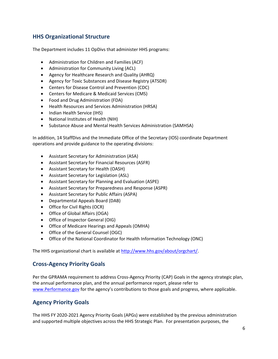# <span id="page-5-0"></span>**HHS Organizational Structure**

The Department includes 11 OpDivs that administer HHS programs:

- Administration for Children and Families (ACF)
- Administration for Community Living (ACL)
- Agency for Healthcare Research and Quality (AHRQ)
- Agency for Toxic Substances and Disease Registry (ATSDR)
- Centers for Disease Control and Prevention (CDC)
- Centers for Medicare & Medicaid Services (CMS)
- Food and Drug Administration (FDA)
- Health Resources and Services Administration (HRSA)
- Indian Health Service (IHS)
- National Institutes of Health (NIH)
- Substance Abuse and Mental Health Services Administration (SAMHSA)

In addition, 14 StaffDivs and the Immediate Office of the Secretary (IOS) coordinate Department operations and provide guidance to the operating divisions:

- Assistant Secretary for Administration (ASA)
- Assistant Secretary for Financial Resources (ASFR)
- Assistant Secretary for Health (OASH)
- Assistant Secretary for Legislation (ASL)
- Assistant Secretary for Planning and Evaluation (ASPE)
- Assistant Secretary for Preparedness and Response (ASPR)
- Assistant Secretary for Public Affairs (ASPA)
- Departmental Appeals Board (DAB)
- Office for Civil Rights (OCR)
- Office of Global Affairs (OGA)
- Office of Inspector General (OIG)
- Office of Medicare Hearings and Appeals (OMHA)
- Office of the General Counsel (OGC)
- Office of the National Coordinator for Health Information Technology (ONC)

The HHS organizational chart is available at [http://www.hhs.gov/about/orgchart/.](http://www.hhs.gov/about/orgchart/)

### <span id="page-5-1"></span>**Cross-Agency Priority Goals**

Per the GPRAMA requirement to address Cross-Agency Priority (CAP) Goals in the agency strategic plan, the annual performance plan, and the annual performance report, please refer to [www.Performance.gov](http://www.performance.gov/) for the agency's contributions to those goals and progress, where applicable.

### <span id="page-5-2"></span>**Agency Priority Goals**

The HHS FY 2020-2021 Agency Priority Goals (APGs) were established by the previous administration and supported multiple objectives across the HHS Strategic Plan. For presentation purposes, the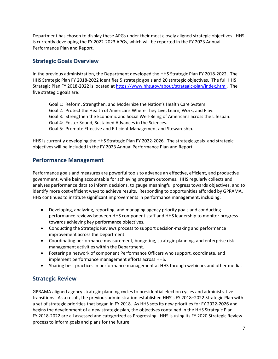Department has chosen to display these APGs under their most closely aligned strategic objectives. HHS is currently developing the FY 2022-2023 APGs, which will be reported in the FY 2023 Annual Performance Plan and Report.

## <span id="page-6-0"></span>**Strategic Goals Overview**

In the previous administration, the Department developed the HHS Strategic Plan FY 2018-2022. The HHS Strategic Plan FY 2018-2022 identifies 5 strategic goals and 20 strategic objectives. The full HHS Strategic Plan FY 2018-2022 is located at [https://www.hhs.gov/about/strategic-plan/index.html.](https://www.hhs.gov/about/strategic-plan/index.html) The five strategic goals are:

- Goal 1: Reform, Strengthen, and Modernize the Nation's Health Care System.
- Goal 2: Protect the Health of Americans Where They Live, Learn, Work, and Play.
- Goal 3: Strengthen the Economic and Social Well-Being of Americans across the Lifespan.
- Goal 4: Foster Sound, Sustained Advances in the Sciences.
- Goal 5: Promote Effective and Efficient Management and Stewardship.

HHS is currently developing the HHS Strategic Plan FY 2022-2026. The strategic goals and strategic objectives will be included in the FY 2023 Annual Performance Plan and Report.

### <span id="page-6-1"></span>**Performance Management**

Performance goals and measures are powerful tools to advance an effective, efficient, and productive government, while being accountable for achieving program outcomes. HHS regularly collects and analyzes performance data to inform decisions, to gauge meaningful progress towards objectives, and to identify more cost-efficient ways to achieve results. Responding to opportunities afforded by GPRAMA, HHS continues to institute significant improvements in performance management, including:

- Developing, analyzing, reporting, and managing agency priority goals and conducting performance reviews between HHS component staff and HHS leadership to monitor progress towards achieving key performance objectives.
- Conducting the Strategic Reviews process to support decision-making and performance improvement across the Department.
- Coordinating performance measurement, budgeting, strategic planning, and enterprise risk management activities within the Department.
- Fostering a network of component Performance Officers who support, coordinate, and implement performance management efforts across HHS.
- Sharing best practices in performance management at HHS through webinars and other media.

### <span id="page-6-2"></span>**Strategic Review**

GPRAMA aligned agency strategic planning cycles to presidential election cycles and administrative transitions. As a result, the previous administration established HHS's FY 2018–2022 Strategic Plan with a set of strategic priorities that began in FY 2018. As HHS sets its new priorities for FY 2022-2026 and begins the development of a new strategic plan, the objectives contained in the HHS Strategic Plan FY 2018-2022 are all assessed and categorized as Progressing. HHS is using its FY 2020 Strategic Review process to inform goals and plans for the future.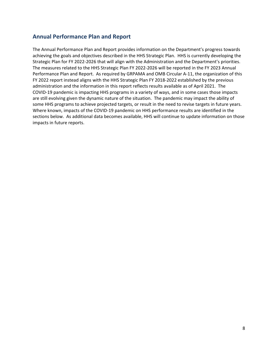### <span id="page-7-0"></span>**Annual Performance Plan and Report**

The Annual Performance Plan and Report provides information on the Department's progress towards achieving the goals and objectives described in the HHS Strategic Plan. HHS is currently developing the Strategic Plan for FY 2022-2026 that will align with the Administration and the Department's priorities. The measures related to the HHS Strategic Plan FY 2022-2026 will be reported in the FY 2023 Annual Performance Plan and Report. As required by GRPAMA and OMB Circular A-11, the organization of this FY 2022 report instead aligns with the HHS Strategic Plan FY 2018-2022 established by the previous administration and the information in this report reflects results available as of April 2021. The COVID-19 pandemic is impacting HHS programs in a variety of ways, and in some cases those impacts are still evolving given the dynamic nature of the situation. The pandemic may impact the ability of some HHS programs to achieve projected targets, or result in the need to revise targets in future years. Where known, impacts of the COVID-19 pandemic on HHS performance results are identified in the sections below. As additional data becomes available, HHS will continue to update information on those impacts in future reports.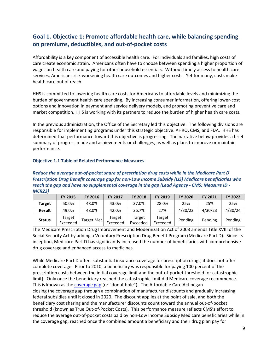# <span id="page-8-0"></span>**Goal 1. Objective 1: Promote affordable health care, while balancing spending on premiums, deductibles, and out-of-pocket costs**

Affordability is a key component of accessible health care. For individuals and families, high costs of care create economic strain. Americans often have to choose between spending a higher proportion of wages on health care and paying for other household essentials. Without timely access to health care services, Americans risk worsening health care outcomes and higher costs. Yet for many, costs make health care out of reach.

HHS is committed to lowering health care costs for Americans to affordable levels and minimizing the burden of government health care spending. By increasing consumer information, offering lower-cost options and innovation in payment and service delivery models, and promoting preventive care and market competition, HHS is working with its partners to reduce the burden of higher health care costs.

In the previous administration, the Office of the Secretary led this objective. The following divisions are responsible for implementing programs under this strategic objective: AHRQ, CMS, and FDA. HHS has determined that performance toward this objective is progressing. The narrative below provides a brief summary of progress made and achievements or challenges, as well as plans to improve or maintain performance.

#### **Objective 1.1 Table of Related Performance Measures**

*Reduce the average out-of-pocket share of prescription drug costs while in the Medicare Part D Prescription Drug Benefit coverage gap for non-Low Income Subsidy (LIS) Medicare beneficiaries who reach the gap and have no supplemental coverage in the gap (Lead Agency - CMS; Measure ID - MCR23)* 

|               | <b>FY 2015</b>     | <b>FY 2016</b>    | <b>FY 2017</b>     | <b>FY 2018</b>     | <b>FY 2019</b>     | <b>FY 2020</b> | <b>FY 2021</b> | <b>FY 2022</b> |
|---------------|--------------------|-------------------|--------------------|--------------------|--------------------|----------------|----------------|----------------|
| <b>Target</b> | 50.0%              | 48.0%             | 43.0%              | 37.0%              | 28.0%              | 25%            | 25%            | 25%            |
| <b>Result</b> | 49.0%              | 48.0%             | 42.0%              | 36.7%              | 27%                | 4/30/22        | 4/30/23        | 4/30/24        |
| <b>Status</b> | Target<br>Exceeded | <b>Target Met</b> | Target<br>Exceeded | Target<br>Exceeded | Target<br>Exceeded | Pending        | Pending        | Pending        |

The Medicare Prescription Drug Improvement and Modernization Act of 2003 amends Title XVIII of the Social Security Act by adding a Voluntary Prescription Drug Benefit Program (Medicare Part D). Since its inception, Medicare Part D has significantly increased the number of beneficiaries with comprehensive drug coverage and enhanced access to medicines.

While Medicare Part D offers substantial insurance coverage for prescription drugs, it does not offer complete coverage. Prior to 2010, a beneficiary was responsible for paying 100 percent of the prescription costs between the initial coverage limit and the out-of-pocket threshold (or catastrophic limit). Only once the beneficiary reached the catastrophic limit did Medicare coverage recommence. This is known as the [coverage gap](https://www.medicare.gov/drug-coverage-part-d/costs-for-medicare-drug-coverage/costs-in-the-coverage-gap) (or "donut hole"). The Affordable Care Act began closing the coverage gap through a combination of manufacturer discounts and gradually increasing federal subsidies until it closed in 2020. The discount applies at the point of sale, and both the beneficiary cost sharing and the manufacturer discounts count toward the annual out-of-pocket threshold (known as True Out-of-Pocket Costs). This performance measure reflects CMS's effort to reduce the average out-of-pocket costs paid by non-Low Income Subsidy Medicare beneficiaries while in the coverage gap, reached once the combined amount a beneficiary and their drug plan pay for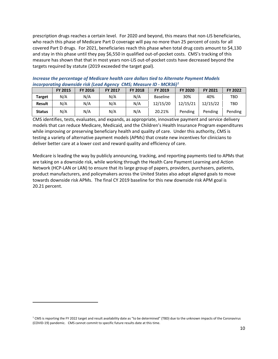prescription drugs reaches a certain level. For 2020 and beyond, this means that non-LIS beneficiaries, who reach this phase of Medicare Part D coverage will pay no more than 25 percent of costs for all covered Part D drugs. For 2021, beneficiaries reach this phase when total drug costs amount to \$4,130 and stay in this phase until they pay \$6,550 in qualified out-of-pocket costs. CMS's tracking of this measure has shown that that in most years non-LIS out-of-pocket costs have decreased beyond the targets required by statute (2019 exceeded the target goal).

|               | <b>FY 2015</b> | <b>FY 2016</b> | <b>FY 2017</b> | <b>FY 2018</b> | <b>FY 2019</b>  | <b>FY 2020</b> | FY 2021  | <b>FY 2022</b> |
|---------------|----------------|----------------|----------------|----------------|-----------------|----------------|----------|----------------|
| Target        | N/A            | N/A            | N/A            | N/A            | <b>Baseline</b> | 30%            | 40%      | TBD            |
| <b>Result</b> | N/A            | N/A            | N/A            | N/A            | 12/15/20        | 12/15/21       | 12/15/22 | <b>TBD</b>     |
| <b>Status</b> | N/A            | N/A            | N/A            | N/A            | 20.21%          | Pending        | Pending  | Pending        |

#### *Increase the percentage of Medicare health care dollars tied to Alternate Payment Models incorporating downside risk (Lead Agency CMS; Measure ID - MCR36) [1](#page-9-0)*

CMS identifies, tests, evaluates, and expands, as appropriate, innovative payment and service delivery models that can reduce Medicare, Medicaid, and the Children's Health Insurance Program expenditures while improving or preserving beneficiary health and quality of care. Under this authority, CMS is testing a variety of alternative payment models (APMs) that create new incentives for clinicians to deliver better care at a lower cost and reward quality and efficiency of care.

Medicare is leading the way by publicly announcing, tracking, and reporting payments tied to APMs that are taking on a downside risk, while working through the Health Care Payment Learning and Action Network (HCP-LAN or LAN) to ensure that its large group of papers, providers, purchasers, patients, product manufacturers, and policymakers across the United States also adopt aligned goals to move towards downside risk APMs. The final CY 2019 baseline for this new downside risk APM goal is 20.21 percent.

<span id="page-9-0"></span> $1$  CMS is reporting the FY 2022 target and result availability date as "to be determined" (TBD) due to the unknown impacts of the Coronavirus (COVID-19) pandemic. CMS cannot commit to specific future results date at this time.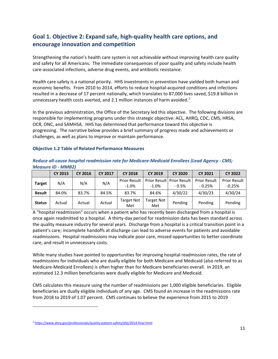# <span id="page-10-0"></span>**Goal 1. Objective 2: Expand safe, high-quality health care options, and encourage innovation and competition**

Strengthening the nation's health care system is not achievable without improving health care quality and safety for all Americans. The immediate consequences of poor quality and safety include health care-associated infections, adverse drug events, and antibiotic resistance.

Health care safety is a national priority. HHS investments in prevention have yielded both human and economic benefits. From 2010 to 2014, efforts to reduce hospital-acquired conditions and infections resulted in a decrease of 17 percent nationally, which translates to 87,000 lives saved, \$19.8 billion in unnecessary health costs averted, and [2](#page-10-1).1 million instances of harm avoided.<sup>2</sup>

In the previous administration, the Office of the Secretary led this objective. The following divisions are responsible for implementing programs under this strategic objective: ACL, AHRQ, CDC, CMS, HRSA, OCR, ONC, and SAMHSA. HHS has determined that performance toward this objective is progressing. The narrative below provides a brief summary of progress made and achievements or challenges, as well as plans to improve or maintain performance.

#### **Objective 1.2 Table of Related Performance Measures**

|               | $IVICUSUICID - IVIIVIDZI$ |                |                |                                |                   |                                             |                                 |                                 |
|---------------|---------------------------|----------------|----------------|--------------------------------|-------------------|---------------------------------------------|---------------------------------|---------------------------------|
|               | <b>CY 2015</b>            | <b>CY 2016</b> | <b>CY 2017</b> | <b>CY 2018</b>                 | <b>CY 2019</b>    | <b>CY 2020</b>                              | <b>CY 2021</b>                  | <b>CY 2022</b>                  |
| <b>Target</b> | N/A                       | N/A            | N/A            | <b>Prior Result</b><br>$-1.0%$ | $-1.0\%$          | <b>Prior Result Prior Result</b><br>$-0.5%$ | <b>Prior Result</b><br>$-0.25%$ | <b>Prior Result</b><br>$-0.25%$ |
| <b>Result</b> | 84.0%                     | 83.7%          | 84.5%          | 83.7%                          | 84.6%             | 4/30/22                                     | 4/30/23                         | 4/30/24                         |
| <b>Status</b> | Actual                    | Actual         | Actual         | Target Not<br>Met              | Target Not<br>Met | Pending                                     | Pending                         | Pending                         |

*Reduce all-cause hospital readmission rate for Medicare-Medicaid Enrollees (Lead Agency - CMS; Measure ID - MMB2)*

A "hospital readmission" occurs when a patient who has recently been discharged from a hospital is once again readmitted to a hospital. A thirty-day period for readmission data has been standard across the quality measure industry for several years. Discharge from a hospital is a critical transition point in a patient's care; incomplete handoffs at discharge can lead to adverse events for patients and avoidable readmissions. Hospital readmissions may indicate poor care, missed opportunities to better coordinate care, and result in unnecessary costs.

While many studies have pointed to opportunities for improving hospital readmission rates, the rate of readmissions for individuals who are dually eligible for both Medicare and Medicaid (also referred to as Medicare-Medicaid Enrollees) is often higher than for Medicare beneficiaries overall. In 2019, an estimated 12.3 million beneficiaries were dually eligible for Medicare and Medicaid.

CMS calculates this measure using the number of readmissions per 1,000 eligible beneficiaries. Eligible beneficiaries are dually eligible individuals of any age. CMS found an increase in the readmissions rate from 2018 to 2019 of 1.07 percent. CMS continues to believe the experience from 2015 to 2019

<span id="page-10-1"></span><sup>&</sup>lt;sup>2</sup> <https://www.ahrq.gov/professionals/quality-patient-safety/pfp/2014-final.html>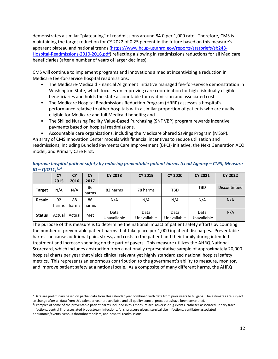demonstrates a similar "plateauing" of readmissions around 84.0 per 1,000 rate. Therefore, CMS is maintaining the target reduction for CY 2022 of 0.25 percent in the future based on this measure's apparent plateau and national trends [\(https://www.hcup-us.ahrq.gov/reports/statbriefs/sb248-](https://www.hcup-us.ahrq.gov/reports/statbriefs/sb248-Hospital-Readmissions-2010-2016.pdf) [Hospital-Readmissions-2010-2016.pdf\)](https://www.hcup-us.ahrq.gov/reports/statbriefs/sb248-Hospital-Readmissions-2010-2016.pdf) reflecting a slowing in readmissions reductions for all Medicare beneficiaries (after a number of years of larger declines).

CMS will continue to implement programs and innovations aimed at incentivizing a reduction in Medicare fee-for-service hospital readmissions:

- The Medicare-Medicaid Financial Alignment Initiative managed fee-for-service demonstration in Washington State, which focuses on improving care coordination for high-risk dually eligible beneficiaries and holds the state accountable for readmission and associated costs;
- The Medicare Hospital Readmissions Reduction Program (HRRP) assesses a hospital's performance relative to other hospitals with a similar proportion of patients who are dually eligible for Medicare and full Medicaid benefits; and
- The Skilled Nursing Facility Value-Based Purchasing (SNF VBP) program rewards incentive payments based on hospital readmissions.
- Accountable care organizations, including the Medicare Shared Savings Program (MSSP).

An array of CMS Innovation Center models with financial incentives to reduce utilization and readmissions, including Bundled Payments Care Improvement (BPCI) initiative, the Next Generation ACO model, and Primary Care First.

|               | <b>CY</b> | <b>CY</b> | <b>CY</b>   | <b>CY 2018</b>      | <b>CY 2019</b>      | <b>CY 2020</b>      | <b>CY 2021</b>      | <b>CY 2022</b> |
|---------------|-----------|-----------|-------------|---------------------|---------------------|---------------------|---------------------|----------------|
|               | 2015      | 2016      | 2017        |                     |                     |                     |                     |                |
| <b>Target</b> | N/A       | N/A       | 86<br>harms | 82 harms            | 78 harms            | TBD                 | TBD                 | Discontinued   |
| <b>Result</b> | 92        | 88        | 86          | N/A                 | N/A                 | N/A                 | N/A                 | N/A            |
|               | harms     | harms     | harms       |                     |                     |                     |                     |                |
| <b>Status</b> | Actual    | Actual    | Met         | Data<br>Unavailable | Data<br>Unavailable | Data<br>Unavailable | Data<br>Unavailable | N/A            |

*Improve hospital patient safety by reducing preventable patient harms (Lead Agency – CMS; Measure ID – QIO11)[3,](#page-11-0),[4](#page-11-1)*

The purpose of this measure is to determine the national impact of patient safety efforts by counting the number of preventable patient harms that take place per 1,000 inpatient discharges. Preventable harms can cause additional pain, stress, and costs to the patient and their family during intended treatment and increase spending on the part of payers. This measure utilizes the AHRQ National Scorecard, which includes abstraction from a nationally representative sample of approximately 20,000 hospital charts per year that yields clinical relevant yet highly standardized national hospital safety metrics. This represents an enormous contribution to the government's ability to measure, monitor, and improve patient safety at a national scale. As a composite of many different harms, the AHRQ

<span id="page-11-0"></span><sup>&</sup>lt;sup>3</sup> Data are preliminary based on partial data from this calendar year combined with data from prior years to fill gaps. The estimates are subject to change after all data from this calendar year are available and all quality control procedureshave been completed.

<span id="page-11-1"></span> $4$  Examples of some of the preventable patient harms included in this measure are: adverse drug events, catheter-associated urinary tract infections, central line-associated bloodstream infections, falls, pressure ulcers, surgical site infections, ventilator-associated pneumonia/events, venous thromboembolism, and hospital readmissions.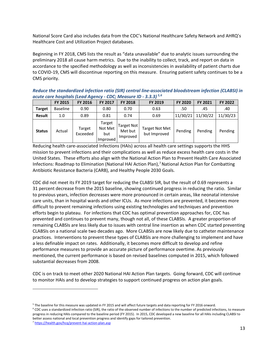National Score Card also includes data from the CDC's National Healthcare Safety Network and AHRQ's Healthcare Cost and Utilization Project databases.

Beginning in FY 2018, CMS lists the result as "data unavailable" due to analytic issues surrounding the preliminary 2018 all cause harm metrics. Due to the inability to collect, track, and report on data in accordance to the specified methodology as well as inconsistencies in availability of patient charts due to COVID-19, CMS will discontinue reporting on this measure. Ensuring patient safety continues to be a CMS priority.

*Reduce the standardized infection ratio (SIR) central line-associated bloodstream infection (CLABSI) in acute care hospitals (Lead Agency - CDC; Measure ID - 3.3.3) [5](#page-12-0),[6](#page-12-1)*

|               | <b>FY 2015</b>  | <b>FY 2016</b>     | <b>FY 2017</b>                       | <b>FY 2018</b>                    | <b>FY 2019</b>                        | <b>FY 2020</b> | <b>FY 2021</b> | <b>FY 2022</b> |
|---------------|-----------------|--------------------|--------------------------------------|-----------------------------------|---------------------------------------|----------------|----------------|----------------|
| <b>Target</b> | <b>Baseline</b> | 0.90               | 0.80                                 | 0.70                              | 0.63                                  | .50            | .45            | .40            |
| Result        | 1.0             | 0.89               | 0.81                                 | 0.74                              | 0.69                                  | 11/30/21       | 11/30/22       | 11/30/23       |
| <b>Status</b> | Actual          | Target<br>Exceeded | Target<br>Not Met<br>but<br>Improved | Target Not<br>Met but<br>Improved | <b>Target Not Met</b><br>but Improved | Pending        | Pending        | Pending        |

Reducing health care-associated Infections (HAIs) across all health care settings supports the HHS mission to prevent infections and their complications as well as reduce excess health care costs in the United States. These efforts also align with the [National Action Plan to Prevent Health Care Associated](http://www.cdc.gov/niosh/hhe/pdfs/HHE_2014_Annual_Report.pdf)  [Infections: Roadmap to Elimination \(National HAI Action Plan\),](http://www.cdc.gov/niosh/hhe/pdfs/HHE_2014_Annual_Report.pdf)<sup>[7](#page-12-2)</sup> National Action Plan for Combatting Antibiotic Resistance Bacteria (CARB), and [Healthy People 2030 Goals.](http://www.cdc.gov/drugresistance/solutions-initiative/)

CDC did not meet its FY 2019 target for reducing the CLABSI SIR, but the result of 0.69 represents a 31 percent decrease from the 2015 baseline, showing continued progress in reducing the ratio. Similar to previous years, infection decreases were more pronounced in certain areas, like neonatal intensive care units, than in hospital wards and other ICUs. As more infections are prevented, it becomes more difficult to prevent remaining infections using existing technologies and techniques and prevention efforts begin to plateau. For infections that CDC has optimal prevention approaches for, CDC has prevented and continues to prevent many, though not all, of these CLABSIs. A greater proportion of remaining CLABSIs are less likely due to issues with central line insertion as when CDC started preventing CLABSIs on a national scale two decades ago. More CLABSIs are now likely due to catheter maintenance practices. Interventions to prevent these types of CLABSIs are more challenging to implement and have a less definable impact on rates. Additionally, it becomes more difficult to develop and refine performance measures to provide an accurate picture of performance overtime. As previously mentioned, the current performance is based on revised baselines computed in 2015, which followed substantial decreases from 2008.

CDC is on track to meet other 2020 National HAI Action Plan targets. Going forward, CDC will continue to monitor HAIs and to develop strategies to support continued progress on action plan goals.

<span id="page-12-1"></span><sup>6</sup> CDC uses a standardized infection ratio (SIR), the ratio of the observed number of infections to the number of predicted infections, to measure progress in reducing HAIs compared to the baseline period (FY 2015). In 2015, CDC developed a new baseline for all HAIs including CLABSI to better assess national and local prevention progress and identify gaps for tailored prevention.

<span id="page-12-0"></span><sup>5</sup> The baseline for this measure was updated in FY 2015 and will affect future targets and data reporting for FY 2016 onward.

<span id="page-12-2"></span><sup>7</sup> <https://health.gov/hcq/prevent-hai-action-plan.asp>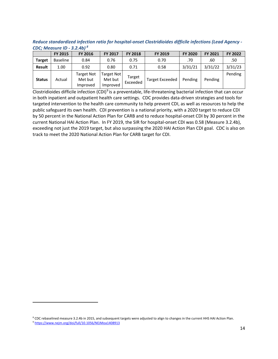*Reduce standardized infection ratio for hospital-onset Clostridioides difficile infections (Lead Agency - CDC; Measure ID - 3.2.4b) [8](#page-13-0)*

|               | <b>FY 2015</b>  | <b>FY 2016</b>                    | <b>FY 2017</b>                    | <b>FY 2018</b>     | FY 2019                | <b>FY 2020</b> | <b>FY 2021</b> | FY 2022 |
|---------------|-----------------|-----------------------------------|-----------------------------------|--------------------|------------------------|----------------|----------------|---------|
| Target        | <b>Baseline</b> | 0.84                              | 0.76                              | 0.75               | 0.70                   | .70            | .60            | .50     |
| <b>Result</b> | 1.00            | 0.92                              | 0.80                              | 0.71               | 0.58                   | 3/31/21        | 3/31/22        | 3/31/23 |
| <b>Status</b> | Actual          | Target Not<br>Met but<br>Improved | Target Not<br>Met but<br>Improved | Target<br>Exceeded | <b>Target Exceeded</b> | Pending        | Pending        | Pending |

[Clostridioides difficile](https://www.cdc.gov/motorvehiclesafety/pdf/native/tmvip_best-practices_guide_2016-a.pdf) infection (CDI)<sup>[9](#page-13-1)</sup> is a preventable, life-threatening bacterial infection that can occur in both inpatient and outpatient health care settings. CDC provides data-driven strategies and tools for targeted intervention to the health care community to help prevent CDI, as well as resources to help the public safeguard its own health. CDI prevention is a national priority, with a 2020 target to reduce CDI by 50 percent in the National Action Plan for CARB and to reduce hospital-onset CDI by 30 percent in the current National HAI Action Plan. In FY 2019, the SIR for hospital-onset CDI was 0.58 (Measure 3.2.4b), exceeding not just the 2019 target, but also surpassing the 2020 HAI Action Plan CDI goal. CDC is also on track to meet the 2020 National Action Plan for CARB target for CDI.

<span id="page-13-1"></span><span id="page-13-0"></span><sup>&</sup>lt;sup>8</sup> CDC rebaselined measure 3.2.4b in 2015, and subsequent targets were adjusted to align to changes in the current HHS HAI Action Plan.<br><sup>9</sup> <https://www.nejm.org/doi/full/10.1056/NEJMoa1408913>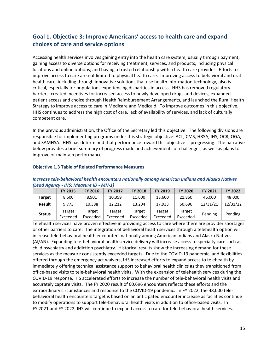# <span id="page-14-0"></span>**Goal 1. Objective 3: Improve Americans' access to health care and expand choices of care and service options**

Accessing health services involves gaining entry into the health care system, usually through payment; gaining access to diverse options for receiving treatment, services, and products, including physical locations and online options; and having a trusted relationship with a health care provider. Efforts to improve access to care are not limited to physical health care. Improving access to behavioral and oral health care, including through innovative solutions that use health information technology, also is critical, especially for populations experiencing disparities in access. HHS has removed regulatory barriers, created incentives for increased access to newly developed drugs and devices, expanded patient access and choice through Health Reimbursement Arrangements, and launched the Rural Health Strategy to improve access to care in Medicare and Medicaid. To improve outcomes in this objective, HHS continues to address the high cost of care, lack of availability of services, and lack of culturally competent care.

In the previous administration, the Office of the Secretary led this objective. The following divisions are responsible for implementing programs under this strategic objective: ACL, CMS, HRSA, IHS, OCR, OGA, and SAMHSA. HHS has determined that performance toward this objective is progressing. The narrative below provides a brief summary of progress made and achievements or challenges, as well as plans to improve or maintain performance.

|               | <b>FY 2015</b>     | <b>FY 2016</b>     | <b>FY 2017</b>     | <b>FY 2018</b>     | <b>FY 2019</b>     | <b>FY 2020</b>     | <b>FY 2021</b> | <b>FY 2022</b> |
|---------------|--------------------|--------------------|--------------------|--------------------|--------------------|--------------------|----------------|----------------|
| <b>Target</b> | 8.600              | 8.901              | 10.359             | 11,600             | 13,600             | 21.860             | 46.000         | 48,000         |
| <b>Result</b> | 9.773              | 10.388             | 12.212             | 13.204             | 17,933             | 60.696             | 12/31/21       | 12/31/22       |
| <b>Status</b> | Target<br>Exceeded | Target<br>Exceeded | Target<br>Exceeded | Target<br>Exceeded | Target<br>Exceeded | Target<br>Exceeded | Pending        | Pending        |

#### **Objective 1.3 Table of Related Performance Measures**

#### *Increase tele-behavioral health encounters nationally among American Indians and Alaska Natives (Lead Agency - IHS; Measure ID - MH-1)*

Telehealth services have proven effective in providing access to care where there are provider shortages or other barriers to care. The integration of behavioral health services through a telehealth option will increase tele-behavioral health encounters nationally among American Indians and Alaska Natives (AI/AN). Expanding tele-behavioral health service delivery will increase access to specialty care such as child psychiatry and addiction psychiatry. Historical results show the increasing demand for these services as the measure consistently exceeded targets. Due to the COVID-19 pandemic, and flexibilities offered through the emergency act waivers, IHS increased efforts to expand access to telehealth by immediately offering technical assistance support to behavioral health clinics as they transitioned from office-based visits to tele-behavioral health visits. With the expansion of telehealth services during the COVID-19 response, IHS accelerated efforts to increase the number of tele-behavioral health visits and accurately capture visits. The FY 2020 result of 60,696 encounters reflects these efforts and the extraordinary circumstances and response to the COVID-19 pandemic. In FY 2022, the 48,000 telebehavioral health encounters target is based on an anticipated encounter increase as facilities continue to modify operations to support tele-behavioral health visits in addition to office-based visits. In FY 2021 and FY 2022, IHS will continue to expand access to care for tele-behavioral health services.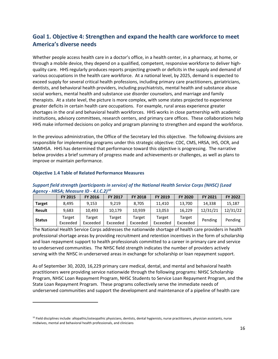# <span id="page-15-0"></span>**Goal 1. Objective 4: Strengthen and expand the health care workforce to meet America's diverse needs**

Whether people access health care in a doctor's office, in a health center, in a pharmacy, at home, or through a mobile device, they depend on a qualified, competent, responsive workforce to deliver highquality care. HHS regularly produces reports projecting growth or deficits in the supply and demand of various occupations in the health care workforce. At a national level, by 2025, demand is expected to exceed supply for several critical health professions, including primary care practitioners, geriatricians, dentists, and behavioral health providers, including psychiatrists, mental health and substance abuse social workers, mental health and substance use disorder counselors, and marriage and family therapists. At a state level, the picture is more complex, with some states projected to experience greater deficits in certain health care occupations. For example, rural areas experience greater shortages in the oral and behavioral health workforces. HHS works in close partnership with academic institutions, advisory committees, research centers, and primary care offices. These collaborations help HHS make informed decisions on policy and program planning to strengthen and expand the workforce.

In the previous administration, the Office of the Secretary led this objective. The following divisions are responsible for implementing programs under this strategic objective: CDC, CMS, HRSA, IHS, OCR, and SAMHSA. HHS has determined that performance toward this objective is progressing. The narrative below provides a brief summary of progress made and achievements or challenges, as well as plans to improve or maintain performance.

| A             |                    |                    |                    |                    |                    |                    |                |          |
|---------------|--------------------|--------------------|--------------------|--------------------|--------------------|--------------------|----------------|----------|
|               | <b>FY 2015</b>     | <b>FY 2016</b>     | <b>FY 2017</b>     | <b>FY 2018</b>     | <b>FY 2019</b>     | <b>FY 2020</b>     | <b>FY 2021</b> | FY 2022  |
| <b>Target</b> | 8.495              | 9.153              | 9.219              | 8.705              | 11.410             | 13,700             | 14.338         | 15,187   |
| <b>Result</b> | 9.683              | 10.493             | 10.179             | 10.939             | 13.053             | 16.229             | 12/31/21       | 12/31/22 |
| <b>Status</b> | Target<br>Exceeded | Target<br>Exceeded | Target<br>Exceeded | Target<br>Exceeded | Target<br>Exceeded | Target<br>Exceeded | Pending        | Pending  |

#### **Objective 1.4 Table of Related Performance Measures**

#### *Support field strength (participants in service) of the National Health Service Corps (NHSC) (Lead Agency - HRSA; Measure ID - 4.I.C.2)[10](#page-15-1)*

The National Health Service Corps addresses the nationwide shortage of health care providers in health professional shortage areas by providing recruitment and retention incentives in the form of scholarship and loan repayment support to health professionals committed to a career in primary care and service to underserved communities. The NHSC field strength indicates the number of providers actively serving with the NHSC in underserved areas in exchange for scholarship or loan repayment support.

As of September 30, 2020, 16,229 primary care medical, dental, and mental and behavioral health practitioners were providing service nationwide through the following programs: NHSC Scholarship Program, NHSC Loan Repayment Program, NHSC Students to Service Loan Repayment Program, and the State Loan Repayment Program. These programs collectively serve the immediate needs of underserved communities and support the development and maintenance of a pipeline of health care

<span id="page-15-1"></span> $10$  Field disciplines include: allopathic/osteopathic physicians, dentists, dental hygienists, nurse practitioners, physician assistants, nurse midwives, mental and behavioral health professionals, and clinicians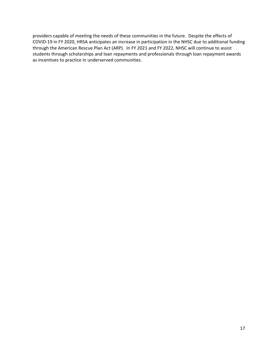providers capable of meeting the needs of these communities in the future. Despite the effects of COVID-19 in FY 2020, HRSA anticipates an increase in participation in the NHSC due to additional funding through the American Rescue Plan Act (ARP). In FY 2021 and FY 2022, NHSC will continue to assist students through scholarships and loan repayments and professionals through loan repayment awards as incentives to practice in underserved communities.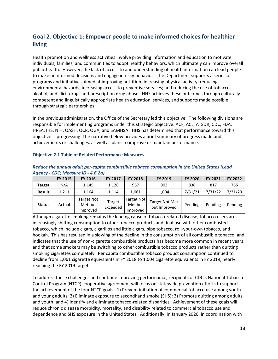# <span id="page-17-0"></span>**Goal 2. Objective 1: Empower people to make informed choices for healthier living**

Health promotion and wellness activities involve providing information and education to motivate individuals, families, and communities to adopt healthy behaviors, which ultimately can improve overall public health. However, the lack of access to and understanding of health information can lead people to make uninformed decisions and engage in risky behavior. The Department supports a series of programs and initiatives aimed at improving nutrition; increasing physical activity; reducing environmental hazards; increasing access to preventive services; and reducing the use of tobacco, alcohol, and illicit drugs and prescription drug abuse. HHS achieves these outcomes through culturally competent and linguistically appropriate health education, services, and supports made possible through strategic partnerships.

In the previous administration, the Office of the Secretary led this objective. The following divisions are responsible for implementing programs under this strategic objective: ACF, ACL, ATSDR, CDC, FDA, HRSA, IHS, NIH, OASH, OCR, OGA, and SAMHSA. HHS has determined that performance toward this objective is progressing. The narrative below provides a brief summary of progress made and achievements or challenges, as well as plans to improve or maintain performance.

#### **Objective 2.1 Table of Related Performance Measures**

| .             | ____________   |                                   |                    |                                   |                                       |                |                |         |
|---------------|----------------|-----------------------------------|--------------------|-----------------------------------|---------------------------------------|----------------|----------------|---------|
|               | <b>FY 2015</b> | <b>FY 2016</b>                    | <b>FY 2017</b>     | <b>FY 2018</b>                    | <b>FY 2019</b>                        | <b>FY 2020</b> | <b>FY 2021</b> | FY 2022 |
| <b>Target</b> | N/A            | 1,145                             | 1,128              | 967                               | 903                                   | 838            | 817            | 755     |
| <b>Result</b> | 1.211          | 1,164                             | 1.114              | 1,061                             | 1,004                                 | 7/31/21        | 7/31/22        | 7/31/23 |
| <b>Status</b> | Actual         | Target Not<br>Met but<br>Improved | Target<br>Exceeded | Target Not<br>Met but<br>Improved | <b>Target Not Met</b><br>but Improved | Pending        | Pending        | Pending |

*Reduce the annual adult per-capita combustible tobacco consumption in the United States (Lead Agency - CDC; Measure ID - 4.6.2a)* 

Although cigarette smoking remains the leading cause of tobacco-related disease, tobacco users are increasingly shifting consumption to other tobacco products and dual use with other combusted tobacco, which include cigars, cigarillos and little cigars, pipe tobacco, roll-your-own tobacco, and hookah. This has resulted in a slowing of the decline in the consumption of all combustible tobacco, and indicates that the use of non-cigarette combustible products has become more common in recent years and that some smokers may be switching to other combustible tobacco products rather than quitting smoking cigarettes completely. Per capita combustible tobacco product consumption continued to decline from 1,061 cigarette equivalents in FY 2018 to 1,004 cigarette equivalents in FY 2019, nearly reaching the FY 2019 target.

To address these challenges and continue improving performance, recipients of CDC's National Tobacco Control Program (NTCP) cooperative agreement will focus on statewide prevention efforts to support the achievement of the four NTCP goals: 1) Prevent initiation of commercial tobacco use among youth and young adults; 2) Eliminate exposure to secondhand smoke (SHS); 3) Promote quitting among adults and youth; and 4) Identify and eliminate tobacco-related disparities. Achievement of these goals will reduce chronic disease morbidity, mortality, and disability related to commercial tobacco use and dependence and SHS exposure in the United States. Additionally, in January 2020, in coordination with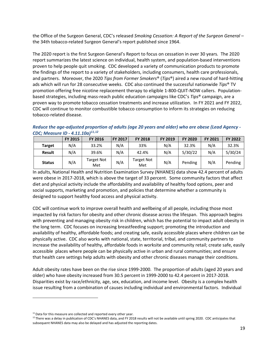the Office of the Surgeon General, CDC's released *Smoking Cessation: A Report of the Surgeon General –* the 34th tobacco-related Surgeon General's report published since 1964.

The 2020 report is the first Surgeon General's Report to focus on cessation in over 30 years*.* The 2020 report summarizes the latest science on individual, health system, and population-based interventions proven to help people quit smoking. CDC developed a variety of communication products to promote the findings of the report to a variety of stakeholders, including consumers, health care professionals, and partners. Moreover, the 2020 *Tips from Former Smokers*® (*Tips*®) aired a new round of hard-hitting ads which will run for 28 consecutive weeks. CDC also continued the successful nationwide *Tips*® TV promotion offering free nicotine replacement therapy to eligible 1-800-QUIT-NOW callers. Populationbased strategies, including mass-reach public education campaigns like CDC's *Tips*® campaign, are a proven way to promote tobacco cessation treatments and increase utilization. In FY 2021 and FY 2022, CDC will continue to monitor combustible tobacco consumption to inform its strategies on reducing tobacco-related disease.

*Reduce the age-adjusted proportion of adults (age 20 years and older) who are obese (Lead Agency - CDC; Measure ID - 4.11.10a)[11](#page-18-0),[12](#page-18-1)*

|               | <b>FY 2015</b> | <b>FY 2016</b>    | <b>FY 2017</b> | <b>FY 2018</b>           | <b>FY 2019</b> | <b>FY 2020</b> | <b>FY 2021</b> | <b>FY 2022</b> |
|---------------|----------------|-------------------|----------------|--------------------------|----------------|----------------|----------------|----------------|
| <b>Target</b> | N/A            | 33.2%             | N/A            | 33%                      | N/A            | 32.3%          | N/A            | 32.3%          |
| <b>Result</b> | N/A            | 39.6%             | N/A            | 42.4%                    | N/A            | 5/30/22        | N/A            | 5/30/24        |
| <b>Status</b> | N/A            | Target Not<br>Met | N/A            | <b>Target Not</b><br>Met | N/A            | Pending        | N/A            | Pending        |

In adults, National Health and Nutrition Examination Survey (NHANES) data show 42.4 percent of adults were obese in 2017-2018, which is above the target of 33 percent. Some community factors that affect diet and physical activity include the affordability and availability of healthy food options, peer and social supports, marketing and promotion, and policies that determine whether a community is designed to support healthy food access and physical activity.

CDC will continue work to improve overall health and wellbeing of all people, including those most impacted by risk factors for obesity and other chronic disease across the lifespan. This approach begins with preventing and managing obesity risk in children, which has the potential to impact adult obesity in the long term. CDC focuses on increasing breastfeeding support; promoting the introduction and availability of healthy, affordable foods; and creating safe, easily accessible places where children can be physically active. CDC also works with national, state, territorial, tribal, and community partners to increase the availability of healthy, affordable foods in worksite and community retail; create safe, easily accessible places where people can be physically active in urban and rural communities; and ensure that health care settings help adults with obesity and other chronic diseases manage their conditions.

Adult obesity rates have been on the rise since 1999-2000. The proportion of adults (aged 20 years and older) who have obesity increased from 30.5 percent in 1999-2000 to 42.4 percent in 2017-2018. Disparities exist by race/ethnicity, age, sex, education, and income level. Obesity is a complex health issue resulting from a combination of causes including individual and environmental factors. Individual

<span id="page-18-0"></span> $11$  Data for this measure are collected and reported every other year.

<span id="page-18-1"></span> $12$  There was a delay in publication of CDC's NHANES data, and FY 2018 results will not be available until spring 2020. CDC anticipates that subsequent NHANES data may also be delayed and has adjusted the reporting dates.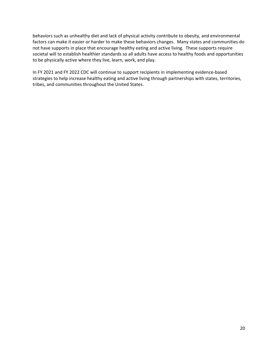behaviors such as unhealthy diet and lack of physical activity contribute to obesity, and environmental factors can make it easier or harder to make these behaviors changes. Many states and communities do not have supports in place that encourage healthy eating and active living. These supports require societal will to establish healthier standards so all adults have access to healthy foods and opportunities to be physically active where they live, learn, work, and play.

In FY 2021 and FY 2022 CDC will continue to support recipients in implementing evidence-based strategies to help increase healthy eating and active living through partnerships with states, territories, tribes, and communities throughout the United States.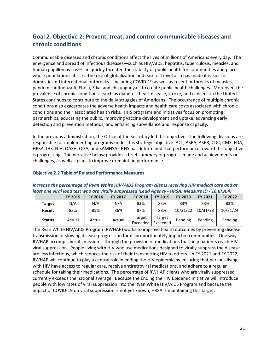# <span id="page-20-0"></span>**Goal 2. Objective 2: Prevent, treat, and control communicable diseases and chronic conditions**

Communicable diseases and chronic conditions affect the lives of millions of Americans every day. The emergence and spread of infectious diseases—such as HIV/AIDS, hepatitis, tuberculosis, measles, and human papillomavirus—can quickly threaten the stability of public health for communities and place whole populations at risk. The rise of globalization and ease of travel also has made it easier for domestic and international outbreaks—including COVID-19 as well as recent outbreaks of measles, pandemic influenza A, Ebola, Zika, and chikungunya—to create public health challenges. Moreover, the prevalence of chronic conditions—such as diabetes, heart disease, stroke, and cancer—in the United States continues to contribute to the daily struggles of Americans. The occurrence of multiple chronic conditions also exacerbates the adverse health impacts and health care costs associated with chronic conditions and their associated health risks. HHS programs and initiatives focus on promoting partnerships, educating the public, improving vaccine development and uptake, advancing early detection and prevention methods, and enhancing surveillance and response capacity.

In the previous administration, the Office of the Secretary led this objective. The following divisions are responsible for implementing programs under this strategic objective: ACL, ASPA, ASPR, CDC, CMS, FDA, HRSA, IHS, NIH, OASH, OGA, and SAMHSA. HHS has determined that performance toward this objective is progressing. The narrative below provides a brief summary of progress made and achievements or challenges, as well as plans to improve or maintain performance.

#### **FY 2015 FY 2016 FY 2017 FY 2018 FY 2019 FY 2020 FY 2021 FY 2022 Target** | N/A | N/A | N/A | 83% | 83% | 83% | 83% | 83% **Result** 83% 85% 86% 87% 88% 10/31/22 10/31/23 10/31/24 **Status** Actual Actual Actual Target Exceeded Target Exceeded Pending Pending Pending

#### **Objective 2.2 Table of Related Performance Measures**

#### *Increase the percentage of Ryan White HIV/AIDS Program clients receiving HIV medical care and at least one viral load test who are virally suppressed (Lead Agency - HRSA; Measure ID - 16.III.A.4)*

The Ryan White HIV/AIDS Program (RWHAP) works to improve health outcomes by preventing disease transmission or slowing disease progression for disproportionately impacted communities. One way RWHAP accomplishes its mission is through the provision of medications that help patients reach HIV viral suppression. People living with HIV who use medications designed to virally suppress the disease are less infectious, which reduces the risk of their transmitting HIV to others. In FY 2021 and FY 2022, RWHAP will continue to play a central role in ending the HIV epidemic by ensuring that persons living with HIV have access to regular care, receive antiretroviral medications, and adhere to a regular schedule for taking their medications. The percentage of RWHAP clients who are virally suppressed currently exceeds the national average. Because the Ending the HIV Epidemic Initiative will introduce people with low rates of viral suppression into the Ryan White HIV/AIDS Program and because the impact of COVID-19 on viral suppression is not yet known, HRSA is maintaining this target.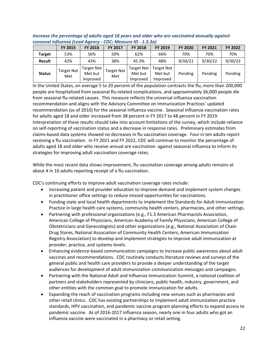|               | <b>FY 2015</b>           | <b>FY 2016</b>                           | <b>FY 2017</b>           | <b>FY 2018</b>                           | FY 2019                           | FY 2020 | FY 2021 | FY 2022 |  |  |  |  |
|---------------|--------------------------|------------------------------------------|--------------------------|------------------------------------------|-----------------------------------|---------|---------|---------|--|--|--|--|
| <b>Target</b> | 53%                      | 56%                                      | 59%                      | 62%                                      | 66%                               | 70%     | 70%     | 70%     |  |  |  |  |
| <b>Result</b> | 42%                      | 43%                                      | 38%                      | 45.3%                                    | 48%                               | 9/30/21 | 9/30/22 | 9/30/23 |  |  |  |  |
| <b>Status</b> | <b>Target Not</b><br>Met | <b>Target Not</b><br>Met but<br>Improved | <b>Target Not</b><br>Met | <b>Target Not</b><br>Met but<br>Improved | Target Not<br>Met but<br>Improved | Pending | Pending | Pending |  |  |  |  |

*Increase the percentage of adults aged 18 years and older who are vaccinated annually against seasonal influenza (Lead Agency - CDC; Measure ID - 1.3.3a)* 

In the United States, on average 5 to 20 percent of the population contracts the flu, more than 200,000 people are hospitalized from seasonal flu-related complications, and approximately 36,000 people die from seasonal flu-related causes. This measure reflects the universal influenza vaccination recommendation and aligns with the Advisory Committee on Immunization Practices' updated recommendation (as of 2010) for the seasonal influenza vaccine. Seasonal influenza vaccination rates for adults aged 18 and older increased from 38 percent in FY 2017 to 48 percent in FY 2019. Interpretation of these results should take into account limitations of the survey, which include reliance on self-reporting of vaccination status and a decrease in response rates. Preliminary estimates from claims-based data systems showed no decreases in flu vaccination coverage. Four in ten adults report receiving a flu vaccination. In FY 2021 and FY 2022, CDC will continue to monitor the percentage of adults aged 18 and older who receive annual are vaccination against seasonal influenza to inform its strategies for improving adult vaccination coverage rates.

While the most recent data shows improvement, flu vaccination coverage among adults remains at about 4 in 10 adults reporting receipt of a flu vaccination.

CDC's continuing efforts to improve adult vaccination coverage rates include:

- Increasing patient and provider education to improve demand and implement system changes in practitioner office settings to reduce missed opportunities for vaccinations.
- Funding state and local health departments to implement the Standards for Adult Immunization Practice in large health care systems, community health centers, pharmacies, and other settings.
- Partnering with professional organizations (e.g., F1.3 American Pharmacists Association, American College of Physicians, American Academy of Family Physicians, American College of Obstetricians and Gynecologists) and other organizations (e.g., National Association of Chain Drug Stores, National Association of Community Health Centers, American Immunization Registry Association) to develop and implement strategies to improve adult immunization at provider, practice, and systems levels.
- Enhancing evidence-based communication campaigns to increase public awareness about adult vaccines and recommendations. CDC routinely conducts literature reviews and surveys of the general public and health care providers to provide a deeper understanding of the target audiences for development of adult immunization communication messages and campaigns.
- Partnering with the National Adult and Influenza Immunization Summit, a national coalition of partners and stakeholders represented by clinicians, public health, industry, government, and other entities with the common goal to promote immunization for adults.
- Expanding the reach of vaccination programs including new venues such as pharmacies and other retail clinics. CDC has existing partnerships to implement adult immunization practice standards, HPV vaccination, and pandemic vaccine program planning efforts to expand access to pandemic vaccine. As of 2016-2017 influenza season, nearly one in four adults who got an influenza vaccine were vaccinated in a pharmacy or retail setting.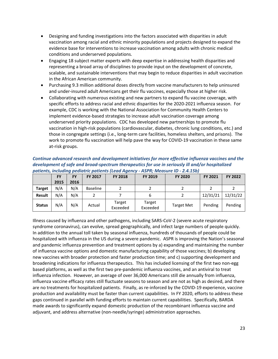- Designing and funding investigations into the factors associated with disparities in adult vaccination among racial and ethnic minority populations and projects designed to expand the evidence base for interventions to increase vaccination among adults with chronic medical conditions and underserved populations.
- Engaging 18 subject matter experts with deep expertise in addressing health disparities and representing a broad array of disciplines to provide input on the development of concrete, scalable, and sustainable interventions that may begin to reduce disparities in adult vaccination in the African American community.
- Purchasing 9.3 million additional doses directly from vaccine manufacturers to help uninsured and under-insured adult Americans get their flu vaccines, especially those at higher risk.
- Collaborating with numerous existing and new partners to expand flu vaccine coverage, with specific efforts to address racial and ethnic disparities for the 2020-2021 influenza season. For example, CDC is working with the National Association for Community Health Centers to implement evidence-based strategies to increase adult vaccination coverage among underserved priority populations. CDC has developed new partnerships to promote flu vaccination in high-risk populations (cardiovascular, diabetes, chronic lung conditions, etc.) and those in congregate settings (i.e., long-term care facilities, homeless shelters, and prisons). The work to promote flu vaccination will help pave the way for COVID-19 vaccination in these same at-risk groups.

| Continue advanced research and development initiatives for more effective influenza vaccines and the |
|------------------------------------------------------------------------------------------------------|
| development of safe and broad-spectrum therapeutics for use in seriously ill and/or hospitalized     |
| patients, including pediatric patients (Lead Agency - ASPR; Measure ID - 2.4.15b)                    |

|               | FY   | <b>FY</b> | <b>FY 2017</b>  | <b>FY 2018</b>     | <b>FY 2019</b>     | <b>FY 2020</b>    | <b>FY 2021</b> | FY 2022  |
|---------------|------|-----------|-----------------|--------------------|--------------------|-------------------|----------------|----------|
|               | 2015 | 2016      |                 |                    |                    |                   |                |          |
| <b>Target</b> | N/A  | N/A       | <b>Baseline</b> |                    |                    |                   |                |          |
| Result        | N/A  | N/A       |                 |                    | 6                  |                   | 12/31/21       | 12/31/22 |
| <b>Status</b> | N/A  | N/A       | Actual          | Target<br>Exceeded | Target<br>Exceeded | <b>Target Met</b> | Pending        | Pending  |

Illness caused by influenza and other pathogens, including SARS-CoV-2 (severe acute respiratory syndrome coronavirus), can evolve, spread geographically, and infect large numbers of people quickly. In addition to the annual toll taken by seasonal influenza, hundreds of thousands of people could be hospitalized with influenza in the US during a severe pandemic. ASPR is improving the Nation's seasonal and pandemic influenza prevention and treatment options by a) expanding and maintaining the number of influenza vaccine options and domestic manufacturing capability of those vaccines; b) developing new vaccines with broader protection and faster production time; and c) supporting development and broadening indications for influenza therapeutics. This has included licensing of the first two non-egg based platforms, as well as the first two pre-pandemic influenza vaccines, and an antiviral to treat influenza infection. However, an average of over 36,000 Americans still die annually from influenza, influenza vaccine efficacy rates still fluctuate seasons to season and are not as high as desired, and there are no treatments for hospitalized patients. Finally, as re-inforced by the COVID-19 experience, vaccine production and availability must be faster than current capabilities. In FY 2020, efforts to address these gaps continued in parallel with funding efforts to maintain current capabilities. Specifically, BARDA made awards to significantly expand domestic production of the recombinant influenza vaccine and adjuvant, and address alternative (non-needle/syringe) administration approaches.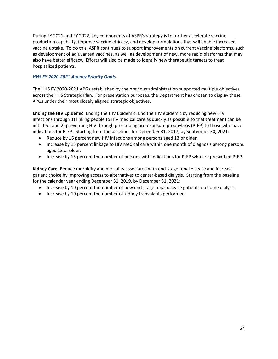During FY 2021 and FY 2022, key components of ASPR's strategy is to further accelerate vaccine production capability, improve vaccine efficacy, and develop formulations that will enable increased vaccine uptake. To do this, ASPR continues to support improvements on current vaccine platforms, such as development of adjuvanted vaccines, as well as development of new, more rapid platforms that may also have better efficacy. Efforts will also be made to identify new therapeutic targets to treat hospitalized patients.

#### *HHS FY 2020-2021 Agency Priority Goals*

The HHS FY 2020-2021 APGs established by the previous administration supported multiple objectives across the HHS Strategic Plan. For presentation purposes, the Department has chosen to display these APGs under their most closely aligned strategic objectives.

**Ending the HIV Epidemic.** Ending the HIV Epidemic. End the HIV epidemic by reducing new HIV infections through 1) linking people to HIV medical care as quickly as possible so that treatment can be initiated; and 2) preventing HIV through prescribing pre-exposure prophylaxis (PrEP) to those who have indications for PrEP. Starting from the baselines for December 31, 2017, by September 30, 2021:

- Reduce by 15 percent new HIV infections among persons aged 13 or older.
- Increase by 15 percent linkage to HIV medical care within one month of diagnosis among persons aged 13 or older.
- Increase by 15 percent the number of persons with indications for PrEP who are prescribed PrEP.

**Kidney Care.** Reduce morbidity and mortality associated with end-stage renal disease and increase patient choice by improving access to alternatives to center-based dialysis. Starting from the baseline for the calendar year ending December 31, 2019, by December 31, 2021:

- Increase by 10 percent the number of new end-stage renal disease patients on home dialysis.
- Increase by 10 percent the number of kidney transplants performed.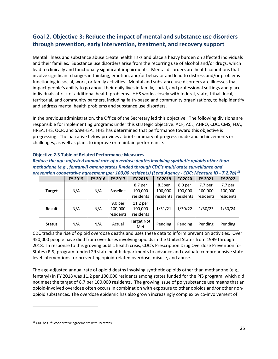# <span id="page-24-0"></span>**Goal 2. Objective 3: Reduce the impact of mental and substance use disorders through prevention, early intervention, treatment, and recovery support**

Mental illness and substance abuse create health risks and place a heavy burden on affected individuals and their families. Substance use disorders arise from the recurring use of alcohol and/or drugs, which lead to clinically and functionally significant impairments. Mental disorders are health conditions that involve significant changes in thinking, emotion, and/or behavior and lead to distress and/or problems functioning in social, work, or family activities. Mental and substance use disorders are illnesses that impact people's ability to go about their daily lives in family, social, and professional settings and place individuals at risk of additional health problems. HHS works closely with federal, state, tribal, local, territorial, and community partners, including faith-based and community organizations, to help identify and address mental health problems and substance use disorders.

In the previous administration, the Office of the Secretary led this objective. The following divisions are responsible for implementing programs under this strategic objective: ACF, ACL, AHRQ, CDC, CMS, FDA, HRSA, IHS, OCR, and SAMHSA. HHS has determined that performance toward this objective is progressing. The narrative below provides a brief summary of progress made and achievements or challenges, as well as plans to improve or maintain performance.

| methuuone (e.g., Tentunyi) umong stutes funueu tiirough CDC s multi-stute survemunte unu                     |                |                |                                            |                                  |                   |                    |                    |                               |  |  |  |
|--------------------------------------------------------------------------------------------------------------|----------------|----------------|--------------------------------------------|----------------------------------|-------------------|--------------------|--------------------|-------------------------------|--|--|--|
| prevention cooperative agreement (per 100,00 residents) (Lead Agency - CDC; Measure ID - 7.2.7b) $^{\rm 13}$ |                |                |                                            |                                  |                   |                    |                    |                               |  |  |  |
|                                                                                                              | <b>FY 2015</b> | <b>FY 2016</b> | FY 2017                                    | <b>FY 2018</b>                   | FY 2019           | <b>FY 2020</b>     | FY 2021            | FY 2022                       |  |  |  |
| <b>Target</b>                                                                                                | N/A            | N/A            | Baseline                                   | 8.7 per<br>100,000               | 8.3per<br>100,000 | 8.0 per<br>100,000 | 7.7 per<br>100,000 | 7.7 <sub>per</sub><br>100,000 |  |  |  |
|                                                                                                              |                |                |                                            | residents                        | residents         | residents          | residents          | residents                     |  |  |  |
| Result                                                                                                       | N/A            | N/A            | 9.0 <sub>per</sub><br>100,000<br>residents | 11.2 per<br>100,000<br>residents | 1/31/21           | 1/30/22            | 1/30/23            | 1/30/24                       |  |  |  |
| <b>Status</b>                                                                                                | N/A            | N/A            | Actual                                     | <b>Target Not</b><br>Met         | Pending           | Pending            | Pending            | Pending                       |  |  |  |

#### **Objective 2.3 Table of Related Performance Measures**

*Reduce the age-adjusted annual rate of overdose deaths involving synthetic opioids other than methadone (e.g., fentanyl) among states funded through CDC's multi-state surveillance and* 

CDC tracks the rise of opioid overdose deaths and uses these data to inform prevention activities. Over 450,000 people have died from overdoses involving opioids in the United States from 1999 through 2018. In response to this growing public health crisis, CDC's Prescription Drug Overdose Prevention for States (PfS) program funded 29 state health departments to advance and evaluate comprehensive statelevel interventions for preventing opioid-related overdose, misuse, and abuse.

The age-adjusted annual rate of opioid deaths involving synthetic opioids other than methadone (e.g., fentanyl) in FY 2018 was 11.2 per 100,000 residents among states funded for the PfS program, which did not meet the target of 8.7 per 100,000 residents. The growing issue of polysubstance use means that an opioid-involved overdose often occurs in combination with exposure to other opioids and/or other nonopioid substances. The overdose epidemic has also grown increasingly complex by co-involvement of

<span id="page-24-1"></span><sup>&</sup>lt;sup>13</sup> CDC has PfS cooperative agreements with 29 states.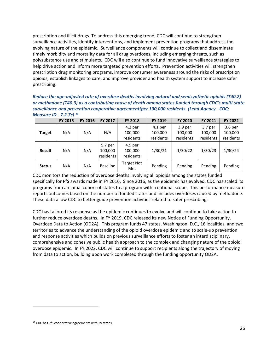prescription and illicit drugs. To address this emerging trend, CDC will continue to strengthen surveillance activities, identify interventions, and implement prevention programs that address the evolving nature of the epidemic. Surveillance components will continue to collect and disseminate timely morbidity and mortality data for all drug overdoses, including emerging threats, such as polysubstance use and stimulants. CDC will also continue to fund innovative surveillance strategies to help drive action and inform more targeted prevention efforts. Prevention activities will strengthen prescription drug monitoring programs, improve consumer awareness around the risks of prescription opioids, establish linkages to care, and improve provider and health system support to increase safer prescribing.

#### *Reduce the age-adjusted rate of overdose deaths involving natural and semisynthetic opioids (T40.2) or methadone (T40.3) as a contributing cause of death among states funded through CDC's multi-state surveillance and prevention cooperative agreement(per 100,000 residents. (Lead Agency - CDC; Measure ID - 7.2.7c) [14](#page-25-0)*

|               | <b>FY 2015</b> | <b>FY 2016</b> | FY 2017                         | <b>FY 2018</b>                  | <b>FY 2019</b>                    | <b>FY 2020</b>                  | <b>FY 2021</b>                  | FY 2022                         |
|---------------|----------------|----------------|---------------------------------|---------------------------------|-----------------------------------|---------------------------------|---------------------------------|---------------------------------|
| <b>Target</b> | N/A            | N/A            | N/A                             | 4.2 per<br>100,000<br>residents | $4.1$ per<br>100,000<br>residents | 3.9 per<br>100,000<br>residents | 3.7 per<br>100,000<br>residents | 3.6 per<br>100,000<br>residents |
| <b>Result</b> | N/A            | N/A            | 5.7 per<br>100,000<br>residents | 4.9 per<br>100,000<br>residents | 1/30/21                           | 1/30/22                         | 1/30/23                         | 1/30/24                         |
| <b>Status</b> | N/A            | N/A            | <b>Baseline</b>                 | <b>Target Not</b><br>Met        | Pending                           | Pending                         | Pending                         | Pending                         |

CDC monitors the reduction of overdose deaths involving all opioids among the states funded specifically for PfS awards made in FY 2016. Since 2016, as the epidemic has evolved, CDC has scaled its programs from an initial cohort of states to a program with a national scope. This performance measure reports outcomes based on the number of funded states and includes overdoses caused by methadone. These data allow CDC to better guide prevention activities related to safer prescribing.

CDC has tailored its response as the epidemic continues to evolve and will continue to take action to further reduce overdose deaths. In FY 2019, CDC released its new Notice of Funding Opportunity, Overdose Data to Action (OD2A). This program funds 47 states, Washington, D.C., 16 localities, and two territories to advance the understanding of the opioid overdose epidemic and to scale-up prevention and response activities which builds on previous surveillance efforts to foster an interdisciplinary, comprehensive and cohesive public health approach to the complex and changing nature of the opioid overdose epidemic. In FY 2022, CDC will continue to support recipients along the trajectory of moving from data to action, building upon work completed through the funding opportunity OD2A.

<span id="page-25-0"></span><sup>&</sup>lt;sup>14</sup> CDC has PfS cooperative agreements with 29 states.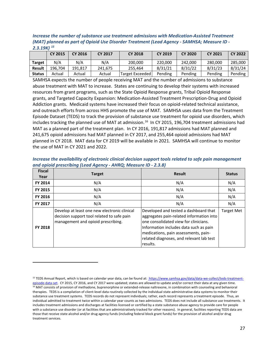*Increase the number of substance use treatment admissions with Medication-Assisted Treatment (MAT) planned as part of Opioid Use Disorder Treatment (Lead Agency - SAMHSA; Measure ID - 2.3.19K) [15](#page-26-0)*

|               | <b>CY 2015</b> | CY 2016 | <b>CY 2017</b> | <b>CY 2018</b>  | <b>CY 2019</b> | <b>CY 2020</b> | <b>CY 2021</b> | <b>CY 2022</b> |
|---------------|----------------|---------|----------------|-----------------|----------------|----------------|----------------|----------------|
| Target        | N/A            | N/A     | N/A            | 200,000         | 220,000        | 242.000        | 280,000        | 285.000        |
| <b>Result</b> | 196.704        | 191.817 | 241.675        | 255.464         | 8/31/21        | 8/31/22        | 8/31/23        | 8/31/24        |
| <b>Status</b> | Actual         | Actual  | Actual         | Target Exceeded | Pending        | Pending        | Pending        | Pending        |

SAMHSA expects the number of people receiving MAT and the number of admissions to substance abuse treatment with MAT to increase. States are continuing to develop their systems with increased resources from grant programs, such as the State Opioid Response grants, Tribal Opioid Response grants, and Targeted Capacity Expansion: Medication-Assisted Treatment Prescription-Drug and Opioid Addiction grants. Medicaid systems have increased their focus on opioid-related technical assistance, and outreach efforts from across HHS promote the use of MAT. SAMHSA uses data from the Treatment Episode Dataset (TEDS) to track the provision of substance use treatment for opioid use disorders, which includes tracking the planned use of MAT at admission.<sup>[16](#page-26-1)</sup> In CY 2015, 196,704 treatment admissions had MAT as a planned part of the treatment plan. In CY 2016, 191,817 admissions had MAT planned and 241,675 opioid admissions had MAT planned in CY 2017, and 255,464 opioid admissions had MAT planned in CY 2018. MAT data for CY 2019 will be available in 2021. SAMHSA will continue to monitor the use of MAT in CY 2021 and 2022.

*Increase the availability of electronic clinical decision support tools related to safe pain management and opioid prescribing (Lead Agency - AHRQ; Measure ID - 2.3.8)*

| <b>Fiscal</b><br>Year | <b>Target</b>                                                                                                                    | <b>Result</b>                                                                                                                                                                                                                                                        | <b>Status</b>     |
|-----------------------|----------------------------------------------------------------------------------------------------------------------------------|----------------------------------------------------------------------------------------------------------------------------------------------------------------------------------------------------------------------------------------------------------------------|-------------------|
| FY 2014               | N/A                                                                                                                              | N/A                                                                                                                                                                                                                                                                  | N/A               |
| FY 2015               | N/A                                                                                                                              | N/A                                                                                                                                                                                                                                                                  | N/A               |
| <b>FY 2016</b>        | N/A                                                                                                                              | N/A                                                                                                                                                                                                                                                                  | N/A               |
| FY 2017               | N/A                                                                                                                              | N/A                                                                                                                                                                                                                                                                  | N/A               |
| <b>FY 2018</b>        | Develop at least one new electronic clinical<br>decision support tool related to safe pain<br>management and opioid prescribing. | Developed and tested a dashboard that<br>aggregates pain-related information into<br>one consolidated view for clinicians.<br>Information includes data such as pain<br>medications, pain assessments, pain-<br>related diagnoses, and relevant lab test<br>results. | <b>Target Met</b> |

<span id="page-26-1"></span><span id="page-26-0"></span><sup>&</sup>lt;sup>15</sup> TEDS Annual Report, which is based on calendar year data, can be found at: [https://www.samhsa.gov/data/data-we-collect/teds-treatment](https://www.samhsa.gov/data/data-we-collect/teds-treatment-episode-data-set)[episode-data-set.](https://www.samhsa.gov/data/data-we-collect/teds-treatment-episode-data-set) CY 2015, CY 2016, and CY 2017 were updated; states are allowed to update and/or correct their data at any given time.<br><sup>16</sup> MAT consists of provision of methadone, buprenorphine or extended-release naltrex therapies. TEDS is a compilation of client-level data routinely collected by the individual state administrative data systems to monitor their substance use treatment systems. TEDS records do not represent individuals; rather, each record represents a treatment episode. Thus, an individual admitted to treatment twice within a calendar year counts as two admissions. TEDS does not include all substance use treatments. It includes treatment admissions and discharges at facilities licensed or certified by a state substance abuse agency to provide care for people with a substance use disorder (or at facilities that are administratively tracked for other reasons). In general, facilities reporting TEDS data are those that receive state alcohol and/or drug agency funds (including federal block grant funds) for the provision of alcohol and/or drug treatment services.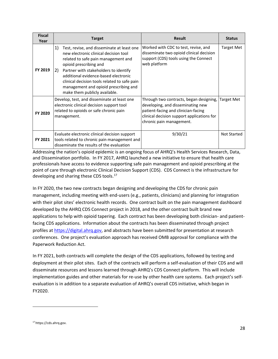| <b>Fiscal</b><br>Year | <b>Target</b>                                                                                                                                                                                                                                                                                                                                                               | <b>Result</b>                                                                                                                                                                                 | <b>Status</b>      |
|-----------------------|-----------------------------------------------------------------------------------------------------------------------------------------------------------------------------------------------------------------------------------------------------------------------------------------------------------------------------------------------------------------------------|-----------------------------------------------------------------------------------------------------------------------------------------------------------------------------------------------|--------------------|
| FY 2019               | 1)<br>Test, revise, and disseminate at least one<br>new electronic clinical decision tool<br>related to safe pain management and<br>opioid prescribing and<br>2)<br>Partner with stakeholders to identify<br>additional evidence-based electronic<br>clinical decision tools related to safe pain<br>management and opioid prescribing and<br>make them publicly available. | Worked with CDC to test, revise, and<br>disseminate two opioid clinical decision<br>support (CDS) tools using the Connect<br>web platform                                                     | Target Met         |
| FY 2020               | Develop, test, and disseminate at least one<br>electronic clinical decision support tool<br>related to opioids or safe chronic pain<br>management.                                                                                                                                                                                                                          | Through two contracts, began designing,<br>developing, and disseminating new<br>patient-facing and clinician-facing<br>clinical decision support applications for<br>chronic pain management. | <b>Target Met</b>  |
| FY 2021               | Evaluate electronic clinical decision support<br>tools related to chronic pain management and<br>disseminate the results of the evaluation                                                                                                                                                                                                                                  | 9/30/21                                                                                                                                                                                       | <b>Not Started</b> |

Addressing the nation's opioid epidemic is an ongoing focus of AHRQ's Health Services Research, Data, and Dissemination portfolio. In FY 2017, AHRQ launched a new initiative to ensure that health care professionals have access to evidence supporting safe pain management and opioid prescribing at the point of care through electronic Clinical Decision Support (CDS). CDS Connect is the infrastructure for developing and sharing these CDS tools.<sup>[17](#page-27-0)</sup>

In FY 2020, the two new contracts began designing and developing the CDS for chronic pain management, including meeting with end-users (e.g., patients, clinicians) and planning for integration with their pilot sites' electronic health records. One contract built on the pain management dashboard developed by the AHRQ CDS Connect project in 2018, and the other contract built brand new applications to help with opioid tapering. Each contract has been developing both clinician- and patientfacing CDS applications. Information about the contracts has been disseminated through project profiles a[t https://digital.ahrq.gov,](https://digital.ahrq.gov/) and abstracts have been submitted for presentation at research conferences. One project's evaluation approach has received OMB approval for compliance with the Paperwork Reduction Act.

In FY 2021, both contracts will complete the design of the CDS applications, followed by testing and deployment at their pilot sites. Each of the contracts will perform a self-evaluation of their CDS and will disseminate resources and lessons learned through AHRQ's CDS Connect platform. This will include implementation guides and other materials for re-use by other health care systems. Each project's selfevaluation is in addition to a separate evaluation of AHRQ's overall CDS initiative, which began in FY2020.

<span id="page-27-0"></span><sup>17</sup> https://cds.ahrq.gov.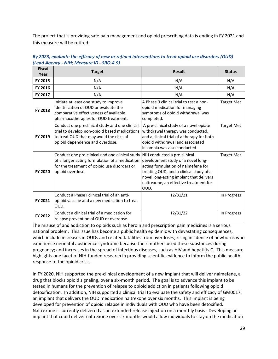The project that is providing safe pain management and opioid prescribing data is ending in FY 2021 and this measure will be retired.

| <b>Fiscal</b><br>Year | <b>Target</b>                                                                                                                                                                  | <b>Result</b>                                                                                                                                                                                                                                     | <b>Status</b>     |
|-----------------------|--------------------------------------------------------------------------------------------------------------------------------------------------------------------------------|---------------------------------------------------------------------------------------------------------------------------------------------------------------------------------------------------------------------------------------------------|-------------------|
| FY 2015               | N/A                                                                                                                                                                            | N/A                                                                                                                                                                                                                                               | N/A               |
| FY 2016               | N/A                                                                                                                                                                            | N/A                                                                                                                                                                                                                                               | N/A               |
| FY 2017               | N/A                                                                                                                                                                            | N/A                                                                                                                                                                                                                                               | N/A               |
| FY 2018               | Initiate at least one study to improve<br>identification of OUD or evaluate the<br>comparative effectiveness of available<br>pharmacotherapies for OUD treatment.              | A Phase 3 clinical trial to test a non-<br>opioid medication for managing<br>symptoms of opioid withdrawal was<br>completed.                                                                                                                      | <b>Target Met</b> |
| FY 2019               | Conduct one preclinical study and one clinical<br>trial to develop non-opioid based medications<br>to treat OUD that may avoid the risks of<br>opioid dependence and overdose. | A pre-clinical study of a novel opiate<br>withdrawal therapy was conducted,<br>and a clinical trial of a therapy for both<br>opioid withdrawal and associated<br>insomnia was also conducted.                                                     | <b>Target Met</b> |
| FY 2020               | Conduct one pre-clinical and one clinical study<br>of a longer acting formulation of a medication<br>for the treatment of opioid use disorders or<br>opioid overdose.          | NIH conducted a pre-clinical<br>development study of a novel long-<br>acting formulation of nalmefene for<br>treating OUD, and a clinical study of a<br>novel long-acting implant that delivers<br>naltrexone, an effective treatment for<br>OUD. | <b>Target Met</b> |
| FY 2021               | Conduct a Phase I clinical trial of an anti-<br>opioid vaccine and a new medication to treat<br>OUD.                                                                           | 12/31/21                                                                                                                                                                                                                                          | In Progress       |
| FY 2022               | Conduct a clinical trial of a medication for<br>relapse prevention of OUD or overdose.                                                                                         | 12/31/22                                                                                                                                                                                                                                          | In Progress       |

*By 2023, evaluate the efficacy of new or refined interventions to treat opioid use disorders (OUD) (Lead Agency - NIH; Measure ID - SRO-4.9)* 

The misuse of and addiction to opioids such as heroin and prescription pain medicines is a serious national problem. This issue has become a public health epidemic with devastating consequences, which include increases in OUDs and related fatalities from overdoses; rising incidence of newborns who experience neonatal abstinence syndrome because their mothers used these substances during pregnancy; and increases in the spread of infectious diseases, such as HIV and hepatitis C. This measure highlights one facet of NIH-funded research in providing scientific evidence to inform the public health response to the opioid crisis.

In FY 2020, NIH supported the pre-clinical development of a new implant that will deliver nalmefene, a drug that blocks opioid signaling, over a six-month period. The goal is to advance this implant to be tested in humans for the prevention of relapse to opioid addiction in patients following opioid detoxification. In addition, NIH supported a clinical trial to evaluate the safety and efficacy of GM0017, an implant that delivers the OUD medication naltrexone over six months. This implant is being developed for prevention of opioid relapse in individuals with OUD who have been detoxified. Naltrexone is currently delivered as an extended-release injection on a monthly basis. Developing an implant that could deliver naltrexone over six months would allow individuals to stay on the medication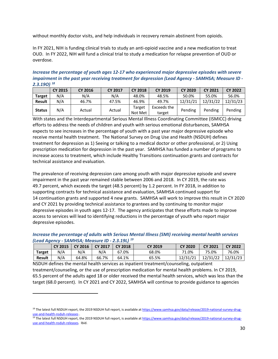without monthly doctor visits, and help individuals in recovery remain abstinent from opioids.

In FY 2021, NIH is funding clinical trials to study an anti-opioid vaccine and a new medication to treat OUD. In FY 2022, NIH will fund a clinical trial to study a medication for relapse prevention of OUD or overdose.

*Increase the percentage of youth ages 12-17 who experienced major depressive episodes with severe impairment in the past year receiving treatment for depression (Lead Agency - SAMHSA; Measure ID - 2.3.19O) [18](#page-29-0)*

|               | <b>CY 2015</b> | <b>CY 2016</b> | <b>CY 2017</b> | <b>CY 2018</b>    | <b>CY 2019</b>        | <b>CY 2020</b> | <b>CY 2021</b> | <b>CY 2022</b> |
|---------------|----------------|----------------|----------------|-------------------|-----------------------|----------------|----------------|----------------|
| <b>Target</b> | N/A            | N/A            | N/A            | 48.0%             | 48.5%                 | 50.0%          | 55.0%          | 56.0%          |
| Result        | N/A            | 46.7%          | 47.5%          | 46.9%             | 49.7%                 | 12/31/21       | 12/31/22       | 12/31/23       |
| <b>Status</b> | N/A            | Actual         | Actual         | Target<br>Not Met | Exceeds the<br>target | Pending        | Pending        | Pending        |

With states and the Interdepartmental Serious Mental Illness Coordinating Committee (ISMICC) driving efforts to address the needs of children and youth with serious emotional disturbances, SAMHSA expects to see increases in the percentage of youth with a past year major depressive episode who receive mental health treatment. The National Survey on Drug Use and Health (NSDUH) defines treatment for depression as 1) Seeing or talking to a medical doctor or other professional, or 2) Using prescription medication for depression in the past year. SAMHSA has funded a number of programs to increase access to treatment, which include Healthy Transitions continuation grants and contracts for technical assistance and evaluation.

The prevalence of receiving depression care among youth with major depressive episode and severe impairment in the past year remained stable between 2006 and 2018. In CY 2019, the rate was 49.7 percent, which exceeds the target (48.5 percent) by 1.2 percent. In FY 2018, in addition to supporting contracts for technical assistance and evaluation, SAMHSA continued support for 14 continuation grants and supported 4 new grants. SAMHSA will work to improve this result in CY 2020 and CY 2021 by providing technical assistance to grantees and by continuing to monitor major depressive episodes in youth ages 12-17. The agency anticipates that these efforts made to improve access to services will lead to identifying reductions in the percentage of youth who report major depressive episodes.

*Increase the percentage of adults with Serious Mental Illness (SMI) receiving mental health services (Lead Agency - SAMHSA; Measure ID - 2.3.19L) [19](#page-29-1)*

|               | <b>CY 2015</b> | <b>CY 2016</b> | <b>CY 2017</b> | <b>CY 2018</b> | <b>CY 2019</b> | <b>CY 2020</b> | <b>CY 2021</b> | <b>CY 2022</b> |
|---------------|----------------|----------------|----------------|----------------|----------------|----------------|----------------|----------------|
| <b>Target</b> | N/A            | N/A            | N/A            | 67.0%          | 68.0%          | 71.0%          | 75.0%          | 76.0%          |
| <b>Result</b> | N/A            | 64.8%          | 66.7%          | 64.1%          | 65.5%          | 12/31/21       | 12/31/22       | 12/31/23       |

NSDUH defines the mental health services as inpatient treatment/counseling, outpatient treatment/counseling, or the use of prescription medication for mental health problems. In CY 2019, 65.5 percent of the adults aged 18 or older received the mental health services, which was less than the target (68.0 percent). In CY 2021 and CY 2022, SAMHSA will continue to provide guidance to agencies

<span id="page-29-0"></span><sup>&</sup>lt;sup>18</sup> The latest full NSDUH report, the 2019 NSDUH full report, is available a[t https://www.samhsa.gov/data/release/2019-national-survey-drug](https://www.samhsa.gov/data/release/2019-national-survey-drug-use-and-health-nsduh-releases)[use-and-health-nsduh-releases](https://www.samhsa.gov/data/release/2019-national-survey-drug-use-and-health-nsduh-releases) .

<span id="page-29-1"></span><sup>&</sup>lt;sup>19</sup> The latest full NSDUH report, the 2019 NSDUH full report, is available at <u>https://www.samhsa.gov/data/release/2019-national-survey-drug-</u> [use-and-health-nsduh-releases.](https://www.samhsa.gov/data/release/2019-national-survey-drug-use-and-health-nsduh-releases) Ibid.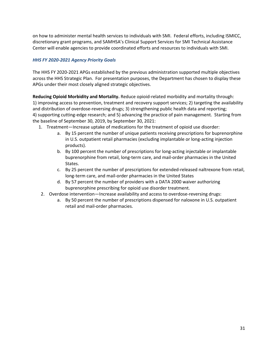on how to administer mental health services to individuals with SMI. Federal efforts, including ISMICC, discretionary grant programs, and SAMHSA's Clinical Support Services for SMI Technical Assistance Center will enable agencies to provide coordinated efforts and resources to individuals with SMI.

#### *HHS FY 2020-2021 Agency Priority Goals*

The HHS FY 2020-2021 APGs established by the previous administration supported multiple objectives across the HHS Strategic Plan. For presentation purposes, the Department has chosen to display these APGs under their most closely aligned strategic objectives.

**Reducing Opioid Morbidity and Mortality.** Reduce opioid-related morbidity and mortality through: 1) improving access to prevention, treatment and recovery support services; 2) targeting the availability and distribution of overdose-reversing drugs; 3) strengthening public health data and reporting; 4) supporting cutting-edge research; and 5) advancing the practice of pain management. Starting from the baseline of September 30, 2019, by September 30, 2021:

- 1. Treatment—Increase uptake of medications for the treatment of opioid use disorder:
	- a. By 15 percent the number of unique patients receiving prescriptions for buprenorphine in U.S. outpatient retail pharmacies (excluding implantable or long-acting injection products).
	- b. By 100 percent the number of prescriptions for long-acting injectable or implantable buprenorphine from retail, long-term care, and mail-order pharmacies in the United States.
	- c. By 25 percent the number of prescriptions for extended-released naltrexone from retail, long-term care, and mail-order pharmacies in the United States
	- d. By 57 percent the number of providers with a DATA 2000 waiver authorizing buprenorphine prescribing for opioid use disorder treatment.
- 2. Overdose intervention—Increase availability and access to overdose-reversing drugs:
	- a. By 50 percent the number of prescriptions dispensed for naloxone in U.S. outpatient retail and mail-order pharmacies.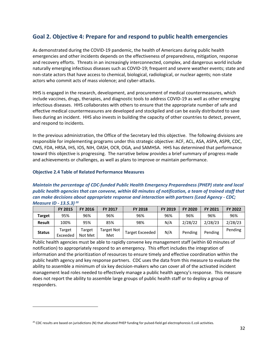### <span id="page-31-0"></span>**Goal 2. Objective 4: Prepare for and respond to public health emergencies**

As demonstrated during the COVID-19 pandemic, the health of Americans during public health emergencies and other incidents depends on the effectiveness of preparedness, mitigation, response and recovery efforts. Threats in an increasingly interconnected, complex, and dangerous world include naturally emerging infectious diseases such as COVID-19; frequent and severe weather events; state and non-state actors that have access to chemical, biological, radiological, or nuclear agents; non-state actors who commit acts of mass violence; and cyber-attacks.

HHS is engaged in the research, development, and procurement of medical countermeasures, which include vaccines, drugs, therapies, and diagnostic tools to address COVID-19 as well as other emerging infectious diseases. HHS collaborates with others to ensure that the appropriate number of safe and effective medical countermeasures are developed and stockpiled and can be easily distributed to save lives during an incident. HHS also invests in building the capacity of other countries to detect, prevent, and respond to incidents.

In the previous administration, the Office of the Secretary led this objective. The following divisions are responsible for implementing programs under this strategic objective: ACF, ACL, ASA, ASPA, ASPR, CDC, CMS, FDA, HRSA, IHS, IOS, NIH, OASH, OCR, OGA, and SAMHSA. HHS has determined that performance toward this objective is progressing. The narrative below provides a brief summary of progress made and achievements or challenges, as well as plans to improve or maintain performance.

#### **Objective 2.4 Table of Related Performance Measures**

#### *Maintain the percentage of CDC-funded Public Health Emergency Preparedness (PHEP) state and local public health agencies that can convene, within 60 minutes of notification, a team of trained staff that can make decisions about appropriate response and interaction with partners (Lead Agency - CDC; Measure ID - 13.5.3) [20](#page-31-1)*

|               | <b>FY 2015</b>     | <b>FY 2016</b>    | <b>FY 2017</b>    | <b>FY 2018</b>         | <b>FY 2019</b> | <b>FY 2020</b> | FY 2021 | <b>FY 2022</b> |
|---------------|--------------------|-------------------|-------------------|------------------------|----------------|----------------|---------|----------------|
| <b>Target</b> | 95%                | 96%               | 96%               | 96%                    | 96%            | 96%            | 96%     | 96%            |
| Result        | 100%               | 95%               | 85%               | 98%                    | N/A            | 2/28/22        | 2/28/23 | 2/28/23        |
| <b>Status</b> | Target<br>Exceeded | Target<br>Not Met | Target Not<br>Met | <b>Target Exceeded</b> | N/A            | Pending        | Pending | Pending        |

Public health agencies must be able to rapidly convene key management staff (within 60 minutes of notification) to appropriately respond to an emergency. This effort includes the integration of information and the prioritization of resources to ensure timely and effective coordination within the public health agency and key response partners. CDC uses the data from this measure to evaluate the ability to assemble a minimum of six key decision-makers who can cover all of the activated incident management lead roles needed to effectively manage a public health agency's response. This measure does not report the ability to assemble large groups of public health staff or to deploy a group of responders.

<span id="page-31-1"></span> $^{20}$  CDC results are based on jurisdictions (N) that allocated PHEP funding for pulsed-field gel electrophoresis E.coli activities.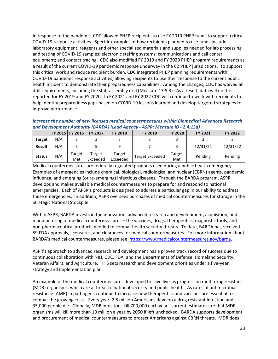In response to the pandemic, CDC allowed PHEP recipients to use FY 2019 PHEP funds to support critical COVID-19 response activities. Specific examples of how recipients planned to use funds include laboratory equipment, reagents and other specialized materials and supplies needed for lab processing and testing of COVID-19 samples; electronic staffing systems; communications and call center equipment; and contact tracing. CDC also modified FY 2019 and FY 2020 PHEP program requirements as a result of the current COVID-19 pandemic response underway in the 62 PHEP jurisdictions. To support this critical work and reduce recipient burden, CDC integrated PHEP planning requirements with COVID-19 pandemic response activities, allowing recipients to use their response to the current public health incident to demonstrate their preparedness capabilities. Among the changes, CDC has waived all drill requirements, including the staff assembly drill (Measure 13.5.3). As a result, data will not be reported for FY 2019 and FY 2020. In FY 2021 and FY 2022 CDC will continue to work with recipients to help identify preparedness gaps based on COVID-19 lessons learned and develop targeted strategies to improve performance.

*Increase the number of new licensed medical countermeasures within Biomedical Advanced Research and Development Authority (BARDA) (Lead Agency - ASPR; Measure ID - 2.4.13a)* 

|               |     | FY 2015 FY 2016 | <b>FY 2017</b>     | <b>FY 2018</b>     | FY 2019                | <b>FY 2020</b> | <b>FY 2021</b> | FY 2022  |
|---------------|-----|-----------------|--------------------|--------------------|------------------------|----------------|----------------|----------|
| <b>Target</b> | N/A |                 |                    |                    |                        |                |                |          |
| <b>Result</b> | N/A |                 |                    | 9                  |                        |                | 12/31/21       | 12/31/22 |
| <b>Status</b> | N/A | Target<br>Met   | Target<br>Exceeded | Target<br>Exceeded | <b>Target Exceeded</b> | Target<br>Met  | Pending        | Pending  |

Medical countermeasures are federally regulated products used during a public health emergency. Examples of emergencies include chemical, biological, radiological and nuclear (CBRN) agents, pandemic influenza, and emerging (or re-emerging) infectious diseases. Through the BARDA program, ASPR develops and makes available medical countermeasures to prepare for and respond to national emergencies. Each of APSR's products is designed to address a particular gap in our ability to address these emergencies. In addition, ASPR oversees purchases of medical countermeasures for storage in the Strategic National Stockpile.

Within ASPR, BARDA invests in the innovation, advanced research and development, acquisition, and manufacturing of medical countermeasures – the vaccines, drugs, therapeutics, diagnostic tools, and non-pharmaceutical products needed to combat health security threats. To date, BARDA has received 59 FDA approvals, licensures, and clearances for medical countermeasures. For more information about BARDA's medical countermeasures, please see [https://www.medicalcountermeasures.gov/barda.](https://www.medicalcountermeasures.gov/barda)

ASPR's approach to advanced research and development has a proven track record of success due to continuous collaboration with NIH, CDC, FDA, and the Departments of Defense, Homeland Security, Veteran Affairs, and Agriculture. HHS sets research and development priorities under a five-year strategy and implementation plan.

An example of the medical countermeasures developed to save lives is progress on multi-drug resistant (MDR) organisms, which are a threat to national security and public health. As rates of antimicrobial resistance (AMR) in pathogens continue to increase new therapeutics and vaccines are essential to combat the growing crisis. Every year, 2.8 million Americans develop a drug resistant infection and 35,000 people die. Globally, MDR infections kill 700,000 each year - current estimates are that MDR organisms will kill more than 10 million a year by 2050 if left unchecked. BARDA supports development and procurement of medical countermeasures to protect Americans against CBRN threats. MDR does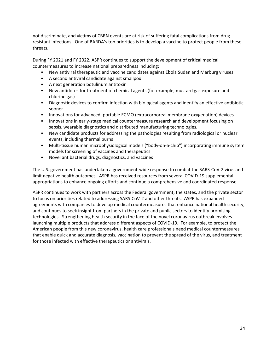not discriminate, and victims of CBRN events are at risk of suffering fatal complications from drug resistant infections. One of BARDA's top priorities is to develop a vaccine to protect people from these threats.

During FY 2021 and FY 2022, ASPR continues to support the development of critical medical countermeasures to increase national preparedness including:

- New antiviral therapeutic and vaccine candidates against Ebola Sudan and Marburg viruses
- A second antiviral candidate against smallpox
- A next generation botulinum antitoxin
- New antidotes for treatment of chemical agents (for example, mustard gas exposure and chlorine gas)
- Diagnostic devices to confirm infection with biological agents and identify an effective antibiotic sooner
- Innovations for advanced, portable ECMO (extracorporeal membrane oxygenation) devices
- Innovations in early-stage medical countermeasure research and development focusing on sepsis, wearable diagnostics and distributed manufacturing technologies,
- New candidate products for addressing the pathologies resulting from radiological or nuclear events, including thermal burns
- Multi-tissue human microphysiological models ("body-on-a-chip") incorporating immune system models for screening of vaccines and therapeutics
- Novel antibacterial drugs, diagnostics, and vaccines

The U.S. government has undertaken a government-wide response to combat the SARS-CoV-2 virus and limit negative health outcomes. ASPR has received resources from several COVID-19 supplemental appropriations to enhance ongoing efforts and continue a comprehensive and coordinated response.

ASPR continues to work with partners across the Federal government, the states, and the private sector to focus on priorities related to addressing SARS-CoV-2 and other threats. ASPR has expanded agreements with companies to develop medical countermeasures that enhance national health security, and continues to seek insight from partners in the private and public sectors to identify promising technologies. Strengthening health security in the face of the novel coronavirus outbreak involves launching multiple products that address different aspects of COVID-19. For example, to protect the American people from this new coronavirus, health care professionals need medical countermeasures that enable quick and accurate diagnosis, vaccination to prevent the spread of the virus, and treatment for those infected with effective therapeutics or antivirals.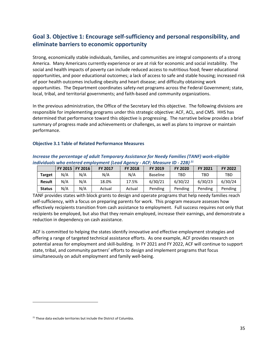# <span id="page-34-0"></span>**Goal 3. Objective 1: Encourage self-sufficiency and personal responsibility, and eliminate barriers to economic opportunity**

Strong, economically stable individuals, families, and communities are integral components of a strong America. Many Americans currently experience or are at risk for economic and social instability. The social and health impacts of poverty can include reduced access to nutritious food; fewer educational opportunities, and poor educational outcomes; a lack of access to safe and stable housing; increased risk of poor health outcomes including obesity and heart disease; and difficulty obtaining work opportunities. The Department coordinates safety-net programs across the Federal Government; state, local, tribal, and territorial governments; and faith-based and community organizations.

In the previous administration, the Office of the Secretary led this objective. The following divisions are responsible for implementing programs under this strategic objective: ACF, ACL, and CMS. HHS has determined that performance toward this objective is progressing. The narrative below provides a brief summary of progress made and achievements or challenges, as well as plans to improve or maintain performance.

#### **Objective 3.1 Table of Related Performance Measures**

| Increase the percentage of adult Temporary Assistance for Needy Families (TANF) work-eligible |
|-----------------------------------------------------------------------------------------------|
| individuals who entered employment (Lead Agency - ACF; Measure ID - 22B) $^{21}$              |

|               |     | FY 2015   FY 2016 | <b>FY 2017</b> | <b>FY 2018</b> | <b>FY 2019</b>  | <b>FY 2020</b> | <b>FY 2021</b> | <b>FY 2022</b> |
|---------------|-----|-------------------|----------------|----------------|-----------------|----------------|----------------|----------------|
| <b>Target</b> | N/A | N/A               | N/A            | N/A            | <b>Baseline</b> | TBD            | TBD            | TBD            |
| Result        | N/A | N/A               | 18.0%          | 17.5%          | 6/30/21         | 6/30/22        | 6/30/23        | 6/30/24        |
| <b>Status</b> | N/A | N/A               | Actual         | Actual         | Pending         | Pending        | Pending        | Pending        |

TANF provides states with block grants to design and operate programs that help needy families reach self-sufficiency, with a focus on preparing parents for work. This program measure assesses how effectively recipients transition from cash assistance to employment. Full success requires not only that recipients be employed, but also that they remain employed, increase their earnings, and demonstrate a reduction in dependency on cash assistance.

ACF is committed to helping the states identify innovative and effective employment strategies and offering a range of targeted technical assistance efforts. As one example, ACF provides research on potential areas for employment and skill-building. In FY 2021 and FY 2022, ACF will continue to support state, tribal, and community partners' efforts to design and implement programs that focus simultaneously on adult employment and family well-being.

<span id="page-34-1"></span><sup>&</sup>lt;sup>21</sup> These data exclude territories but include the District of Columbia.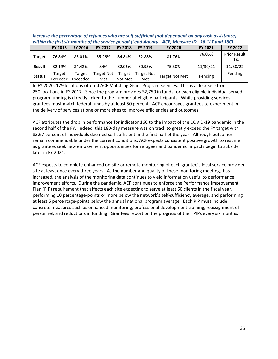| <u>WILIIIII CHC JIISC SIA MOMENS OF CIC SCIVICC DEMOGRACIC AQCHCY - ACI , IVICUSULE ID - IOIIET UMU IOCI</u> |                    |                    |                   |                   |                     |                       |                |                       |
|--------------------------------------------------------------------------------------------------------------|--------------------|--------------------|-------------------|-------------------|---------------------|-----------------------|----------------|-----------------------|
|                                                                                                              | <b>FY 2015</b>     | FY 2016            | <b>FY 2017</b>    | <b>FY 2018</b>    | <b>FY 2019</b>      | <b>FY 2020</b>        | <b>FY 2021</b> | <b>FY 2022</b>        |
| <b>Target</b>                                                                                                | 76.84%             | 83.01%             | 85.26%            | 84.84%            | 82.88%              | 81.76%                | 76.05%         | Prior Result<br>$+1%$ |
| <b>Result</b>                                                                                                | 82.19%             | 84.42%             | 84%               | 82.06%            | 80.95%              | 75.30%                | 11/30/21       | 11/30/22              |
| <b>Status</b>                                                                                                | Target<br>Exceeded | Target<br>Exceeded | Target Not<br>Met | Target<br>Not Met | Farget Not  <br>Met | <b>Target Not Met</b> | Pending        | Pending               |

*Increase the percentage of refugees who are self-sufficient (not dependent on any cash assistance) within the first six months of the service period (Lead Agency - ACF; Measure ID - 16.1LT and 16C)*

In FY 2020, 179 locations offered ACF Matching Grant Program services. This is a decrease from 250 locations in FY 2017. Since the program provides \$2,750 in funds for each eligible individual served, program funding is directly linked to the number of eligible participants. While providing services, grantees must match federal funds by at least 50 percent. ACF encourages grantees to experiment in the delivery of services at one or more sites to improve efficiencies and outcomes.

ACF attributes the drop in performance for indicator 16C to the impact of the COVID-19 pandemic in the second half of the FY. Indeed, this 180-day measure was on track to greatly exceed the FY target with 83.67 percent of individuals deemed self-sufficient in the first half of the year. Although outcomes remain commendable under the current conditions, ACF expects consistent positive growth to resume as grantees seek new employment opportunities for refugees and pandemic impacts begin to subside later in FY 2021.

ACF expects to complete enhanced on-site or remote monitoring of each grantee's local service provider site at least once every three years. As the number and quality of these monitoring meetings has increased, the analysis of the monitoring data continues to yield information useful to performance improvement efforts. During the pandemic, ACF continues to enforce the Performance Improvement Plan (PIP) requirement that affects each site expecting to serve at least 50 clients in the fiscal year, performing 10 percentage-points or more below the network's self-sufficiency average, and performing at least 5 percentage-points below the annual national program average. Each PIP must include concrete measures such as enhanced monitoring, professional development training, reassignment of personnel, and reductions in funding. Grantees report on the progress of their PIPs every six months.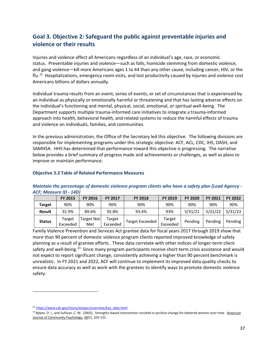# **Goal 3. Objective 2: Safeguard the public against preventable injuries and violence or their results**

Injuries and violence affect all Americans regardless of an individual's age, race, or economic status. Preventable injuries and violence—such as falls, homicide stemming from domestic violence, and gang violence—kill more Americans ages 1 to 44 than any other cause, including cancer, HIV, or the flu.<sup>[22](#page-36-0)</sup> Hospitalizations, emergency room visits, and lost productivity caused by injuries and violence cost Americans billions of dollars annually.

Individual trauma results from an event, series of events, or set of circumstances that is experienced by an individual as physically or emotionally harmful or threatening and that has lasting adverse effects on the individual's functioning and mental, physical, social, emotional, or spiritual well-being. The Department supports multiple trauma-informed care initiatives to integrate a trauma-informed approach into health, behavioral health, and related systems to reduce the harmful effects of trauma and violence on individuals, families, and communities.

In the previous administration, the Office of the Secretary led this objective. The following divisions are responsible for implementing programs under this strategic objective: ACF, ACL, CDC, IHS, OASH, and SAMHSA. HHS has determined that performance toward this objective is progressing. The narrative below provides a brief summary of progress made and achievements or challenges, as well as plans to improve or maintain performance.

#### **Objective 3.2 Table of Related Performance Measures**

### *Maintain the percentage of domestic violence program clients who have a safety plan (Lead Agency - ACF; Measure ID - 14D)*

|               | <b>FY 2015</b>     | <b>FY 2016</b>    | FY 2017            | <b>FY 2018</b>         | <b>FY 2019</b>     | <b>FY 2020</b> | <b>FY 2021</b> | <b>FY 2022</b> |
|---------------|--------------------|-------------------|--------------------|------------------------|--------------------|----------------|----------------|----------------|
| Target        | 90%                | 90%               | 90%                | 90%                    | 90%                | 90%            | 90%            | 90%            |
| <b>Result</b> | 91.9%              | 89.6%             | 92.8%              | 93.4%                  | 93%                | 5/31/21        | 5/31/22        | 5/31/23        |
| <b>Status</b> | Target<br>Exceeded | Target Not<br>Met | Target<br>Exceeded | <b>Target Exceeded</b> | Target<br>Exceeded | Pending        | Pending        | Pending        |

Family Violence Prevention and Services Act grantee data for fiscal years 2017 through 2019 show that more than 90 percent of domestic violence program clients reported improved knowledge of safety planning as a result of grantee efforts. These data correlate with other indices of longer-term client safety and well-being.<sup>23</sup> Since many program participants receive short-term crisis assistance and would not expect to report significant change, consistently achieving a higher than 90 percent benchmark is unrealistic. In FY 2021 and 2022, ACF will continue to implement its improved data quality checks to ensure data accuracy as well as work with the grantees to identify ways to promote domestic violence safety.

<span id="page-36-0"></span><sup>22</sup> [https://www.cdc.gov/injury/wisqars/overview/key\\_data.html](https://www.cdc.gov/injury/wisqars/overview/key_data.html)

<span id="page-36-1"></span><sup>&</sup>lt;sup>23</sup> Bybee, D. I., and Sullivan, C. M. (2002). Strengths-based intervention resulted in positive change for battered women over time. American Journal of Community Psychology, 30(1), 103-132.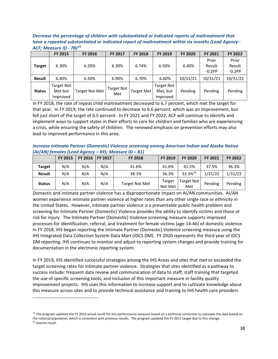*Decrease the percentage of children with substantiated or indicated reports of maltreatment that have a repeated substantiated or indicated report of maltreatment within six months (Lead Agency - ACF; Measure ID - 7B)[24](#page-37-0)*

|               | <b>FY 2015</b>                    | <b>FY 2016</b>        | <b>FY 2017</b>           | <b>FY 2018</b>    | FY 2019                                   | <b>FY 2020</b> | <b>FY 2021</b>              | FY 2022                     |
|---------------|-----------------------------------|-----------------------|--------------------------|-------------------|-------------------------------------------|----------------|-----------------------------|-----------------------------|
| <b>Target</b> | 6.30%                             | 6.20%                 | 6.30%                    | 6.74%             | 6.50%                                     | 6.40%          | Prior<br>Result<br>$-0.2PP$ | Prior<br>Result<br>$-0.2PP$ |
| <b>Result</b> | 6.40%                             | 6.50%                 | 6.90%                    | 6.70%             | 6.60%                                     | 10/31/21       | 10/31/21                    | 10/31/22                    |
| <b>Status</b> | Target Not<br>Met but<br>Improved | <b>Target Not Met</b> | <b>Target Not</b><br>Met | <b>Target Met</b> | <b>Target Not</b><br>Met, but<br>Improved | Pending        | Pending                     | Pending                     |

In FY 2018, the rate of repeat child maltreatment decreased to 6.7 percent, which met the target for that year. In FY 2019, the rate continued to decrease to 6.6 percent, which was an improvement, but fell just short of the target of 6.5 percent. In FY 2021 and FY 2022, ACF will continue to identify and implement ways to support states in their efforts to care for children and families who are experiencing a crisis, while ensuring the safety of children. The renewed emphasis on prevention efforts may also lead to improved performance in this area.

*Increase Intimate Partner (Domestic) Violence screening among American Indian and Alaska Native (AI/AN) females (Lead Agency – IHS; Measure ID – 81)*

|               | <b>FY 2015</b> | FY 2016 | FY 2017 | <b>FY 2018</b>        | <b>FY 2019</b>    | <b>FY 2020</b>      | <b>FY 2021</b> | <b>FY 2022</b> |
|---------------|----------------|---------|---------|-----------------------|-------------------|---------------------|----------------|----------------|
| <b>Target</b> | N/A            | N/A     | N/A     | 41.6%                 | 41.6%             | 41.5%               | 37.5%          | 36.3%          |
| Result        | N/A            | N/A     | N/A     | 38.1%                 | 36.3%             | 33.3% <sup>25</sup> | 1/31/22        | 1/31/23        |
| <b>Status</b> | N/A            | N/A     | N/A     | <b>Target Not Met</b> | Target<br>Not Met | Target Not<br>Met   | Pending        | Pending        |

Domestic and intimate partner violence has a disproportionate impact on AI/AN communities. AI/AN women experience intimate partner violence at higher rates than any other single race or ethnicity in the United States. However, intimate partner violence is a preventable public health problem and screening for Intimate Partner (Domestic) Violence provides the ability to identify victims and those at risk for injury. The Intimate Partner (Domestic) Violence screening measure supports improved processes for identification, referral, and treatment for female victims (age 14-46) of domestic violence. In FY 2018, IHS began reporting the Intimate Partner (Domestic) Violence screening measure using the IHS Integrated Data Collection System Data Mart (IDCS DM). FY 2020 represents the third year of IDCS DM reporting; IHS continues to monitor and adjust to reporting system changes and provide training for documentation in the electronic reporting system.

In FY 2019, IHS identified successful strategies among the IHS Areas and sites that met or exceeded the target screening rates for intimate partner violence. Strategies that sites identified as a pathway to success include: frequent data review and communication of data to staff; staff training that targeted the use of specific screening tools; and inclusion of this important measure in facility quality improvement projects. IHS uses this information to increase support and to cultivate knowledge about this measure across sites and to provide technical assistance and training to IHS health care providers

<span id="page-37-1"></span><span id="page-37-0"></span><sup>&</sup>lt;sup>24</sup> The program updated the FY 2016 actual result for this performance measure based on a technical correction to calculate the data based on the national population, which is consistent with previous results. The program updated the FY 2017 target due to this change. <sup>25</sup> Interim result.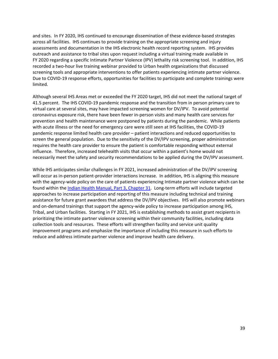and sites. In FY 2020, IHS continued to encourage dissemination of these evidence-based strategies across all facilities. IHS continues to provide training on the appropriate screening and injury assessments and documentation in the IHS electronic health record reporting system. IHS provides outreach and assistance to tribal sites upon request including a virtual training made available in FY 2020 regarding a specific Intimate Partner Violence (IPV) lethality risk screening tool. In addition, IHS recorded a two-hour live training webinar provided to Urban health organizations that discussed screening tools and appropriate interventions to offer patients experiencing intimate partner violence. Due to COVID-19 response efforts, opportunities for facilities to participate and complete trainings were limited.

Although several IHS Areas met or exceeded the FY 2020 target, IHS did not meet the national target of 41.5 percent. The IHS COVID-19 pandemic response and the transition from in person primary care to virtual care at several sites, may have impacted screening women for DV/IPV. To avoid potential coronavirus exposure risk, there have been fewer in-person visits and many health care services for prevention and health maintenance were postponed by patients during the pandemic. While patients with acute illness or the need for emergency care were still seen at IHS facilities, the COVID-19 pandemic response limited health care provider – patient interactions and reduced opportunities to screen the general population. Due to the sensitivity of the DV/IPV screening, proper administration requires the health care provider to ensure the patient is comfortable responding without external influence. Therefore, increased telehealth visits that occur within a patient's home would not necessarily meet the safety and security recommendations to be applied during the DV/IPV assessment.

While IHS anticipates similar challenges in FY 2021, increased administration of the DV/IPV screening will occur as in-person patient-provider interactions increase. In addition, IHS is aligning this measure with the agency-wide policy on the care of patients experiencing Intimate partner violence which can be found within the [Indian Health Manual, Part 3, Chapter 31.](https://www.ihs.gov/ihm/pc/part-3/p3c31/) Long-term efforts will include targeted approaches to increase participation and reporting of this measure including technical and training assistance for future grant awardees that address the DV/IPV objectives. IHS will also promote webinars and on-demand trainings that support the agency-wide policy to increase participation among IHS, Tribal, and Urban facilities. Starting in FY 2021, IHS is establishing methods to assist grant recipients in prioritizing the intimate partner violence screening within their community facilities, including data collection tools and resources. These efforts will strengthen facility and service unit quality improvement programs and emphasize the importance of including this measure in such efforts to reduce and address intimate partner violence and improve health care delivery.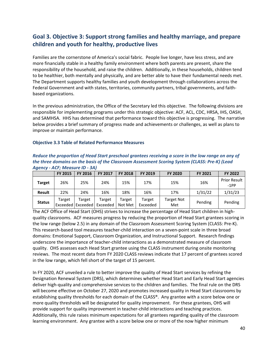# **Goal 3. Objective 3: Support strong families and healthy marriage, and prepare children and youth for healthy, productive lives**

Families are the cornerstone of America's social fabric. People live longer, have less stress, and are more financially stable in a healthy family environment where both parents are present, share the responsibility of the household, and raise the children. Additionally, in these households, children tend to be healthier, both mentally and physically, and are better able to have their fundamental needs met. The Department supports healthy families and youth development through collaborations across the Federal Government and with states, territories, community partners, tribal governments, and faithbased organizations.

In the previous administration, the Office of the Secretary led this objective. The following divisions are responsible for implementing programs under this strategic objective: ACF, ACL, CDC, HRSA, IHS, OASH, and SAMHSA. HHS has determined that performance toward this objective is progressing. The narrative below provides a brief summary of progress made and achievements or challenges, as well as plans to improve or maintain performance.

#### **Objective 3.3 Table of Related Performance Measures**

*Reduce the proportion of Head Start preschool grantees receiving a score in the low range on any of the three domains on the basis of the Classroom Assessment Scoring System (CLASS: Pre-K) (Lead Agency - ACF; Measure ID - 3A)* 

|               | <b>FY 2015</b> | <b>FY 2016</b>                | <b>FY 2017</b>     | <b>FY 2018</b>    | FY 2019            | <b>FY 2020</b>    | <b>FY 2021</b> | FY 2022                       |
|---------------|----------------|-------------------------------|--------------------|-------------------|--------------------|-------------------|----------------|-------------------------------|
| Target        | 26%            | 25%                           | 24%                | 15%               | 17%                | 15%               | 16%            | <b>Prior Result</b><br>$-1PP$ |
| <b>Result</b> | 22%            | 24%                           | 16%                | 18%               | 16%                | 17%               | 1/31/22        | 1/31/23                       |
| <b>Status</b> | Target         | Target<br>Exceeded   Exceeded | Target<br>Exceeded | Target<br>Not Met | Target<br>Exceeded | Target Not<br>Met | Pending        | Pending                       |

The ACF Office of Head Start (OHS) strives to increase the percentage of Head Start children in highquality classrooms. ACF measures progress by reducing the proportion of Head Start grantees scoring in the low range (below 2.5) in any domain of the Classroom Assessment Scoring System (CLASS: Pre-K). This research-based tool measures teacher-child interaction on a seven-point scale in three broad domains: Emotional Support, Classroom Organization, and Instructional Support. Research findings underscore the importance of teacher-child interactions as a demonstrated measure of classroom quality. OHS assesses each Head Start grantee using the CLASS instrument during onsite monitoring reviews. The most recent data from FY 2020 CLASS reviews indicate that 17 percent of grantees scored in the low range, which fell short of the target of 15 percent.

In FY 2020, ACF unveiled a rule to better improve the quality of Head Start services by refining the Designation Renewal System (DRS), which determines whether Head Start and Early Head Start agencies deliver high-quality and comprehensive services to the children and families. The final rule on the DRS will become effective on October 27, 2020 and promotes increased quality in Head Start classrooms by establishing quality thresholds for each domain of the CLASS®. Any grantee with a score below one or more quality thresholds will be designated for quality improvement. For these grantees, OHS will provide support for quality improvement in teacher-child interactions and teaching practices. Additionally, this rule raises minimum expectations for all grantees regarding quality of the classroom learning environment. Any grantee with a score below one or more of the now higher minimum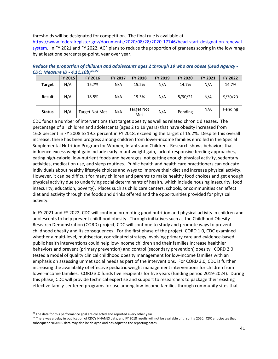### thresholds will be designated for competition. The final rule is available at

[https://www.federalregister.gov/documents/2020/08/28/2020-17746/head-start-designation-renewal](https://www.federalregister.gov/documents/2020/08/28/2020-17746/head-start-designation-renewal-system)[system.](https://www.federalregister.gov/documents/2020/08/28/2020-17746/head-start-designation-renewal-system) In FY 2021 and FY 2022, ACF plans to reduce the proportion of grantees scoring in the low range by at least one percentage-point, year over year.

*Reduce the proportion of children and adolescents ages 2 through 19 who are obese (Lead Agency - CDC; Measure ID - 4.11.10b)[26](#page-40-0),[27](#page-40-1)*

|               | FY 2015 | <b>FY 2016</b>        | <b>FY 2017</b> | <b>FY 2018</b>    | <b>FY 2019</b> | <b>FY 2020</b> | <b>FY 2021</b> | FY 2022 |
|---------------|---------|-----------------------|----------------|-------------------|----------------|----------------|----------------|---------|
| <b>Target</b> | N/A     | 15.7%                 | N/A            | 15.2%             | N/A            | 14.7%          | N/A            | 14.7%   |
| <b>Result</b> | N/A     | 18.5%                 | N/A            | 19.3%             | N/A            | 5/30/21        | N/A            | 5/30/23 |
| <b>Status</b> | N/A     | <b>Target Not Met</b> | N/A            | Target Not<br>Met | N/A            | Pending        | N/A            | Pending |

CDC funds a number of interventions that target obesity as well as related chronic diseases. The percentage of all children and adolescents (ages 2 to 19 years) that have obesity increased from 16.8 percent in FY 2008 to 19.3 percent in FY 2018, exceeding the target of 15.2%. Despite this overall increase, there has been progress among children from lower-income families enrolled in the Special Supplemental Nutrition Program for Women, Infants and Children. Research shows behaviors that influence excess weight gain include early infant weight gain, lack of responsive feeding approaches, eating high-calorie, low-nutrient foods and beverages, not getting enough physical activity, sedentary activities, medication use, and sleep routines. Public health and health care practitioners can educate individuals about healthy lifestyle choices and ways to improve their diet and increase physical activity. However, it can be difficult for many children and parents to make healthy food choices and get enough physical activity due to underlying social determinants of health, which include housing insecurity, food insecurity, education, poverty). Places such as child care centers, schools, or communities can affect diet and activity through the foods and drinks offered and the opportunities provided for physical activity.

In FY 2021 and FY 2022, CDC will continue promoting good nutrition and physical activity in children and adolescents to help prevent childhood obesity. Through initiatives such as the Childhood Obesity Research Demonstration (CORD) project, CDC will continue to study and promote ways to prevent childhood obesity and its consequences. For the first phase of the project, CORD 1.0, CDC examined whether a multi-level, multisector, coordinated strategy involving primary care and evidence-based public health interventions could help low-income children and their families increase healthier behaviors and prevent (primary prevention) and control (secondary prevention) obesity. CORD 2.0 tested a model of quality clinical childhood obesity management for low-income families with an emphasis on assessing unmet social needs as part of the interventions. For CORD 3.0, CDC is further increasing the availability of effective pediatric weight management interventions for children from lower-income families. CORD 3.0 funds five recipients for five years (funding period 2019-2024). During this phase, CDC will provide technical expertise and support to researchers to package their existing effective family-centered programs for use among low-income families through community sites that

<span id="page-40-0"></span><sup>&</sup>lt;sup>26</sup> The data for this performance goal are collected and reported every other year.

<span id="page-40-1"></span><sup>&</sup>lt;sup>27</sup> There was a delay in publication of CDC's NHANES data, and FY 2018 results will not be available until spring 2020. CDC anticipates that subsequent NHANES data may also be delayed and has adjusted the reporting dates.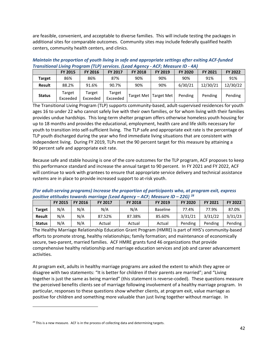are feasible, convenient, and acceptable to diverse families. This will include testing the packages in additional sites for comparable outcomes. Community sites may include federally qualified health centers, community health centers, and clinics.

*Maintain the proportion of youth living in safe and appropriate settings after exiting ACF-funded Transitional Living Program (TLP) services. (Lead Agency - ACF; Measure ID - 4A)* 

|               | <b>FY 2015</b>     | <b>FY 2016</b>     | <b>FY 2017</b>     | <b>FY 2018</b> | <b>FY 2019</b>          | <b>FY 2020</b> | <b>FY 2021</b> | FY 2022  |
|---------------|--------------------|--------------------|--------------------|----------------|-------------------------|----------------|----------------|----------|
| <b>Target</b> | 86%                | 86%                | 87%                | 90%            | 90%                     | 90%            | 91%            | 91%      |
| <b>Result</b> | 88.2%              | 91.6%              | 90.7%              | 90%            | 90%                     | 6/30/21        | 12/30/21       | 12/30/22 |
| <b>Status</b> | Target<br>Exceeded | Target<br>Exceeded | Target<br>Exceeded |                | Target Met   Target Met | Pending        | Pending        | Pending  |

The Transitional Living Program (TLP) supports community-based, adult-supervised residences for youth ages 16 to under 22 who cannot safely live with their own families, or for whom living with their families provides undue hardships. This long-term shelter program offers otherwise homeless youth housing for up to 18 months and provides the educational, employment, health care and life skills necessary for youth to transition into self-sufficient living. The TLP safe and appropriate exit rate is the percentage of TLP youth discharged during the year who find immediate living situations that are consistent with independent living. During FY 2019, TLPs met the 90 percent target for this measure by attaining a 90 percent safe and appropriate exit rate.

Because safe and stable housing is one of the core outcomes for the TLP program, ACF proposes to keep this performance standard and increase the annual target to 90 percent. In FY 2021 and FY 2022, ACF will continue to work with grantees to ensure that appropriate service delivery and technical assistance systems are in place to provide increased support to at-risk youth.

*(For adult-serving programs) Increase the proportion of participants who, at program exit, express positive attitudes towards marriage (Lead Agency – ACF; Measure ID – 22G) [28](#page-41-0)*

|               | FY 2015 | <b>FY 2016</b> | <b>FY 2017</b> | <b>FY 2018</b> | <b>FY 2019</b>  | <b>FY 2020</b> | <b>FY 2021</b> | <b>FY 2022</b> |
|---------------|---------|----------------|----------------|----------------|-----------------|----------------|----------------|----------------|
| <b>Target</b> | N/A     | N/A            | N/A            | N/A            | <b>Baseline</b> | 77.4%          | 77.9%          | 87.0%          |
| Result        | N/A     | N/A            | 87.52%         | 87.38%         | 85.60%          | 3/31/21        | 3/31/22        | 3/31/23        |
| <b>Status</b> | N/A     | N/A            | Actual         | Actual         | Actual          | Pending        | Pending        | Pending        |

The Healthy Marriage Relationship Education Grant Program (HMRE) is part of HHS's community-based efforts to promote strong, healthy relationships; family formation; and maintenance of economically secure, two-parent, married families. ACF HMRE grants fund 46 organizations that provide comprehensive healthy relationship and marriage education services and job and career advancement activities.

At program exit, adults in healthy marriage programs are asked the extent to which they agree or disagree with two statements: "It is better for children if their parents are married"; and "Living together is just the same as being married" (this statement is reverse-coded). These questions measure the perceived benefits clients see of marriage following involvement of a healthy marriage program. In particular, responses to these questions show whether clients, at program exit, value marriage as positive for children and something more valuable than just living together without marriage. In

<span id="page-41-0"></span><sup>&</sup>lt;sup>28</sup> This is a new measure. ACF is in the process of collecting data and determining targets.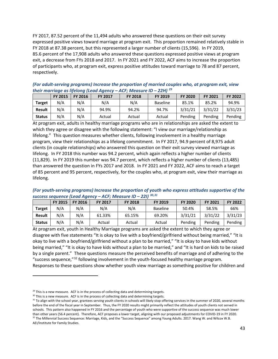FY 2017, 87.52 percent of the 11,494 adults who answered these questions on their exit survey expressed positive views toward marriage at program exit. This proportion remained relatively stable in FY 2018 at 87.38 percent, but this represented a larger number of clients (15,596). In FY 2019, 85.6 percent of the 17,908 adults who answered these questions expressed positive views at program exit, a decrease from FYs 2018 and 2017. In FY 2021 and FY 2022, ACF aims to increase the proportion of participants who, at program exit, express positive attitudes toward marriage to 78 and 87 percent, respectively.

|               |                |         | their marriage as including read Agency | $A$ , <i>i</i> $B$ $B$ $C$ $D$ $C$ $D$ $D$ |          |                |                |                |
|---------------|----------------|---------|-----------------------------------------|--------------------------------------------|----------|----------------|----------------|----------------|
|               | <b>FY 2015</b> | FY 2016 | <b>FY 2017</b>                          | <b>FY 2018</b>                             | FY 2019  | <b>FY 2020</b> | <b>FY 2021</b> | <b>FY 2022</b> |
| <b>Target</b> | N/A            | N/A     | N/A                                     | N/A                                        | Baseline | 85.1%          | 85.2%          | 94.9%          |
| <b>Result</b> | N/A            | N/A     | 94.9%                                   | 94.2%                                      | 94.7%    | 3/31/21        | 3/31/22        | 3/31/23        |
| <b>Status</b> | N/A            | N/A     | Actual                                  | Actual                                     | Actual   | Pending        | Pending        | Pending        |

*(For adult-serving programs) Increase the proportion of married couples who, at program exit, view their marriage as lifelong (Lead Agency – ACF; Measure ID – 22H) [29](#page-42-0)*

At program exit, adults in healthy marriage programs who are in relationships are asked the extent to which they agree or disagree with the following statement: "I view our marriage/relationship as lifelong." This question measures whether clients, following involvement in a healthy marriage program, view their relationships as a lifelong commitment. In FY 2017, 94.9 percent of 8,975 adult clients (in couple relationships) who answered this question on their exit survey viewed marriage as lifelong. In FY 2018 this number was 94.2 percent, which again reflects a higher number of clients (11,829). In FY 2019 this number was 94.7 percent, which reflects a higher number of clients (13,485) than answered the question in FYs 2017 and 2018. In FY 2021 and FY 2022, ACF aims to reach a target of 85 percent and 95 percent, respectively, for the couples who, at program exit, view their marriage as lifelong.

*(For youth-serving programs) Increase the proportion of youth who express attitudes supportive of the success sequence (Lead Agency – ACF; Measure ID – 22I) [30,](#page-42-1)[31](#page-42-2)*

|               | <b>FY 2015</b> | <b>FY 2016</b> | <b>FY 2017</b> | <b>FY 2018</b> | <b>FY 2019</b>  | <b>FY 2020</b> | FY 2021 | <b>FY 2022</b> |
|---------------|----------------|----------------|----------------|----------------|-----------------|----------------|---------|----------------|
| <b>Target</b> | N/A            | N/A            | N/A            | N/A            | <b>Baseline</b> | 50.4%          | 58.5%   | 66%            |
| <b>Result</b> | N/A            | N/A            | 61.33%         | 65.15%         | 69.20%          | 3/31/21        | 3/31/22 | 3/31/23        |
| <b>Status</b> | N/A            | N/A            | Actual         | Actual         | Actual          | Pending        | Pending | Pending        |

At program exit, youth in Healthy Marriage programs are asked the extent to which they agree or disagree with five statements "It is okay to live with a boyfriend/girlfriend without being married," "It is okay to live with a boyfriend/girlfriend without a plan to be married," "It is okay to have kids without being married," "It is okay to have kids without a plan to be married," and "It is hard on kids to be raised by a single parent." These questions measure the perceived benefits of marriage and of adhering to the "success sequence,"[32](#page-43-0) following involvement in the youth-focused healthy marriage program. Responses to these questions show whether youth view marriage as something positive for children and

<span id="page-42-2"></span><span id="page-42-1"></span><span id="page-42-0"></span>

<sup>&</sup>lt;sup>29</sup> This is a new measure. ACF is in the process of collecting data and determining targets.<br><sup>30</sup> This is a new measure. ACF is in the process of collecting data and determining targets.<br><sup>31</sup> To align with the school year before the end of the fiscal year in September. Thus, the FY 2020 results might primarily reflect the attitudes of youth clients not served in schools. This pattern also happened in FY 2016 and the percentage of youth who were supportive of the success sequence was much lower than other years (56.4 percent). Therefore, ACF proposes a lower target, aligning with our proposed adjustments for COVID-19 in FY 2020. <sup>32</sup> The Millennial Success Sequence: Marriage, Kids, and the "Success Sequence" among Young Adults. 2017. Wang W. and Wilcox W.B. AEI/Institute for Family Studies.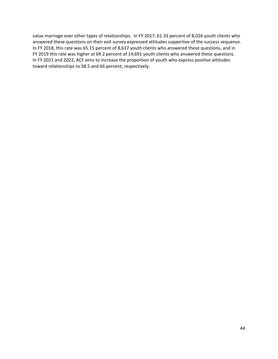<span id="page-43-0"></span>value marriage over other types of relationships. In FY 2017, 61.33 percent of 8,026 youth clients who answered these questions on their exit survey expressed attitudes supportive of the success sequence. In FY 2018, this rate was 65.15 percent of 8,617 youth clients who answered these questions, and in FY 2019 this rate was higher at 69.2 percent of 14,691 youth clients who answered these questions. In FY 2021 and 2022, ACF aims to increase the proportion of youth who express positive attitudes toward relationships to 58.5 and 66 percent, respectively.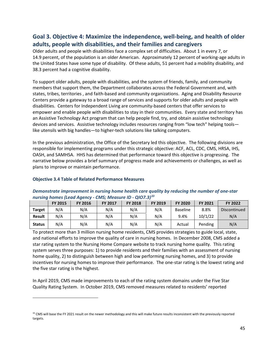# **Goal 3. Objective 4: Maximize the independence, well-being, and health of older adults, people with disabilities, and their families and caregivers**

Older adults and people with disabilities face a complex set of difficulties. About 1 in every 7, or 14.9 percent, of the population is an older American. Approximately 12 percent of working-age adults in the United States have some type of disability. Of these adults, 51 percent had a mobility disability, and 38.3 percent had a cognitive disability.

To support older adults, people with disabilities, and the system of friends, family, and community members that support them, the Department collaborates across the Federal Government and, with states, tribes, territories , and faith-based and community organizations. Aging and Disability Resource Centers provide a gateway to a broad range of services and supports for older adults and people with disabilities. Centers for Independent Living are community-based centers that offer services to empower and enable people with disabilities to stay in their communities. Every state and territory has an Assistive Technology Act program that can help people find, try, and obtain assistive technology devices and services. Assistive technology includes resources ranging from "low tech" helping tools like utensils with big handles—to higher-tech solutions like talking computers.

In the previous administration, the Office of the Secretary led this objective. The following divisions are responsible for implementing programs under this strategic objective: ACF, ACL, CDC, CMS, HRSA, IHS, OASH, and SAMHSA. HHS has determined that performance toward this objective is progressing. The narrative below provides a brief summary of progress made and achievements or challenges, as well as plans to improve or maintain performance.

#### **Objective 3.4 Table of Related Performance Measures**

|               |                |                | ______________ |                |                |                 |                |              |
|---------------|----------------|----------------|----------------|----------------|----------------|-----------------|----------------|--------------|
|               | <b>FY 2015</b> | <b>FY 2016</b> | <b>FY 2017</b> | <b>FY 2018</b> | <b>FY 2019</b> | <b>FY 2020</b>  | <b>FY 2021</b> | FY 2022      |
| <b>Target</b> | N/A            | N/A            | N/A            | N/A            | N/A            | <b>Baseline</b> | 8.8%           | Discontinued |
| <b>Result</b> | N/A            | N/A            | N/A            | N/A            | N/A            | 9.4%            | 10/1/22        | N/A          |
| <b>Status</b> | N/A            | N/A            | N/A            | N/A            | N/A            | Actual          | Pending        | N/A          |

### *Demonstrate improvement in nursing home health care quality by reducing the number of one-star nursing homes (Lead Agency - CMS; Measure ID - QIO7.3) [33](#page-44-0)*

To protect more than 3 million nursing home residents, CMS provides strategies to guide local, state, and national efforts to improve the quality of care in nursing homes. In December 2008, CMS added a star rating system to the Nursing Home Compare website to track nursing home quality. This rating system serves three purposes: 1) to provide residents and their families with an assessment of nursing home quality, 2) to distinguish between high and low performing nursing homes, and 3) to provide incentives for nursing homes to improve their performance. The one-star rating is the lowest rating and the five star rating is the highest.

In April 2019, CMS made improvements to each of the rating system domains under the Five Star Quality Rating System. In October 2019, CMS removed measures related to residents' reported

<span id="page-44-0"></span><sup>&</sup>lt;sup>33</sup> CMS will base the FY 2021 result on the newer methodology and this will make future results inconsistent with the previously reported targets.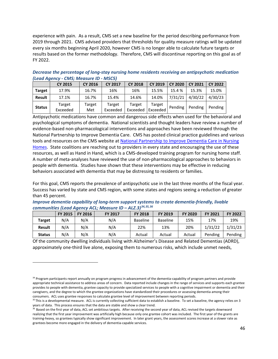experience with pain. As a result, CMS set a new baseline for the period describing performance from 2019 through 2021. CMS advised providers that thresholds for quality measure ratings will be updated every six months beginning April 2020, however CMS is no longer able to calculate future targets or results based on the former methodology. Therefore, CMS will discontinue reporting on this goal as of FY 2022.

*Decrease the percentage of long-stay nursing home residents receiving an antipsychotic medication (Lead Agency - CMS; Measure ID - MSC5)*

|               | <b>CY 2015</b>     | <b>CY 2016</b> | <b>CY 2017</b>     | <b>CY 2018</b>     | <b>CY 2019</b>     | <b>CY 2020</b> | <b>CY 2021</b> | <b>CY 2022</b> |
|---------------|--------------------|----------------|--------------------|--------------------|--------------------|----------------|----------------|----------------|
| <b>Target</b> | 17.9%              | 16.7%          | 16%                | 16%                | 15.5%              | 15.4 %         | 15.3%          | 15.0%          |
| <b>Result</b> | 17.1%              | 16.7%          | 15.4%              | 14.6%              | 14.0%              | 7/31/21        | 4/30/22        | 4/30/23        |
| <b>Status</b> | Target<br>Exceeded | Target<br>Met  | Target<br>Exceeded | Target<br>Exceeded | Target<br>Exceeded | Pending        | Pending        | Pending        |

Antipsychotic medications have common and dangerous side effects when used for the behavioral and psychological symptoms of dementia. National scientists and thought leaders have review a number of evidence-based non-pharmacological interventions and approaches have been reviewed through the National Partnership to Improve Dementia Care. CMS has posted clinical practice guidelines and various tools and resources on the CMS website at [National Partnership to Improve Dementia Care in Nursing](https://www.cms.gov/Medicare/Provider-Enrollment-and-Certification/SurveyCertificationGenInfo/National-Partnership-to-Improve-Dementia-Care-in-Nursing-Homes)  [Homes.](https://www.cms.gov/Medicare/Provider-Enrollment-and-Certification/SurveyCertificationGenInfo/National-Partnership-to-Improve-Dementia-Care-in-Nursing-Homes) State coalitions are reaching out to providers in every state and encouraging the use of these resources, as well as Hand in Hand, which is a CMS-developed training program for nursing home staff. A number of meta-analyses have reviewed the use of non-pharmacological approaches to behaviors in people with dementia. Studies have shown that these interventions may be effective in reducing behaviors associated with dementia that may be distressing to residents or families.

For this goal, CMS reports the prevalence of antipsychotic use in the last three months of the fiscal year. Success has varied by state and CMS region, with some states and regions seeing a reduction of greater than 45 percent.

| Improve dementia capability of long-term support systems to create dementia-friendly, livable |  |
|-----------------------------------------------------------------------------------------------|--|
| communities (Lead Agency ACL; Measure ID - ALZ.3) <sup>34,35,36</sup>                         |  |

|               | <b>FY 2015</b> | <b>FY 2016</b> | <b>FY 2017</b> | <b>FY 2018</b>  | <b>FY 2019</b>  | <b>FY 2020</b> | <b>FY 2021</b> | <b>FY 2022</b> |
|---------------|----------------|----------------|----------------|-----------------|-----------------|----------------|----------------|----------------|
| <b>Target</b> | N/A            | N/A            | N/A            | <b>Baseline</b> | <b>Baseline</b> | 15%            | 17%            | 19%            |
| <b>Result</b> | N/A            | N/A            | N/A            | 22%             | 13%             | 20%            | 1/31/22        | 1/31/23        |
| <b>Status</b> | N/A            | N/A            | N/A            | Actual          | Actual          | Actual         | Pending        | Pending        |

Of the community dwelling individuals living with Alzheimer's Disease and Related Dementias (ADRD), approximately one-third live alone, exposing them to numerous risks, which include unmet needs,

<span id="page-45-0"></span><sup>&</sup>lt;sup>34</sup> Program participants report annually on program progress in advancement of the dementia-capability of program partners and provide appropriate technical assistance to address areas of concern. Data reported include changes in the range of services and supports each grantee provides to people with dementia, grantee capacity to provide specialized services to people with a cognitive impairment or dementia and their caregivers, and the degree to which the grantee organizations have standardized their procedures or assessing dementia among their

<span id="page-45-1"></span>consumers. ACL uses grantee responses to calculate grantee level of improvement between reporting periods.<br><sup>35</sup>This is a developmental measure. ACL is currently collecting sufficient data to establish a baseline. To set a years of data. This process ensures that the data are stable and show a clear trend.

<span id="page-45-2"></span><sup>&</sup>lt;sup>36</sup> Based on the first year of data, ACL set ambitious targets. After receiving the second year of data, ACL revised the targets downward realizing that the first year improvement was artificially high because only one grantee cohort was included. The first year of the grants are training-heavy, so grantees typically show significant improvement. In later grant years, the assessment scores increase at a slower rate as grantees become more engaged in the delivery of dementia-capable services.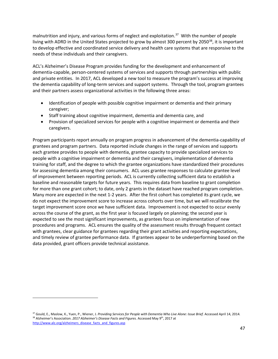malnutrition and injury, and various forms of neglect and exploitation.<sup>37</sup> With the number of people living with ADRD in the United States projected to grow by almost 300 percent by 2050<sup>38</sup>, it is important to develop effective and coordinated service delivery and health care systems that are responsive to the needs of these individuals and their caregivers.

ACL's Alzheimer's Disease Program provides funding for the development and enhancement of dementia-capable, person-centered systems of services and supports through partnerships with public and private entities. In 2017, ACL developed a new tool to measure the program's success at improving the dementia capability of long-term services and support systems. Through the tool, program grantees and their partners assess organizational activities in the following three areas:

- Identification of people with possible cognitive impairment or dementia and their primary caregiver;
- Staff training about cognitive impairment, dementia and dementia care, and
- Provision of specialized services for people with a cognitive impairment or dementia and their caregivers.

Program participants report annually on program progress in advancement of the dementia-capability of grantees and program partners. Data reported include changes in the range of services and supports each grantee provides to people with dementia, grantee capacity to provide specialized services to people with a cognitive impairment or dementia and their caregivers, implementation of dementia training for staff, and the degree to which the grantee organizations have standardized their procedures for assessing dementia among their consumers. ACL uses grantee responses to calculate grantee level of improvement between reporting periods. ACL is currently collecting sufficient data to establish a baseline and reasonable targets for future years. This requires data from baseline to grant completion for more than one grant cohort; to date, only 2 grants in the dataset have reached program completion. Many more are expected in the next 1-2 years. After the first cohort has completed its grant cycle, we do not expect the improvement score to increase across cohorts over time, but we will recalibrate the target improvement score once we have sufficient data. Improvement is not expected to occur evenly across the course of the grant, as the first year is focused largely on planning; the second year is expected to see the most significant improvements, as grantees focus on implementation of new procedures and programs. ACL ensures the quality of the assessment results through frequent contact with grantees, clear guidance for grantees regarding their grant activities and reporting expectations, and timely review of grantee performance data. If grantees appear to be underperforming based on the data provided, grant officers provide technical assistance.

<span id="page-46-1"></span><span id="page-46-0"></span><sup>&</sup>lt;sup>37</sup> Gould, E., Maslow, K., Yuen, P., Wiener, J. Providing Services for People with Dementia Who Live Alone: Issue Brief. Accessed April 14, 2014. <sup>38</sup> Alzheimer's Association. *2017 Alzheimer's Disease Facts and Figures.* Accessed May 9<sup>th</sup>, 2017 at [http://www.alz.org/alzheimers\\_disease\\_facts\\_and\\_figures.asp](http://www.alz.org/alzheimers_disease_facts_and_figures.asp)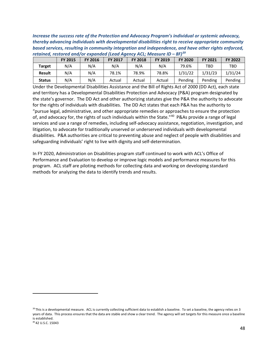*Increase the success rate of the Protection and Advocacy Program's individual or systemic advocacy, thereby advancing individuals with developmental disabilities right to receive appropriate community based services, resulting in community integration and independence, and have other rights enforced, retained, restored and/or expanded (Lead Agency ACL; Measure ID – 8F)[39](#page-47-0)*

|               | <b>FY 2015</b> | <b>FY 2016</b> | <b>FY 2017</b> | <b>FY 2018</b> | FY 2019 | <b>FY 2020</b> | <b>FY 2021</b> | <b>FY 2022</b> |
|---------------|----------------|----------------|----------------|----------------|---------|----------------|----------------|----------------|
| <b>Target</b> | N/A            | N/A            | N/A            | N/A            | N/A     | 79.6%          | TBD            | TBD            |
| <b>Result</b> | N/A            | N/A            | 78.1%          | 78.9%          | 78.8%   | 1/31/22        | 1/31/23        | 1/31/24        |
| <b>Status</b> | N/A            | N/A            | Actual         | Actual         | Actual  | Pending        | Pending        | Pending        |

Under the Developmental Disabilities Assistance and the Bill of Rights Act of 2000 (DD Act), each state and territory has a Developmental Disabilities Protection and Advocacy (P&A) program designated by the state's governor. The DD Act and other authorizing statutes give the P&A the authority to advocate for the rights of individuals with disabilities. The DD Act states that each P&A has the authority to "pursue legal, administrative, and other appropriate remedies or approaches to ensure the protection of, and advocacy for, the rights of such individuals within the State."<sup>[40](#page-47-1)</sup> P&As provide a range of legal services and use a range of remedies, including self-advocacy assistance, negotiation, investigation, and litigation, to advocate for traditionally unserved or underserved individuals with developmental disabilities. P&A authorities are critical to preventing abuse and neglect of people with disabilities and safeguarding individuals' right to live with dignity and self-determination.

In FY 2020, Administration on Disabilities program staff continued to work with ACL's Office of Performance and Evaluation to develop or improve logic models and performance measures for this program. ACL staff are piloting methods for collecting data and working on developing standard methods for analyzing the data to identify trends and results.

<span id="page-47-1"></span><span id="page-47-0"></span><sup>&</sup>lt;sup>39</sup> This is a developmental measure. ACL is currently collecting sufficient data to establish a baseline. To set a baseline, the agency relies on 3 years of data. This process ensures that the data are stable and show a clear trend. The agency will set targets for this measure once a baseline is established. <sup>40</sup> 42 U.S.C. 15043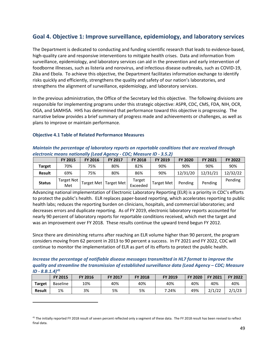# **Goal 4. Objective 1: Improve surveillance, epidemiology, and laboratory services**

The Department is dedicated to conducting and funding scientific research that leads to evidence-based, high-quality care and responsive interventions to mitigate health crises. Data and information from surveillance, epidemiology, and laboratory services can aid in the prevention and early intervention of foodborne illnesses, such as listeria and norovirus, and infectious disease outbreaks, such as COVID-19, Zika and Ebola. To achieve this objective, the Department facilitates information exchange to identify risks quickly and efficiently, strengthens the quality and safety of our nation's laboratories, and strengthens the alignment of surveillance, epidemiology, and laboratory services.

In the previous administration, the Office of the Secretary led this objective. The following divisions are responsible for implementing programs under this strategic objective: ASPR, CDC, CMS, FDA, NIH, OCR, OGA, and SAMHSA. HHS has determined that performance toward this objective is progressing. The narrative below provides a brief summary of progress made and achievements or challenges, as well as plans to improve or maintain performance.

#### **Objective 4.1 Table of Related Performance Measures**

| Maintain the percentage of laboratory reports on reportable conditions that are received through |
|--------------------------------------------------------------------------------------------------|
| electronic means nationally (Lead Agency - CDC; Measure ID - 3.5.2)                              |

|               | <b>FY 2015</b>           | <b>FY 2016</b> | <b>FY 2017</b>          | <b>FY 2018</b>     | FY 2019           | <b>FY 2020</b> | <b>FY 2021</b> | <b>FY 2022</b> |
|---------------|--------------------------|----------------|-------------------------|--------------------|-------------------|----------------|----------------|----------------|
| Target        | 70%                      | 75%            | 80%                     | 82%                | 90%               | 90%            | 90%            | 90%            |
| <b>Result</b> | 69%                      | 75%            | 80%                     | 86%                | 90%               | 12/31/20       | 12/31/21       | 12/32/22       |
| <b>Status</b> | <b>Target Not</b><br>Met |                | Target Met   Target Met | Target<br>Exceeded | <b>Target Met</b> | Pending        | Pending        | Pending        |

Advancing national implementation of Electronic Laboratory Reporting (ELR) is a priority in CDC's efforts to protect the public's health. ELR replaces paper-based reporting, which accelerates reporting to public health labs; reduces the reporting burden on clinicians, hospitals, and commercial laboratories; and decreases errors and duplicate reporting. As of FY 2019, electronic laboratory reports accounted for nearly 90 percent of laboratory reports for reportable conditions received, which met the target and was an improvement over FY 2018. These results continue the upward trend begun FY 2012.

Since there are diminishing returns after reaching an ELR volume higher than 90 percent, the program considers moving from 62 percent in 2013 to 90 percent a success. In FY 2021 and FY 2022, CDC will continue to monitor the implementation of ELR as part of its efforts to protect the public health.

| Increase the percentage of notifiable disease messages transmitted in HL7 format to improve the      |
|------------------------------------------------------------------------------------------------------|
| quality and streamline the transmission of established surveillance data (Lead Agency - CDC; Measure |
| $ID - 8.B.1.4)^{41}$                                                                                 |

|               | <b>FY 2015</b>  | <b>FY 2016</b> | <b>FY 2017</b> | <b>FY 2018</b> | <b>FY 2019</b> | <b>FY 2020</b> | FY 2021 | <b>FY 2022</b> |
|---------------|-----------------|----------------|----------------|----------------|----------------|----------------|---------|----------------|
| Target        | <b>Baseline</b> | 10%            | 40%            | 40%            | 40%            | 40%            | 40%     | 40%            |
| <b>Result</b> | 1%              | 3%             | 5%             | 5%             | 7.24%          | 49%            | 2/1/22  | 2/1/23         |

<span id="page-48-0"></span><sup>&</sup>lt;sup>41</sup> The initially reported FY 2018 result of seven percent reflected only a segment of these data. The FY 2018 result has been revised to reflect final data.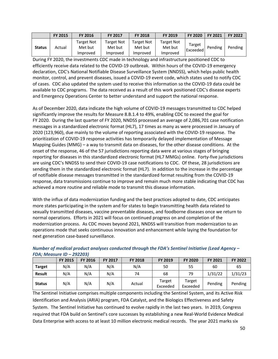|               | <b>FY 2015</b> | <b>FY 2016</b>                           | <b>FY 2017</b>                           | <b>FY 2018</b>                    | <b>FY 2019</b>                    | <b>FY 2020</b>     | <b>FY 2021</b> | <b>FY 2022</b> |
|---------------|----------------|------------------------------------------|------------------------------------------|-----------------------------------|-----------------------------------|--------------------|----------------|----------------|
| <b>Status</b> | Actual         | <b>Target Not</b><br>Met but<br>Improved | <b>Target Not</b><br>Met but<br>Improved | Target Not<br>Met but<br>Improved | Target Not<br>Met but<br>Improved | Target<br>Exceeded | Pending        | Pending        |

During FY 2020, the investments CDC made in technology and infrastructure positioned CDC to efficiently receive data related to the COVID-19 outbreak. Within hours of the COVID-19 emergency declaration, CDC's National Notifiable Disease Surveillance System (NNDSS), which helps public health monitor, control, and prevent diseases, issued a COVID-19 event code, which states used to notify CDC of cases. CDC also updated the system used to receive this information so the COVID-19 data could be available to CDC programs. The data received as a result of this work positioned CDC's disease experts and Emergency Operations Center to better understand and support the national response.

As of December 2020, data indicate the high volume of COVID-19 messages transmitted to CDC helped significantly improve the results for Measure 8.B.1.4 to 49%, enabling CDC to exceed the goal for FY 2020. During the last quarter of FY 2020, NNDSS processed an average of 2,086,701 case notification messages in a standardized electronic format (HL7), 17 times as many as were processed in January of 2020 (123,960), due mainly to the volume of reporting associated with the COVID-19 response. The prioritization of COVID-19 response activities has temporarily delayed implementation of Message Mapping Guides (MMG) – a way to transmit data on diseases, for the other disease conditions. At the onset of the response, 46 of the 57 jurisdictions reporting data were at various stages of bringing reporting for diseases in this standardized electronic format (HL7 MMGs) online. Forty-five jurisdictions are using CDC's NNDSS to send their COVID-19 case notifications to CDC. Of these, 28 jurisdictions are sending them in the standardized electronic format (HL7). In addition to the increase in the percentage of notifiable disease messages transmitted in the standardized format resulting from the COVID-19 response, data transmissions continue to improve and remain much more stable indicating that CDC has achieved a more routine and reliable mode to transmit this disease information.

With the influx of data modernization funding and the best practices adopted to date, CDC anticipates more states participating in the system and for states to begin transmitting health data related to sexually transmitted diseases, vaccine preventable diseases, and foodborne diseases once we return to normal operations. Efforts in 2021 will focus on continued progress on and completion of the modernization process. As CDC moves beyond 2021, NNDSS will transition from modernization to an operations mode that seeks continuous innovation and enhancement while laying the foundation for next generation case-based surveillance.

|               | <b>FY 2015</b> | <b>FY 2016</b> | <b>FY 2017</b> | <b>FY 2018</b> | <b>FY 2019</b>     | <b>FY 2020</b>     | FY 2021 | FY 2022 |
|---------------|----------------|----------------|----------------|----------------|--------------------|--------------------|---------|---------|
| <b>Target</b> | N/A            | N/A            | N/A            | N/A            | 50                 | 55                 | 60      | 65      |
| <b>Result</b> | N/A            | N/A            | N/A            | 74             | 68                 | 79                 | 1/31/22 | 1/31/23 |
| <b>Status</b> | N/A            | N/A            | N/A            | Actual         | Target<br>Exceeded | Target<br>Exceeded | Pending | Pending |

*Number of medical product analyses conducted through the FDA's Sentinel Initiative (Lead Agency – FDA; Measure ID – 292203)* 

The Sentinel Initiative comprises multiple components including the Sentinel System, and its Active Risk Identification and Analysis (ARIA) program, FDA Catalyst, and the Biologics Effectiveness and Safety System. The Sentinel Initiative has continued to evolve rapidly in the last two years. In 2019, Congress required that FDA build on Sentinel's core successes by establishing a new Real-World Evidence Medical Data Enterprise with access to at least 10 million electronic medical records. The year 2021 marks six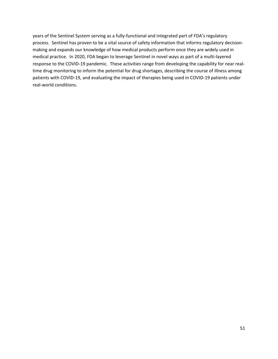years of the Sentinel System serving as a fully-functional and integrated part of FDA's regulatory process. Sentinel has proven to be a vital source of safety information that informs regulatory decisionmaking and expands our knowledge of how medical products perform once they are widely used in medical practice. In 2020, FDA began to leverage Sentinel in novel ways as part of a multi-layered response to the COVID-19 pandemic. These activities range from developing the capability for near realtime drug monitoring to inform the potential for drug shortages, describing the course of illness among patients with COVID-19, and evaluating the impact of therapies being used in COVID-19 patients under real-world conditions.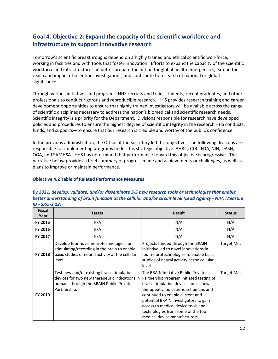# **Goal 4. Objective 2: Expand the capacity of the scientific workforce and infrastructure to support innovative research**

Tomorrow's scientific breakthroughs depend on a highly trained and ethical scientific workforce, working in facilities and with tools that foster innovation. Efforts to expand the capacity of the scientific workforce and infrastructure can better prepare the nation for global health emergencies, extend the reach and impact of scientific investigations, and contribute to research of national or global significance.

Through various initiatives and programs, HHS recruits and trains students, recent graduates, and other professionals to conduct rigorous and reproducible research. HHS provides research training and career development opportunities to ensure that highly trained investigators will be available across the range of scientific disciplines necessary to address the nation's biomedical and scientific research needs. Scientific integrity is a priority for the Department. Divisions responsible for research have developed policies and procedures to ensure the highest degree of scientific integrity in the research HHS conducts, funds, and supports—to ensure that our research is credible and worthy of the public's confidence.

In the previous administration, the Office of the Secretary led this objective. The following divisions are responsible for implementing programs under this strategic objective: AHRQ, CDC, FDA, NIH, OASH, OGA, and SAMHSA. HHS has determined that performance toward this objective is progressive. The narrative below provides a brief summary of progress made and achievements or challenges, as well as plans to improve or maintain performance.

### **Objective 4.2 Table of Related Performance Measures**

### *By 2021, develop, validate, and/or disseminate 3-5 new research tools or technologies that enable better understanding of brain function at the cellular and/or circuit level (Lead Agency - NIH; Measure ID - SRO-2.12)*

| <b>Fiscal</b><br>Year | <b>Target</b>                                                                                                                                           | <b>Result</b>                                                                                                                                                                                                                                                                                                                                             | <b>Status</b>     |
|-----------------------|---------------------------------------------------------------------------------------------------------------------------------------------------------|-----------------------------------------------------------------------------------------------------------------------------------------------------------------------------------------------------------------------------------------------------------------------------------------------------------------------------------------------------------|-------------------|
| FY 2015               | N/A                                                                                                                                                     | N/A                                                                                                                                                                                                                                                                                                                                                       | N/A               |
| FY 2016               | N/A                                                                                                                                                     | N/A                                                                                                                                                                                                                                                                                                                                                       | N/A               |
| FY 2017               | N/A                                                                                                                                                     | N/A                                                                                                                                                                                                                                                                                                                                                       | N/A               |
| FY 2018               | Develop four novel neurotechnologies for<br>stimulating/recording in the brain to enable<br>basic studies of neural activity at the cellular<br>level   | Projects funded through the BRAIN<br>Initiative led to novel innovations in<br>four neurotechnologies to enable basic<br>studies of neural activity at the cellular<br>level.                                                                                                                                                                             | <b>Target Met</b> |
| FY 2019               | Test new and/or existing brain stimulation<br>devices for two new therapeutic indications in<br>humans through the BRAIN Public-Private<br>Partnership. | The BRAIN Initiative Public-Private<br>Partnership Program initiated testing of<br>brain stimulation devices for six new<br>therapeutic indications in humans and<br>continued to enable current and<br>potential BRAIN investigators to gain<br>access to medical device tools and<br>technologies from some of the top<br>medical device manufacturers. | <b>Target Met</b> |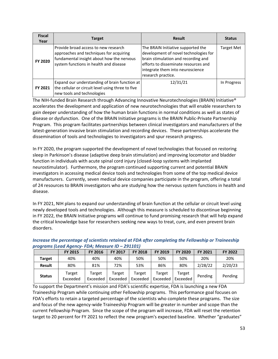| <b>Fiscal</b><br>Year | <b>Target</b>                                                                                                                                                          | <b>Result</b>                                                                                                                                                                                                        | <b>Status</b> |
|-----------------------|------------------------------------------------------------------------------------------------------------------------------------------------------------------------|----------------------------------------------------------------------------------------------------------------------------------------------------------------------------------------------------------------------|---------------|
| FY 2020               | Provide broad access to new research<br>approaches and techniques for acquiring<br>fundamental insight about how the nervous<br>system functions in health and disease | The BRAIN Initiative supported the<br>development of novel technologies for<br>brain stimulation and recording and<br>efforts to disseminate resources and<br>integrate them into neuroscience<br>research practice. | Target Met    |
| FY 2021               | Expand our understanding of brain function at<br>the cellular or circuit level using three to five<br>new tools and technologies                                       | 12/31/21                                                                                                                                                                                                             | In Progress   |

The NIH-funded Brain Research through Advancing Innovative Neurotechnologies (BRAIN) Initiative® accelerates the development and application of new neurotechnologies that will enable researchers to gain deeper understanding of how the human brain functions in normal conditions as well as states of disease or dysfunction. One of the BRAIN Initiative programs is the BRAIN Public-Private Partnership Program. This program facilitates partnerships between clinical investigators and manufacturers of the latest-generation invasive brain stimulation and recording devices. These partnerships accelerate the dissemination of tools and technologies to investigators and spur research progress.

In FY 2020, the program supported the development of novel technologies that focused on restoring sleep in Parkinson's disease (adaptive deep brain stimulation) and improving locomotor and bladder function in individuals with acute spinal cord injury (closed-loop systems with implanted neurostimulator). Furthermore, the program continued supporting current and potential BRAIN investigators in accessing medical device tools and technologies from some of the top medical device manufacturers. Currently, seven medical device companies participate in the program, offering a total of 24 resources to BRAIN investigators who are studying how the nervous system functions in health and disease.

In FY 2021, NIH plans to expand our understanding of brain function at the cellular or circuit level using newly developed tools and technologies. Although this measure is scheduled to discontinue beginning in FY 2022, the BRAIN Initiative programs will continue to fund promising research that will help expand the critical knowledge base for researchers seeking new ways to treat, cure, and even prevent brain disorders.

|               | <b>FY 2015</b>     | <b>FY 2016</b>     | <b>FY 2017</b>     | <b>FY 2018</b>     | FY 2019            | <b>FY 2020</b>     | <b>FY 2021</b> | FY 2022 |
|---------------|--------------------|--------------------|--------------------|--------------------|--------------------|--------------------|----------------|---------|
| <b>Target</b> | 40%                | 40%                | 40%                | 50%                | 50%                | 50%                | 20%            | 20%     |
| <b>Result</b> | 80%                | 81%                | 72%                | 53%                | 86%                | 80%                | 2/28/22        | 2/20/23 |
| <b>Status</b> | Target<br>Exceeded | Target<br>Exceeded | Target<br>Exceeded | Target<br>Exceeded | Target<br>Exceeded | Target<br>Exceeded | Pending        | Pending |

## *Increase the percentage of scientists retained at FDA after completing the Fellowship or Traineeship programs (Lead Agency- FDA; Measure ID – 291101)*

To support the Department's mission and FDA's scientific expertise, FDA is launching a new FDA Traineeship Program while continuing other Fellowship programs. This performance goal focuses on FDA's efforts to retain a targeted percentage of the scientists who complete these programs. The size and focus of the new agency-wide Traineeship Program will be greater in number and scope than the current Fellowship Program. Since the scope of the program will increase, FDA will reset the retention target to 20 percent for FY 2021 to reflect the new program's expected baseline. Whether "graduates"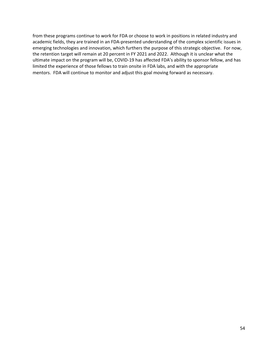from these programs continue to work for FDA or choose to work in positions in related industry and academic fields, they are trained in an FDA-presented understanding of the complex scientific issues in emerging technologies and innovation, which furthers the purpose of this strategic objective. For now, the retention target will remain at 20 percent in FY 2021 and 2022. Although it is unclear what the ultimate impact on the program will be, COVID-19 has affected FDA's ability to sponsor fellow, and has limited the experience of those fellows to train onsite in FDA labs, and with the appropriate mentors. FDA will continue to monitor and adjust this goal moving forward as necessary.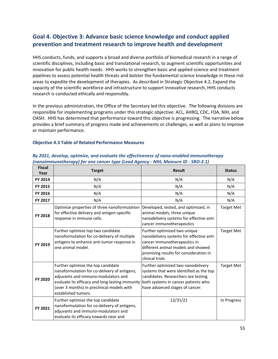# **Goal 4. Objective 3: Advance basic science knowledge and conduct applied prevention and treatment research to improve health and development**

HHS conducts, funds, and supports a broad and diverse portfolio of biomedical research in a range of scientific disciplines, including basic and translational research, to augment scientific opportunities and innovation for public health needs. HHS works to strengthen basic and applied science and treatment pipelines to assess potential health threats and bolster the fundamental science knowledge in these risk areas to expedite the development of therapies. As described in Strategic Objective 4.2, Expand the capacity of the scientific workforce and infrastructure to support innovative research, HHS conducts research is conducted ethically and responsibly.

In the previous administration, the Office of the Secretary led this objective. The following divisions are responsible for implementing programs under this strategic objective: ACL, AHRQ, CDC, FDA, NIH, and OASH. HHS has determined that performance toward this objective is progressing. The narrative below provides a brief summary of progress made and achievements or challenges, as well as plans to improve or maintain performance.

#### **Objective 4.3 Table of Related Performance Measures**

| <b>Fiscal</b><br>Year | <b>Target</b>                                                                                                                                                                                                                                     | <b>Result</b>                                                                                                                                                                                               | <b>Status</b>     |
|-----------------------|---------------------------------------------------------------------------------------------------------------------------------------------------------------------------------------------------------------------------------------------------|-------------------------------------------------------------------------------------------------------------------------------------------------------------------------------------------------------------|-------------------|
| FY 2014               | N/A                                                                                                                                                                                                                                               | N/A                                                                                                                                                                                                         | N/A               |
| FY 2015               | N/A                                                                                                                                                                                                                                               | N/A                                                                                                                                                                                                         | N/A               |
| FY 2016               | N/A                                                                                                                                                                                                                                               | N/A                                                                                                                                                                                                         | N/A               |
| FY 2017               | N/A                                                                                                                                                                                                                                               | N/A                                                                                                                                                                                                         | N/A               |
| FY 2018               | Optimize properties of three nanoformulation<br>for effective delivery and antigen-specific<br>response in immune cells.                                                                                                                          | Developed, tested, and optimized, in<br>animal models, three unique<br>nanodelivery systems for effective anti-<br>cancer immunotherapeutics                                                                | <b>Target Met</b> |
| FY 2019               | Further optimize top two candidate<br>nanoformulation for co-delivery of multiple<br>antigens to enhance anti-tumor response in<br>one animal model.                                                                                              | Further optimized two unique<br>nanodelivery systems for effective anti-<br>cancer immunotherapeutics in<br>different animal models and showed<br>promising results for consideration in<br>clinical trials | <b>Target Met</b> |
| FY 2020               | Further optimize the top candidate<br>nanoformulation for co-delivery of antigens,<br>adjuvants and immuno-modulators and<br>evaluate its efficacy and long-lasting immunity<br>(over 3 months) in preclinical models with<br>established tumors. | Further optimized two nanodelivery<br>systems that were identified as the top<br>candidates. Researchers are testing<br>both systems in cancer patients who<br>have advanced stages of cancer.              | <b>Target Met</b> |
| FY 2021               | Further optimize the top candidate<br>nanoformulation for co-delivery of antigens,<br>adjuvants and immuno-modulators and<br>evaluate its efficacy towards near and                                                                               | 12/31/21                                                                                                                                                                                                    | In Progress       |

### *By 2021, develop, optimize, and evaluate the effectiveness of nano-enabled immunotherapy (nanoimmunotherapy) for one cancer type (Lead Agency - NIH; Measure ID - SRO-2.1)*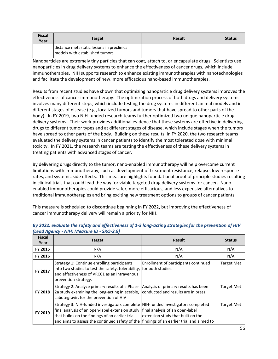| <b>Fiscal</b><br>Year | <b>Target</b>                                                                 | <b>Result</b> | <b>Status</b> |
|-----------------------|-------------------------------------------------------------------------------|---------------|---------------|
|                       | distance metastatic lesions in preclinical<br>models with established tumors. |               |               |

Nanoparticles are extremely tiny particles that can coat, attach to, or encapsulate drugs. Scientists use nanoparticles in drug delivery systems to enhance the effectiveness of cancer drugs, which include immunotherapies. NIH supports research to enhance existing immunotherapies with nanotechnologies and facilitate the development of new, more efficacious nano-based immunotherapies.

Results from recent studies have shown that optimizing nanoparticle drug delivery systems improves the effectiveness of cancer immunotherapy. The optimization process of both drugs and delivery systems involves many different steps, which include testing the drug systems in different animal models and in different stages of disease (e.g., localized tumors and tumors that have spread to other parts of the body). In FY 2019, two NIH-funded research teams further optimized two unique nanoparticle drug delivery systems. Their work provides additional evidence that these systems are effective in delivering drugs to different tumor types and at different stages of disease, which include stages when the tumors have spread to other parts of the body. Building on these results, in FY 2020, the two research teams evaluated the delivery systems in cancer patients to identify the most tolerated dose with minimal toxicity. In FY 2021, the research teams are testing the effectiveness of these delivery systems in treating patients with advanced stages of cancer.

By delivering drugs directly to the tumor, nano-enabled immunotherapy will help overcome current limitations with immunotherapy, such as development of treatment resistance, relapse, low response rates, and systemic side effects. This measure highlights foundational proof of principle studies resulting in clinical trials that could lead the way for viable targeted drug delivery systems for cancer. Nanoenabled immunotherapies could provide safer, more efficacious, and less expensive alternatives to traditional immunotherapies and bring exciting new treatment options to groups of cancer patients.

This measure is scheduled to discontinue beginning in FY 2022, but improving the effectiveness of cancer immunotherapy delivery will remain a priority for NIH.

| <b>Fiscal</b><br>Year | <b>Target</b>                                                                                                                                                                                         | <b>Result</b>                                                                                                                                           | <b>Status</b>     |
|-----------------------|-------------------------------------------------------------------------------------------------------------------------------------------------------------------------------------------------------|---------------------------------------------------------------------------------------------------------------------------------------------------------|-------------------|
| <b>FY 2015</b>        | N/A                                                                                                                                                                                                   | N/A                                                                                                                                                     | N/A               |
| <b>FY 2016</b>        | N/A                                                                                                                                                                                                   | N/A                                                                                                                                                     | N/A               |
| FY 2017               | Strategy 1: Continue enrolling participants<br>into two studies to test the safety, tolerability,<br>and effectiveness of VRC01 as an intravenous<br>prevention strategy.                             | Enrollment of participants continued<br>for both studies.                                                                                               | <b>Target Met</b> |
| FY 2018               | Strategy 2: Analyze primary results of a Phase<br>2a study examining the long-acting injectable,<br>cabotegravir, for the prevention of HIV                                                           | Analysis of primary results has been<br>conducted and results are in press.                                                                             | <b>Target Met</b> |
| FY 2019               | Strategy 3: NIH-funded investigators complete<br>final analysis of an open-label extension study<br>that builds on the findings of an earlier trial<br>and aims to assess the continued safety of the | NIH-funded investigators completed<br>final analysis of an open-label<br>extension study that built on the<br>findings of an earlier trial and aimed to | <b>Target Met</b> |

### *By 2022, evaluate the safety and effectiveness of 1-3 long-acting strategies for the prevention of HIV (Lead Agency - NIH; Measure ID - SRO-2.9)*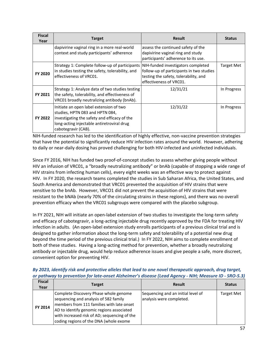| <b>Fiscal</b><br>Year | Target                                                                                                                                                                                          | <b>Result</b>                                                                                                                                      | <b>Status</b>     |
|-----------------------|-------------------------------------------------------------------------------------------------------------------------------------------------------------------------------------------------|----------------------------------------------------------------------------------------------------------------------------------------------------|-------------------|
|                       | dapivirine vaginal ring in a more real-world<br>context and study participants' adherence                                                                                                       | assess the continued safety of the<br>dapivirine vaginal ring and study<br>participants' adherence to its use.                                     |                   |
| FY 2020               | Strategy 1: Complete follow-up of participants<br>in studies testing the safety, tolerability, and<br>effectiveness of VRC01.                                                                   | NIH-funded investigators completed<br>follow-up of participants in two studies<br>testing the safety, tolerability, and<br>effectiveness of VRC01. | <b>Target Met</b> |
| FY 2021               | Strategy 1: Analyze data of two studies testing<br>the safety, tolerability, and effectiveness of<br>VRC01 broadly neutralizing antibody (bnAb).                                                | 12/31/21                                                                                                                                           | In Progress       |
| FY 2022               | Initiate an open label extension of two<br>studies, HPTN 083 and HPTN 084,<br>investigating the safety and efficacy of the<br>long-acting injectable antiretroviral drug<br>cabotegravir (CAB). | 12/31/22                                                                                                                                           | In Progress       |

NIH-funded research has led to the identification of highly effective, non-vaccine prevention strategies that have the potential to significantly reduce HIV infection rates around the world. However, adhering to daily or near-daily dosing has proved challenging for both HIV-infected and uninfected individuals.

Since FY 2016, NIH has funded two proof-of-concept studies to assess whether giving people without HIV an infusion of VRC01, a "broadly neutralizing antibody" or bnAb (capable of stopping a wide range of HIV strains from infecting human cells), every eight weeks was an effective way to protect against HIV. In FY 2020, the research teams completed the studies in Sub Saharan Africa, the United States, and South America and demonstrated that VRC01 prevented the acquisition of HIV strains that were sensitive to the bnAb. However, VRCO1 did not prevent the acquisition of HIV strains that were resistant to the bNAb (nearly 70% of the circulating strains in these regions), and there was no overall prevention efficacy when the VRC01 subgroups were compared with the placebo subgroup.

In FY 2021, NIH will initiate an open-label extension of two studies to investigate the long-term safety and efficacy of cabotegravir, a long-acting injectable drug recently approved by the FDA for treating HIV infection in adults. (An open-label extension study enrolls participants of a previous clinical trial and is designed to gather information about the long-term safety and tolerability of a potential new drug beyond the time period of the previous clinical trial.) In FY 2022, NIH aims to complete enrollment of both of these studies. Having a long-acting method for prevention, whether a broadly neutralizing antibody or injectable drug, would help reduce adherence issues and give people a safe, more discreet, convenient option for preventing HIV.

| By 2023, identify risk and protective alleles that lead to one novel therapeutic approach, drug target, |  |  |  |
|---------------------------------------------------------------------------------------------------------|--|--|--|
| or pathway to prevention for late-onset Alzheimer's disease (Lead Agency - NIH; Measure ID - SRO-5.3)   |  |  |  |

| <b>Fiscal</b><br>Year | <b>Target</b>                                                                                                                                                                                                                                                      | <b>Result</b>                                                  | <b>Status</b>     |
|-----------------------|--------------------------------------------------------------------------------------------------------------------------------------------------------------------------------------------------------------------------------------------------------------------|----------------------------------------------------------------|-------------------|
| FY 2014               | Complete Discovery Phase whole genome<br>sequencing and analysis of 582 family<br>members from 111 families with late onset<br>AD to identify genomic regions associated<br>with increased risk of AD; sequencing of the<br>coding regions of the DNA (whole exome | Sequencing and an initial level of<br>analysis were completed. | <b>Target Met</b> |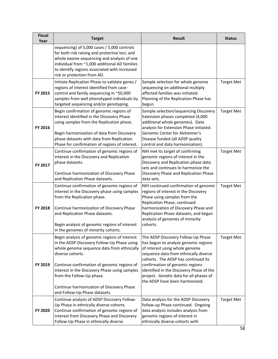| <b>Fiscal</b><br>Year | <b>Target</b>                                                                                                                                                                                                                                                                                                                                                             | <b>Result</b>                                                                                                                                                                                                                                                                                                                                            | <b>Status</b>     |
|-----------------------|---------------------------------------------------------------------------------------------------------------------------------------------------------------------------------------------------------------------------------------------------------------------------------------------------------------------------------------------------------------------------|----------------------------------------------------------------------------------------------------------------------------------------------------------------------------------------------------------------------------------------------------------------------------------------------------------------------------------------------------------|-------------------|
|                       | sequencing) of 5,000 cases / 5,000 controls<br>for both risk raising and protective loci; and<br>whole exome sequencing and analysis of one<br>individual from ~1,000 additional AD families<br>to identify regions associated with increased<br>risk or protection from AD.                                                                                              |                                                                                                                                                                                                                                                                                                                                                          |                   |
| FY 2015               | Initiate Replication Phase to validate genes /<br>regions of interest identified from case-<br>control and family sequencing in ~50,000<br>samples from well phenotyped individuals by<br>targeted sequencing and/or genotyping.                                                                                                                                          | Sample selection for whole genome<br>sequencing on additional multiply<br>affected families was initiated.<br>Planning of the Replication Phase has<br>begun.                                                                                                                                                                                            | <b>Target Met</b> |
| FY 2016               | Begin confirmation of genomic regions of<br>interest identified in the Discovery Phase<br>using samples from the Replication phase.<br>Begin harmonization of data from Discovery<br>phase datasets with data from Replication<br>Phase for confirmation of regions of interest.                                                                                          | Sample selection/sequencing Discovery<br>Extension phases completed (4,000<br>additional whole genomes). Data<br>analysis for Extension Phase initiated.<br>Genomic Center for Alzheimer's<br>Disease funded (all ADSP quality<br>control and data harmonization).                                                                                       | <b>Target Met</b> |
| FY 2017               | Continue confirmation of genomic regions of<br>interest in the Discovery and Replication<br>phase datasets.<br>Continue harmonization of Discovery Phase<br>and Replication Phase datasets.                                                                                                                                                                               | NIH met its target of confirming<br>genomic regions of interest in the<br>Discovery and Replication phase data<br>sets and continues to harmonize the<br>Discovery Phase and Replication Phase<br>data sets.                                                                                                                                             | <b>Target Met</b> |
| <b>FY 2018</b>        | Continue confirmation of genomic regions of<br>interest in the Discovery phase using samples<br>from the Replication phase.<br>Continue harmonization of Discovery Phase<br>and Replication Phase datasets.<br>Begin analysis of genomic regions of interest<br>in the genomes of minority cohorts.                                                                       | NIH continued confirmation of genomic<br>regions of interest in the Discovery<br>Phase using samples from the<br>Replication Phase, continued<br>harmonization of Discovery Phase and<br>Replication Phase datasets, and began<br>analysis of genomes of minority<br>cohorts.                                                                            | <b>Target Met</b> |
| FY 2019               | Begin analysis of genomic regions of interest<br>in the ADSP Discovery Follow-Up Phase using<br>whole genome sequence data from ethnically<br>diverse cohorts.<br>Continue confirmation of genomic regions of<br>interest in the Discovery Phase using samples<br>from the Follow-Up phase.<br>Continue harmonization of Discovery Phase<br>and Follow-Up Phase datasets. | The ADSP Discovery Follow-Up Phase<br>has begun to analyze genomic regions<br>of interest using whole genome<br>sequence data from ethnically diverse<br>cohorts. The ADSP has continued its<br>confirmation of genomic regions<br>identified in the Discovery Phase of the<br>project. Genetic data for all phases of<br>the ADSP have been harmonized. | Target Met        |
| FY 2020               | Continue analysis of ADSP Discovery Follow-<br>Up Phase in ethnically diverse cohorts.<br>Continue confirmation of genomic regions of<br>interest from Discovery Phase and Discovery<br>Follow-Up Phase in ethnically diverse                                                                                                                                             | Data analysis for the ADSP Discovery<br>follow-up Phase continued. Ongoing<br>data analysis includes analysis from<br>genomic regions of interest in<br>ethnically diverse cohorts with                                                                                                                                                                  | <b>Target Met</b> |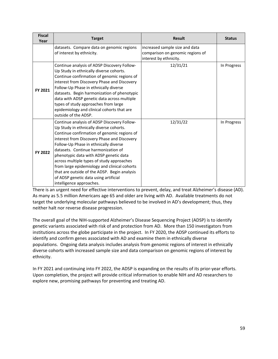| <b>Fiscal</b><br>Year | <b>Target</b>                                                                                                                                                                                                                                                                                                                                                                                                                                                                                                                    | <b>Result</b>                                                                                | <b>Status</b> |
|-----------------------|----------------------------------------------------------------------------------------------------------------------------------------------------------------------------------------------------------------------------------------------------------------------------------------------------------------------------------------------------------------------------------------------------------------------------------------------------------------------------------------------------------------------------------|----------------------------------------------------------------------------------------------|---------------|
|                       | datasets. Compare data on genomic regions<br>of interest by ethnicity.                                                                                                                                                                                                                                                                                                                                                                                                                                                           | increased sample size and data<br>comparison on genomic regions of<br>interest by ethnicity. |               |
| FY 2021               | Continue analysis of ADSP Discovery Follow-<br>Up Study in ethnically diverse cohorts.<br>Continue confirmation of genomic regions of<br>interest from Discovery Phase and Discovery<br>Follow-Up Phase in ethnically diverse<br>datasets. Begin harmonization of phenotypic<br>data with ADSP genetic data across multiple<br>types of study approaches from large<br>epidemiology and clinical cohorts that are<br>outside of the ADSP.                                                                                        | 12/31/21                                                                                     | In Progress   |
| FY 2022               | Continue analysis of ADSP Discovery Follow-<br>Up Study in ethnically diverse cohorts.<br>Continue confirmation of genomic regions of<br>interest from Discovery Phase and Discovery<br>Follow-Up Phase in ethnically diverse<br>datasets. Continue harmonization of<br>phenotypic data with ADSP genetic data<br>across multiple types of study approaches<br>from large epidemiology and clinical cohorts<br>that are outside of the ADSP. Begin analysis<br>of ADSP genetic data using artificial<br>intelligence approaches. | 12/31/22                                                                                     | In Progress   |

There is an urgent need for effective interventions to prevent, delay, and treat Alzheimer's disease (AD). As many as 5.5 million Americans age 65 and older are living with AD. Available treatments do not target the underlying molecular pathways believed to be involved in AD's development; thus, they neither halt nor reverse disease progression.

The overall goal of the NIH-supported Alzheimer's Disease Sequencing Project (ADSP) is to identify genetic variants associated with risk of and protection from AD. More than 150 investigators from institutions across the globe participate in the project. In FY 2020, the ADSP continued its efforts to identify and confirm genes associated with AD and examine them in ethnically diverse populations. Ongoing data analysis includes analysis from genomic regions of interest in ethnically diverse cohorts with increased sample size and data comparison on genomic regions of interest by ethnicity.

In FY 2021 and continuing into FY 2022, the ADSP is expanding on the results of its prior-year efforts. Upon completion, the project will provide critical information to enable NIH and AD researchers to explore new, promising pathways for preventing and treating AD.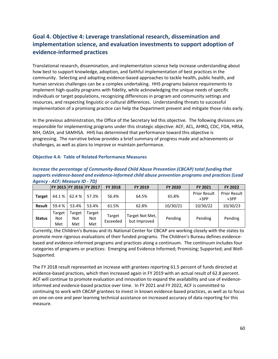# **Goal 4. Objective 4: Leverage translational research, dissemination and implementation science, and evaluation investments to support adoption of evidence-informed practices**

Translational research, dissemination, and implementation science help increase understanding about how best to support knowledge, adoption, and faithful implementation of best practices in the community. Selecting and adopting evidence-based approaches to tackle health, public health, and human services challenges can be a complex undertaking. HHS programs balance requirements to implement high-quality programs with fidelity, while acknowledging the unique needs of specific individuals or target populations, recognizing differences in program and community settings and resources, and respecting linguistic or cultural differences. Understanding threats to successful implementation of a promising practice can help the Department prevent and mitigate those risks early.

In the previous administration, the Office of the Secretary led this objective. The following divisions are responsible for implementing programs under this strategic objective: ACF, ACL, AHRQ, CDC, FDA, HRSA, NIH, OASH, and SAMHSA. HHS has determined that performance toward this objective is progressing. The narrative below provides a brief summary of progress made and achievements or challenges, as well as plans to improve or maintain performance.

# **Objective 4.4: Table of Related Performance Measures**

| Increase the percentage of Community-Based Child Abuse Prevention (CBCAP) total funding that      |  |  |                         |                |         |         |                |                |
|---------------------------------------------------------------------------------------------------|--|--|-------------------------|----------------|---------|---------|----------------|----------------|
| supports evidence-based and evidence-informed child abuse prevention programs and practices (Lead |  |  |                         |                |         |         |                |                |
| Agency - ACF: Measure ID - 7D)                                                                    |  |  |                         |                |         |         |                |                |
|                                                                                                   |  |  | FY 2015 FY 2016 FY 2017 | <b>FY 2018</b> | FY 2019 | FY 2020 | <b>FY 2021</b> | <b>FY 2022</b> |

|               |                      |                      | FY 2015 FY 2016 FY 2017 | <b>FY 2018</b>     | FY 2019                         | <b>FY 2020</b> | <b>FY 2021</b>                | FY 2022                |
|---------------|----------------------|----------------------|-------------------------|--------------------|---------------------------------|----------------|-------------------------------|------------------------|
| <b>Target</b> | 64.1%                | 62.4 %               | 57.3%                   | 56.4%              | 64.5%                           | 65.8%          | <b>Prior Result</b><br>$+3PP$ | Prior Result<br>$+3PP$ |
| Result        | 59.4 %               | 53.4%                | 53.4%                   | 61.5%              | 62.8%                           | 10/30/21       | 10/30/22                      | 10/30/23               |
| <b>Status</b> | Target<br>Not<br>Met | Target<br>Not<br>Met | Target<br>Not<br>Met    | Target<br>Exceeded | Target Not Met,<br>but Improved | Pending        | Pending                       | Pending                |

Currently, the Children's Bureau and its National Center for CBCAP are working closely with the states to promote more rigorous evaluations of their funded programs. The Children's Bureau defines evidencebased and evidence-informed programs and practices along a continuum. The continuum includes four categories of programs or practices: Emerging and Evidence Informed; Promising; Supported; and Well-Supported.

The FY 2018 result represented an increase with grantees reporting 61.5 percent of funds directed at evidence-based practices, which then increased again in FY 2019 with an actual result of 62.8 percent. ACF will continue to promote evaluation and innovation to expand the availability and use of evidenceinformed and evidence-based practice over time. In FY 2021 and FY 2022, ACF is committed to continuing to work with CBCAP grantees to invest in known evidence-based practices, as well as to focus on one-on-one and peer learning technical assistance on increased accuracy of data reporting for this measure.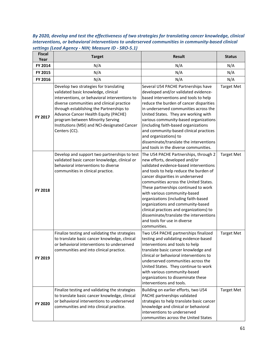*By 2020, develop and test the effectiveness of two strategies for translating cancer knowledge, clinical interventions, or behavioral interventions to underserved communities in community-based clinical settings (Lead Agency - NIH; Measure ID - SRO-5.1)*

| <b>Fiscal</b><br>Year | <b>Target</b>                                                                                                                                                                                                                                                                                                                                                        | <b>Result</b>                                                                                                                                                                                                                                                                                                                                                                                                                                                                                                                        | <b>Status</b>     |
|-----------------------|----------------------------------------------------------------------------------------------------------------------------------------------------------------------------------------------------------------------------------------------------------------------------------------------------------------------------------------------------------------------|--------------------------------------------------------------------------------------------------------------------------------------------------------------------------------------------------------------------------------------------------------------------------------------------------------------------------------------------------------------------------------------------------------------------------------------------------------------------------------------------------------------------------------------|-------------------|
| FY 2014               | N/A                                                                                                                                                                                                                                                                                                                                                                  | N/A                                                                                                                                                                                                                                                                                                                                                                                                                                                                                                                                  | N/A               |
| FY 2015               | N/A                                                                                                                                                                                                                                                                                                                                                                  | N/A                                                                                                                                                                                                                                                                                                                                                                                                                                                                                                                                  | N/A               |
| FY 2016               | N/A                                                                                                                                                                                                                                                                                                                                                                  | N/A                                                                                                                                                                                                                                                                                                                                                                                                                                                                                                                                  | N/A               |
| FY 2017               | Develop two strategies for translating<br>validated basic knowledge, clinical<br>interventions, or behavioral interventions to<br>diverse communities and clinical practice<br>through establishing the Partnerships to<br>Advance Cancer Health Equity (PACHE)<br>program between Minority Serving<br>Institutions (MSI) and NCI-designated Cancer<br>Centers (CC). | Several U54 PACHE Partnerships have<br>developed and/or validated evidence-<br>based interventions and tools to help<br>reduce the burden of cancer disparities<br>in underserved communities across the<br>United States. They are working with<br>various community-based organizations<br>(including faith-based organizations<br>and community-based clinical practices<br>and organizations) to<br>disseminate/translate the interventions<br>and tools in the diverse communities.                                             | <b>Target Met</b> |
| <b>FY 2018</b>        | Develop and support two partnerships to test<br>validated basic cancer knowledge, clinical or<br>behavioral interventions to diverse<br>communities in clinical practice.                                                                                                                                                                                            | The U54 PACHE Partnerships, through 2<br>new efforts, developed and/or<br>validated evidence-based interventions<br>and tools to help reduce the burden of<br>cancer disparities in underserved<br>communities across the United States.<br>These partnerships continued to work<br>with various community-based<br>organizations (including faith-based<br>organizations and community-based<br>clinical practices and organizations) to<br>disseminate/translate the interventions<br>and tools for use in diverse<br>communities. | <b>Target Met</b> |
| FY 2019               | Finalize testing and validating the strategies<br>to translate basic cancer knowledge, clinical<br>or behavioral interventions to underserved<br>communities and into clinical practice.                                                                                                                                                                             | Two U54 PACHE partnerships finalized<br>testing and validating evidence-based<br>interventions and tools to help<br>translate basic cancer knowledge and<br>clinical or behavioral interventions to<br>underserved communities across the<br>United States. They continue to work<br>with various community-based<br>organizations to disseminate these<br>interventions and tools.                                                                                                                                                  | <b>Target Met</b> |
| FY 2020               | Finalize testing and validating the strategies<br>to translate basic cancer knowledge, clinical<br>or behavioral interventions to underserved<br>communities and into clinical practice.                                                                                                                                                                             | Building on earlier efforts, two U54<br>PACHE partnerships validated<br>strategies to help translate basic cancer<br>knowledge and clinical or behavioral<br>interventions to underserved<br>communities across the United States                                                                                                                                                                                                                                                                                                    | <b>Target Met</b> |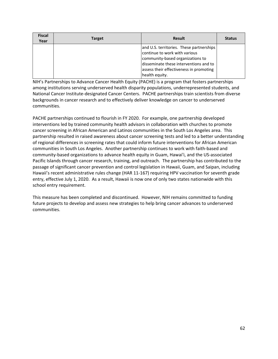| <b>Fiscal</b><br>Year | <b>Target</b> | <b>Result</b>                                                                                                                                                                                                        | <b>Status</b> |
|-----------------------|---------------|----------------------------------------------------------------------------------------------------------------------------------------------------------------------------------------------------------------------|---------------|
|                       |               | and U.S. territories. These partnerships<br>continue to work with various<br>community-based organizations to<br>disseminate these interventions and to<br>assess their effectiveness in promoting<br>health equity. |               |

NIH's Partnerships to Advance Cancer Health Equity (PACHE) is a program that fosters partnerships among institutions serving underserved health disparity populations, underrepresented students, and National Cancer Institute-designated Cancer Centers. PACHE partnerships train scientists from diverse backgrounds in cancer research and to effectively deliver knowledge on cancer to underserved communities.

PACHE partnerships continued to flourish in FY 2020. For example, one partnership developed interventions led by trained community health advisors in collaboration with churches to promote cancer screening in African American and Latinos communities in the South Los Angeles area. This partnership resulted in raised awareness about cancer screening tests and led to a better understanding of regional differences in screening rates that could inform future interventions for African American communities in South Los Angeles. Another partnership continues to work with faith-based and community-based organizations to advance health equity in Guam, Hawai'i, and the US-associated Pacific Islands through cancer research, training, and outreach. The partnership has contributed to the passage of significant cancer prevention and control legislation in Hawaii, Guam, and Saipan, including Hawaii's recent administrative rules change (HAR 11-167) requiring HPV vaccination for seventh grade entry, effective July 1, 2020. As a result, Hawaii is now one of only two states nationwide with this school entry requirement.

This measure has been completed and discontinued. However, NIH remains committed to funding future projects to develop and assess new strategies to help bring cancer advances to underserved communities.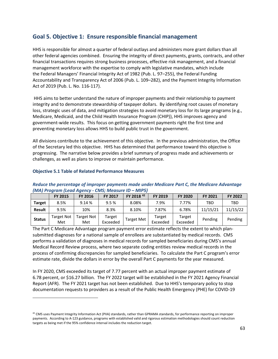# **Goal 5. Objective 1: Ensure responsible financial management**

HHS is responsible for almost a quarter of federal outlays and administers more grant dollars than all other federal agencies combined. Ensuring the integrity of direct payments, grants, contracts, and other financial transactions requires strong business processes, effective risk management, and a financial management workforce with the expertise to comply with legislative mandates, which include the Federal Managers' Financial Integrity Act of 1982 (Pub. L. 97–255), the Federal Funding Accountability and Transparency Act of 2006 (Pub. L. 109–282), and the Payment Integrity Information Act of 2019 (Pub. L. No. 116-117).

HHS aims to better understand the nature of improper payments and their relationship to payment integrity and to demonstrate stewardship of taxpayer dollars. By identifying root causes of monetary loss, strategic uses of data, and mitigation strategies to avoid monetary loss for its large programs (e.g., Medicare, Medicaid, and the Child Health Insurance Program (CHIP)), HHS improves agency and government-wide results. This focus on getting government payments right the first time and preventing monetary loss allows HHS to build public trust in the government.

All divisions contribute to the achievement of this objective. In the previous administration, the Office of the Secretary led this objective. HHS has determined that performance toward this objective is progressing. The narrative below provides a brief summary of progress made and achievements or challenges, as well as plans to improve or maintain performance.

#### **FY 2015 FY 2016 FY 2017 FY 2018 [42](#page-62-0) FY 2019 FY 2020 FY 2021 FY 2022 Target** | 8.5% | 9.14 % | 9.5 % | 8.08% | 7.9% | 7.77% | TBD | TBD **Result** 9.5% 10% 8.3% 8.10% 7.87% 6.78% 11/15/21 11/15/22 **Status** Target Not Met Target Not Met Target Target | Target Met | Target<br>Exceeded | Target Met | Exceeded Exceeded Target Exceeded Pending Pending

#### **Objective 5.1 Table of Related Performance Measures**

#### *Reduce the percentage of improper payments made under Medicare Part C, the Medicare Advantage (MA) Program (Lead Agency - CMS; Measure ID – MIP5)*

The Part C Medicare Advantage program payment error estimate reflects the extent to which plansubmitted diagnoses for a national sample of enrollees are substantiated by medical records. CMS performs a validation of diagnoses in medical records for sampled beneficiaries during CMS's annual Medical Record Review process, where two separate coding entities review medical records in the process of confirming discrepancies for sampled beneficiaries. To calculate the Part C program's error estimate rate, divide the dollars in error by the overall Part C payments for the year measured.

In FY 2020, CMS exceeded its target of 7.77 percent with an actual improper payment estimate of 6.78 percent, or \$16.27 billion. The FY 2022 target will be established in the FY 2021 Agency Financial Report (AFR). The FY 2021 target has not been established. Due to HHS's temporary policy to stop documentation requests to providers as a result of the Public Health Emergency (PHE) for COVID-19

<span id="page-62-0"></span> $42$  CMS uses Payment Integrity Information Act (PIIA) standards, rather than GPRAMA standards, for performance reporting on improper payments. According to A-123 guidance, programs with established valid and rigorous estimation methodologies should count reduction targets as being met if the 95% confidence interval includes the reduction target.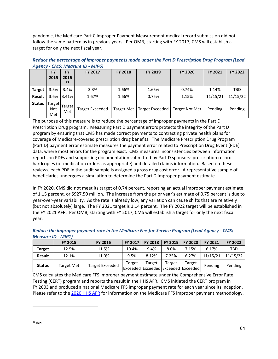pandemic, the Medicare Part C Improper Payment Measurement medical record submission did not follow the same pattern as in previous years. Per OMB, starting with FY 2017, CMS will establish a target for only the next fiscal year.

| $\sim$        |                      |                         |                        |                   |                 |                |                |            |
|---------------|----------------------|-------------------------|------------------------|-------------------|-----------------|----------------|----------------|------------|
|               | <b>FY</b><br>2015    | <b>FY</b><br>2016<br>43 | <b>FY 2017</b>         | <b>FY 2018</b>    | FY 2019         | <b>FY 2020</b> | <b>FY 2021</b> | FY 2022    |
| <b>Target</b> | 3.5%                 | 3.4%                    | 3.3%                   | 1.66%             | 1.65%           | 0.74%          | 1.14%          | <b>TBD</b> |
| <b>Result</b> | 3.6%                 | 3.41%                   | 1.67%                  | 1.66%             | 0.75%           | 1.15%          | 11/15/21       | 11/15/22   |
| <b>Status</b> | Target<br>Not<br>Met | Target<br>Met           | <b>Target Exceeded</b> | <b>Target Met</b> | Target Exceeded | Target Not Met | Pending        | Pending    |

*Reduce the percentage of improper payments made under the Part D Prescription Drug Program (Lead Agency - CMS; Measure ID - MIP6)*

The purpose of this measure is to reduce the percentage of improper payments in the Part D Prescription Drug program. Measuring Part D payment errors protects the integrity of the Part D program by ensuring that CMS has made correct payments to contracting private health plans for coverage of Medicare-covered prescription drug benefits. The Medicare Prescription Drug Program (Part D) payment error estimate measures the payment error related to Prescription Drug Event (PDE) data, where most errors for the program exist. CMS measures inconsistencies between information reports on PDEs and supporting documentation submitted by Part D sponsors: prescription record hardcopies (or medication orders as appropriate) and detailed claims information. Based on these reviews, each PDE in the audit sample is assigned a gross drug cost error. A representative sample of beneficiaries undergoes a simulation to determine the Part D improper payment estimate.

In FY 2020, CMS did not meet its target of 0.74 percent, reporting an actual improper payment estimate of 1.15 percent, or \$927.50 million. The increase from the prior year's estimate of 0.75 percent is due to year-over-year variability. As the rate is already low, any variation can cause shifts that are relatively (but not absolutely) large. The FY 2021 target is 1.14 percent. The FY 2022 target will be established in the FY 2021 AFR. Per OMB, starting with FY 2017, CMS will establish a target for only the next fiscal year.

|               | <b>FY 2015</b>    | <b>FY 2016</b>         | <b>FY 2017</b> | <b>FY 2018</b>                                        | FY 2019 | <b>FY 2020</b> | <b>FY 2021</b> | <b>FY 2022</b> |
|---------------|-------------------|------------------------|----------------|-------------------------------------------------------|---------|----------------|----------------|----------------|
| <b>Target</b> | 12.5%             | 11.5%                  | 10.4%          | 9.4%                                                  | 8.0%    | 7.15%          | 6.17%          | TBD            |
| Result        | 12.1%             | 11.0%                  | 9.5%           | 8.12%                                                 | 7.25%   | 6.27%          | 11/15/21       | 11/15/22       |
| <b>Status</b> | <b>Target Met</b> | <b>Target Exceeded</b> | Target         | Target<br>  Exceeded   Exceeded   Exceeded   Exceeded | Target  | Target         | Pending        | Pending        |

| Reduce the improper payment rate in the Medicare Fee-for-Service Program (Lead Agency - CMS; |  |
|----------------------------------------------------------------------------------------------|--|
| Measure ID - MIP1)                                                                           |  |

<span id="page-63-0"></span>CMS calculates the Medicare FFS improper payment estimate under the Comprehensive Error Rate Testing (CERT) program and reports the result in the HHS AFR. CMS initiated the CERT program in FY 2003 and produced a national Medicare FFS improper payment rate for each year since its inception. Please refer to the [2020 HHS AFR](https://www.hhs.gov/sites/default/files/fy-2020-hhs-agency-financial-report.pdf) for information on the Medicare FFS improper payment methodology.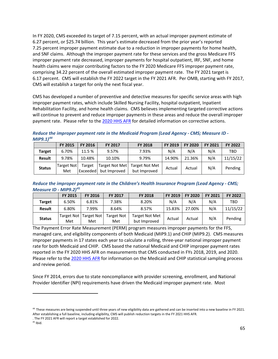In FY 2020, CMS exceeded its target of 7.15 percent, with an actual improper payment estimate of 6.27 percent, or \$25.74 billion. This year's estimate decreased from the prior year's reported 7.25 percent improper payment estimate due to a reduction in improper payments for home health, and SNF claims. Although the improper payment rate for these services and the gross Medicare FFS improper payment rate decreased, improper payments for hospital outpatient, IRF, SNF, and home health claims were major contributing factors to the FY 2020 Medicare FFS improper payment rate, comprising 34.22 percent of the overall estimated improper payment rate. The FY 2021 target is 6.17 percent. CMS will establish the FY 2022 target in the FY 2021 AFR. Per OMB, starting with FY 2017, CMS will establish a target for only the next fiscal year.

CMS has developed a number of preventive and detective measures for specific service areas with high improper payment rates, which include Skilled Nursing Facility, hospital outpatient, Inpatient Rehabilitation Facility, and home health claims. CMS believes implementing targeted corrective actions will continue to prevent and reduce improper payments in these areas and reduce the overall improper payment rate. Please refer to the [2020 HHS AFR](https://www.hhs.gov/sites/default/files/fy-2020-hhs-agency-financial-report.pdf) for detailed information on corrective actions.

*Reduce the improper payment rate in the Medicaid Program (Lead Agency - CMS; Measure ID - MIP9.1)[44](#page-64-0)*

|               | <b>FY 2015</b>    | <b>FY 2016</b>      | <b>FY 2017</b>                 | <b>FY 2018</b>                        | <b>FY 2019</b> | <b>FY 2020</b> | <b>FY 2021</b> | FY 2022  |
|---------------|-------------------|---------------------|--------------------------------|---------------------------------------|----------------|----------------|----------------|----------|
| Target        | 6.70%             | 11.5 %              | 9.57%                          | 7.93%                                 | N/A            | N/A            | N/A            | TBD      |
| <b>Result</b> | 9.78%             | 10.48%              | 10.10%                         | 9.79%                                 | 14.90%         | 21.36%         | N/A            | 11/15/22 |
| <b>Status</b> | Target Not<br>Met | Target<br> Exceeded | Target Not Met<br>but Improved | <b>Target Not Met</b><br>but Improved | Actual         | Actual         | N/A            | Pending  |

*Reduce the improper payment rate in the Children's Health Insurance Program (Lead Agency - CMS; Measure ID - MIP9.2)[45](#page-64-1)*

|               | <b>FY 2015</b> | <b>FY 2016</b>                   | <b>FY 2017</b>           | <b>FY 2018</b>                        | <b>FY 2019</b> | <b>FY 2020</b> | <b>FY 2021</b> | <b>FY 2022</b> |
|---------------|----------------|----------------------------------|--------------------------|---------------------------------------|----------------|----------------|----------------|----------------|
| <b>Target</b> | 6.50%          | 6.81%                            | 7.38%                    | 8.20%                                 | N/A            | N/A            | N/A            | TBD            |
| <b>Result</b> | 6.80%          | 7.99%                            | 8.64%                    | 8.57%                                 | 15.83%         | 27.00%         | N/A            | 11/15/22       |
| <b>Status</b> | Met            | Target Not   Target Not  <br>Met | <b>Target Not</b><br>Met | <b>Target Not Met</b><br>but Improved | Actual         | Actual         | N/A            | Pending        |

The Payment Error Rate Measurement (PERM) program measures improper payments for the FFS, managed care, and eligibility components of both Medicaid (MIP9.1) and CHIP (MIP9.2). CMS measures improper payments in 17 states each year to calculate a rolling, three-year national improper payment rate for both Medicaid and CHIP. CMS based the national Medicaid and CHIP improper payment rates reported in the FY 2020 HHS AFR on measurements that CMS conducted in FYs 2018, 2019, and 2020. Please refer to the [2020 HHS AFR](https://www.hhs.gov/sites/default/files/fy-2020-hhs-agency-financial-report.pdf) for information on the Medicaid and CHIP statistical sampling process and review period.

Since FY 2014, errors due to state noncompliance with provider screening, enrollment, and National Provider Identifier (NPI) requirements have driven the Medicaid improper payment rate. Most

<span id="page-64-0"></span><sup>&</sup>lt;sup>44</sup> These measures are being suspended until three years of new eligibility data are gathered and can be inserted into a new baseline in FY 2021. After establishing a full baseline, including eligibility, CMS will publish reduction targets in the FY 2021 HHS AFR.

<sup>.</sup> The FY 2021 AFR will report a target established for 2022.

<span id="page-64-1"></span> $45$  Ibid.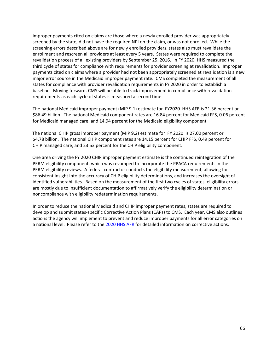improper payments cited on claims are those where a newly enrolled provider was appropriately screened by the state, did not have the required NPI on the claim, or was not enrolled. While the screening errors described above are for newly enrolled providers, states also must revalidate the enrollment and rescreen all providers at least every 5 years. States were required to complete the revalidation process of all existing providers by September 25, 2016. In FY 2020, HHS measured the third cycle of states for compliance with requirements for provider screening at revalidation. Improper payments cited on claims where a provider had not been appropriately screened at revalidation is a new major error source in the Medicaid improper payment rate. CMS completed the measurement of all states for compliance with provider revalidation requirements in FY 2020 in order to establish a baseline. Moving forward, CMS will be able to track improvement in compliance with revalidation requirements as each cycle of states is measured a second time.

The national Medicaid improper payment (MIP 9.1) estimate for FY2020 HHS AFR is 21.36 percent or \$86.49 billion. The national Medicaid component rates are 16.84 percent for Medicaid FFS, 0.06 percent for Medicaid managed care, and 14.94 percent for the Medicaid eligibility component.

The national CHIP gross improper payment (MIP 9.2) estimate for FY 2020 is 27.00 percent or \$4.78 billion. The national CHIP component rates are 14.15 percent for CHIP FFS, 0.49 percent for CHIP managed care, and 23.53 percent for the CHIP eligibility component.

One area driving the FY 2020 CHIP improper payment estimate is the continued reintegration of the PERM eligibility component, which was revamped to incorporate the PPACA requirements in the PERM eligibility reviews. A federal contractor conducts the eligibility measurement, allowing for consistent insight into the accuracy of CHIP eligibility determinations, and increases the oversight of identified vulnerabilities. Based on the measurement of the first two cycles of states, eligibility errors are mostly due to insufficient documentation to affirmatively verify the eligibility determination or noncompliance with eligibility redetermination requirements.

In order to reduce the national Medicaid and CHIP improper payment rates, states are required to develop and submit states-specific Corrective Action Plans (CAPs) to CMS. Each year, CMS also outlines actions the agency will implement to prevent and reduce improper payments for all error categories on a national level. Please refer to the [2020 HHS AFR](https://www.hhs.gov/sites/default/files/fy-2020-hhs-agency-financial-report.pdf) for detailed information on corrective actions.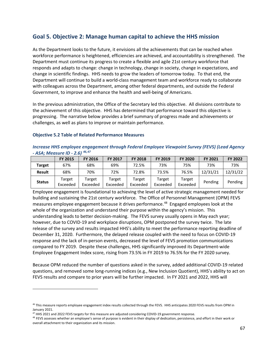# **Goal 5. Objective 2: Manage human capital to achieve the HHS mission**

As the Department looks to the future, it envisions all the achievements that can be reached when workforce performance is heightened, efficiencies are achieved, and accountability is strengthened. The Department must continue its progress to create a flexible and agile 21st century workforce that responds and adapts to change: change in technology, change in society, change in expectations, and change in scientific findings. HHS needs to grow the leaders of tomorrow today. To that end, the Department will continue to build a world-class management team and workforce ready to collaborate with colleagues across the Department, among other federal departments, and outside the Federal Government, to improve and enhance the health and well-being of Americans.

In the previous administration, the Office of the Secretary led this objective. All divisions contribute to the achievement of this objective. HHS has determined that performance toward this objective is progressing. The narrative below provides a brief summary of progress made and achievements or challenges, as well as plans to improve or maintain performance.

#### **Objective 5.2 Table of Related Performance Measures**

#### *Increase HHS employee engagement through Federal Employee Viewpoint Survey (FEVS) (Lead Agency - ASA; Measure ID - 2.6) [46](#page-66-0),[47](#page-66-1)*

|               | <b>FY 2015</b>     | <b>FY 2016</b>     | <b>FY 2017</b>     | <b>FY 2018</b>     | <b>FY 2019</b>     | <b>FY 2020</b>     | <b>FY 2021</b> | FY 2022  |
|---------------|--------------------|--------------------|--------------------|--------------------|--------------------|--------------------|----------------|----------|
| <b>Target</b> | 67%                | 68%                | 69%                | 72.5%              | 73%                | 75%                | 73%            | 73%      |
| <b>Result</b> | 68%                | 70%                | 72%                | 72.8%              | 73.5%              | 76.5%              | 12/31/21       | 12/31/22 |
| <b>Status</b> | Target<br>Exceeded | Target<br>Exceeded | Target<br>Exceeded | Target<br>Exceeded | Target<br>Exceeded | Target<br>Exceeded | Pending        | Pending  |

Employee engagement is foundational to achieving the level of active strategic management needed for building and sustaining the 21st century workforce. The Office of Personnel Management (OPM) FEVS measures employee engagement because it drives performance.<sup>48</sup> Engaged employees look at the whole of the organization and understand their purpose within the agency's mission. This understanding leads to better decision-making. The FEVS survey usually opens in May each year; however, due to COVID-19 and workplace disruptions, OPM postponed the survey twice. The late release of the survey and results impacted HHS's ability to meet the performance reporting deadline of December 31, 2020. Furthermore, the delayed release coupled with the need to focus on COVID-19 response and the lack of in-person events, decreased the level of FEVS promotion communications compared to FY 2019. Despite these challenges, HHS significantly improved its Department-wide Employee Engagement Index score, rising from 73.5% in FY 2019 to 76.5% for the FY 2020 survey.

Because OPM reduced the number of questions asked in the survey, added additional COVID-19 related questions, and removed some long-running indices (e.g., New Inclusion Quotient), HHS's ability to act on FEVS results and compare to prior years will be further impacted. In FY 2021 and 2022, HHS will

<span id="page-66-0"></span><sup>&</sup>lt;sup>46</sup> This measure reports employee engagement index results collected through the FEVS. HHS anticipates 2020 FEVS results from OPM in January 2021.

<span id="page-66-1"></span> $47$  HHS 2021 and 2022 FEVS targets for this measure are adjusted considering COVID-19 government response.

<span id="page-66-2"></span><sup>&</sup>lt;sup>48</sup> FEVS assesses whether an employee's sense of purpose is evident in their display of dedication, persistence, and effort in their work or overall attachment to their organization and its mission.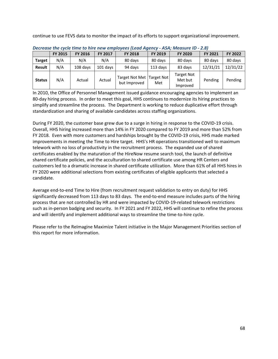continue to use FEVS data to monitor the impact of its efforts to support organizational improvement.

|               | <u>PUULUMUU UILU UPULU UIIILU UU IIILU UILIMIU PUUU ILUMMI IMUIIUP</u> |                |          |                                |                          |                                          |                |          |
|---------------|------------------------------------------------------------------------|----------------|----------|--------------------------------|--------------------------|------------------------------------------|----------------|----------|
|               | <b>FY 2015</b>                                                         | <b>FY 2016</b> | FY 2017  | <b>FY 2018</b>                 | FY 2019                  | <b>FY 2020</b>                           | <b>FY 2021</b> | FY 2022  |
| <b>Target</b> | N/A                                                                    | N/A            | N/A      | 80 days                        | 80 days                  | 80 days                                  | 80 days        | 80 days  |
| Result        | N/A                                                                    | 108 days       | 101 days | 94 days                        | 113 days                 | 83 days                                  | 12/31/21       | 12/31/22 |
| <b>Status</b> | N/A                                                                    | Actual         | Actual   | Target Not Met<br>but Improved | <b>Target Not</b><br>Met | <b>Target Not</b><br>Met but<br>Improved | Pending        | Pending  |

*Decrease the cycle time to hire new employees (Lead Agency - ASA; Measure ID - 2.8)*

In 2010, the Office of Personnel Management issued guidance encouraging agencies to implement an 80-day hiring process. In order to meet this goal, HHS continues to modernize its hiring practices to simplify and streamline the process. The Department is working to reduce duplicative effort through standardization and sharing of available candidates across staffing organizations.

During FY 2020, the customer base grew due to a surge in hiring in response to the COVID-19 crisis. Overall, HHS hiring increased more than 14% in FY 2020 compared to FY 2019 and more than 52% from FY 2018. Even with more customers and hardships brought by the COVID-19 crisis, HHS made marked improvements in meeting the Time to Hire target. HHS's HR operations transitioned well to maximum telework with no loss of productivity in the recruitment process. The expanded use of shared certificates enabled by the maturation of the HireNow resume search tool, the launch of definitive shared certificate policies, and the acculturation to shared certificate use among HR Centers and customers led to a dramatic increase in shared certificate utilization. More than 61% of all HHS hires in FY 2020 were additional selections from existing certificates of eligible applicants that selected a candidate.

Average end-to-end Time to Hire (from recruitment request validation to entry on duty) for HHS significantly decreased from 113 days to 83 days. The end-to-end measure includes parts of the hiring process that are not controlled by HR and were impacted by COVID-19-related telework restrictions such as in-person badging and security. In FY 2021 and FY 2022, HHS will continue to refine the process and will identify and implement additional ways to streamline the time-to-hire cycle.

Please refer to the ReImagine Maximize Talent initiative in the Major Management Priorities section of this report for more information.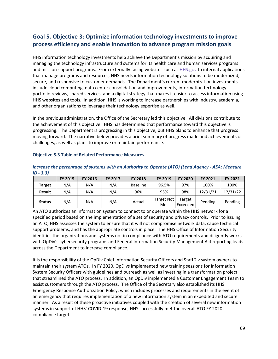# **Goal 5. Objective 3: Optimize information technology investments to improve process efficiency and enable innovation to advance program mission goals**

HHS information technology investments help achieve the Department's mission by acquiring and managing the technology infrastructure and systems for its health care and human services programs and mission-support programs. From externally facing websites such as [HHS.gov](http://www.hhs.gov/) to internal applications that manage programs and resources, HHS needs information technology solutions to be modernized, secure, and responsive to customer demands. The Department's current modernization investments include cloud computing, data center consolidation and improvements, information technology portfolio reviews, shared services, and a digital strategy that makes it easier to access information using HHS websites and tools. In addition, HHS is working to increase partnerships with industry, academia, and other organizations to leverage their technology expertise as well.

In the previous administration, the Office of the Secretary led this objective. All divisions contribute to the achievement of this objective. HHS has determined that performance toward this objective is progressing. The Department is progressing in this objective, but HHS plans to enhance that progress moving forward. The narrative below provides a brief summary of progress made and achievements or challenges, as well as plans to improve or maintain performance.

#### **FY 2015 FY 2016 FY 2017 FY 2018 FY 2019 FY 2020 FY 2021 FY 2022 Target** N/A N/A N/A Baseline 96.5% 97% 100% 100% **Result** N/A N/A N/A 96% 95% 98% 12/31/21 12/31/22 **Status** N/A N/A N/A Actual Target Not Met Target Exceeded Pending Pending

### **Objective 5.3 Table of Related Performance Measures**

### *Increase the percentage of systems with an [Authority to Operate](https://www.fedramp.gov/resources/faqs/what-is-an-authority-to-operate-ato/) (ATO) (Lead Agency - ASA; Measure ID - 3.3)*

An ATO authorizes an information system to connect to or operate within the HHS network for a specified period based on the implementation of a set of security and privacy controls. Prior to issuing an ATO, HHS assesses the system to ensure that it will not compromise network data, cause technical support problems, and has the appropriate controls in place. The HHS Office of Information Security identifies the organizations and systems not in compliance with ATO requirements and diligently works with OpDiv's cybersecurity programs and Federal Information Security Management Act reporting leads across the Department to increase compliance.

It is the responsibility of the OpDiv Chief Information Security Officers and StaffDiv system owners to maintain their system ATOs. In FY 2020, OpDivs implemented new training sessions for Information System Security Officers with guidelines and outreach as well as investing in a transformation project that streamlined the ATO process. In addition, an OpDiv implemented a Customer Engagement Team to assist customers through the ATO process. The Office of the Secretary also established its HHS Emergency Response Authorization Policy, which includes processes and requirements in the event of an emergency that requires implementation of a new information system in an expedited and secure manner. As a result of these proactive initiatives coupled with the creation of several new information systems in support of HHS' COVID-19 response, HHS successfully met the overall ATO FY 2020 compliance target.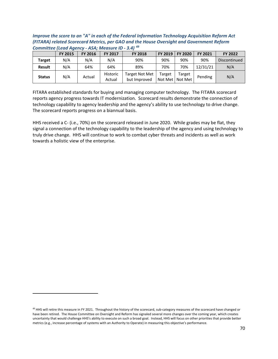*Improve the score to an "A" in each of the Federal Information Technology Acquisition Reform Act (FITARA) related Scorecard Metrics, per GAO and the House Oversight and Government Reform Committee (Lead Agency - ASA; Measure ID - 3.4) [49](#page-69-0)*

|               | <b>FY 2015</b> | <b>FY 2016</b> | <b>FY 2017</b>     | <b>FY 2018</b>                 | FY 2019           | <b>FY 2020</b>    | <b>FY 2021</b> | FY 2022      |
|---------------|----------------|----------------|--------------------|--------------------------------|-------------------|-------------------|----------------|--------------|
| <b>Target</b> | N/A            | N/A            | N/A                | 90%                            | 90%               | 90%               | 90%            | Discontinued |
| <b>Result</b> | N/A            | 64%            | 64%                | 89%                            | 70%               | 70%               | 12/31/21       | N/A          |
| <b>Status</b> | N/A            | Actual         | Historic<br>Actual | Target Not Met<br>but Improved | Target<br>Not Met | Target<br>Not Met | Pending        | N/A          |

FITARA established standards for buying and managing computer technology. The FITARA scorecard reports agency progress towards IT modernization. Scorecard results demonstrate the connection of technology capability to agency leadership and the agency's ability to use technology to drive change. The scorecard reports progress on a biannual basis.

HHS received a C- (i.e., 70%) on the scorecard released in June 2020. While grades may be flat, they signal a connection of the technology capability to the leadership of the agency and using technology to truly drive change. HHS will continue to work to combat cyber threats and incidents as well as work towards a holistic view of the enterprise.

<span id="page-69-0"></span><sup>&</sup>lt;sup>49</sup> HHS will retire this measure in FY 2021. Throughout the history of the scorecard, sub-category measures of the scorecard have changed or have been retired. The House Committee on Oversight and Reform has signaled several more changes over the coming year, which creates uncertainty that would challenge HHS's ability to execute on such a broad goal. Instead, HHS will focus on other priorities that provide better metrics (e.g., increase percentage of systems with an Authority to Operate) in measuring this objective's performance.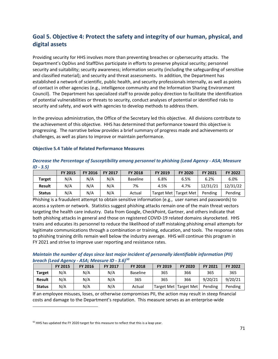# **Goal 5. Objective 4: Protect the safety and integrity of our human, physical, and digital assets**

Providing security for HHS involves more than preventing breaches or cybersecurity attacks. The Department's OpDivs and StaffDivs participate in efforts to preserve physical security; personnel security and suitability; security awareness; information security (including the safeguarding of sensitive and classified material); and security and threat assessments. In addition, the Department has established a network of scientific, public health, and security professionals internally, as well as points of contact in other agencies (e.g., intelligence community and the Information Sharing Environment Council). The Department has specialized staff to provide policy direction to facilitate the identification of potential vulnerabilities or threats to security, conduct analyses of potential or identified risks to security and safety, and work with agencies to develop methods to address them.

In the previous administration, the Office of the Secretary led this objective. All divisions contribute to the achievement of this objective. HHS has determined that performance toward this objective is progressing. The narrative below provides a brief summary of progress made and achievements or challenges, as well as plans to improve or maintain performance.

#### **Objective 5.4 Table of Related Performance Measures**

| ID - 3.51     |                |                |                |                 |         |                         |                |                |
|---------------|----------------|----------------|----------------|-----------------|---------|-------------------------|----------------|----------------|
|               | <b>FY 2015</b> | <b>FY 2016</b> | <b>FY 2017</b> | <b>FY 2018</b>  | FY 2019 | <b>FY 2020</b>          | <b>FY 2021</b> | <b>FY 2022</b> |
| <b>Target</b> | N/A            | N/A            | N/A            | <b>Baseline</b> | 6.8%    | 6.5%                    | 6.2%           | 6.0%           |
| <b>Result</b> | N/A            | N/A            | N/A            | 7%              | 4.5%    | 4.7%                    | 12/31/21       | 12/31/22       |
| <b>Status</b> | N/A            | N/A            | N/A            | Actual          |         | Target Met   Target Met | Pending        | Pending        |

### *Decrease the Percentage of Susceptibility among personnel to phishing (Lead Agency - ASA; Measure ID - 3.5)*

Phishing is a fraudulent attempt to obtain sensitive information (e.g., user names and passwords) to access a system or network. Statistics suggest phishing attacks remain one of the main threat vectors targeting the health care industry. Data from Google, CheckPoint, Gartner, and others indicate that both phishing attacks in general and those on registered COVID-19 related domains skyrocketed. HHS trains and educates its personnel to reduce the likelihood of staff mistaking phishing email attempts for legitimate communications through a combination or training, education, and tools. The response rates to phishing training drills remain well below the industry average. HHS will continue this program in FY 2021 and strive to improve user reporting and resistance rates.

### *Maintain the number of days since last major incident of personally identifiable information (PII) breach (Lead Agency - ASA; Measure ID - 3.6)[50](#page-70-0)*

|               | <b>FY 2015</b> | <b>FY 2016</b> | <b>FY 2017</b> | <b>FY 2018</b>  | <b>FY 2019</b> | <b>FY 2020</b>          | <b>FY 2021</b> | <b>FY 2022</b> |
|---------------|----------------|----------------|----------------|-----------------|----------------|-------------------------|----------------|----------------|
| Target        | N/A            | N/A            | N/A            | <b>Baseline</b> | 365            | 366                     | 365            | 365            |
| <b>Result</b> | N/A            | N/A            | N/A            | 365             | 365            | 366                     | 9/20/21        | 9/20/21        |
| <b>Status</b> | N/A            | N/A            | N/A            | Actual          |                | Target Met   Target Met | Pending        | Pending        |

If an employee misuses, loses, or otherwise compromises PII, the action may result in steep financial costs and damage to the Department's reputation. This measure serves as an enterprise-wide

<span id="page-70-0"></span> $50$  HHS has updated the FY 2020 target for this measure to reflect that this is a leap year.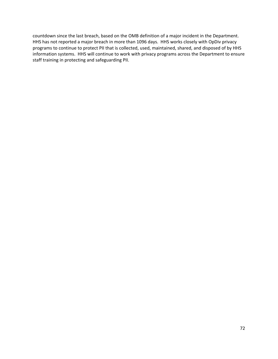countdown since the last breach, based on the OMB definition of a major incident in the Department. HHS has not reported a major breach in more than 1096 days. HHS works closely with OpDiv privacy programs to continue to protect PII that is collected, used, maintained, shared, and disposed of by HHS information systems. HHS will continue to work with privacy programs across the Department to ensure staff training in protecting and safeguarding PII.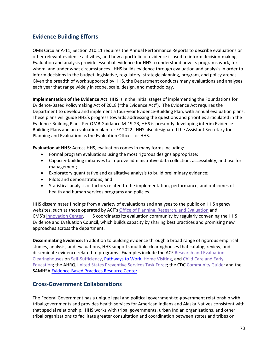# **Evidence Building Efforts**

OMB Circular A-11, Section 210.11 requires the Annual Performance Reports to describe evaluations or other relevant evidence activities, and how a portfolio of evidence is used to inform decision-making. Evaluation and analysis provide essential evidence for HHS to understand how its programs work, for whom, and under what circumstances. HHS builds evidence through evaluation and analysis in order to inform decisions in the budget, legislative, regulatory, strategic planning, program, and policy arenas. Given the breadth of work supported by HHS, the Department conducts many evaluations and analyses each year that range widely in scope, scale, design, and methodology.

**Implementation of the Evidence Act:** HHS is in the initial stages of implementing the Foundations for Evidence-Based Policymaking Act of 2018 ("the Evidence Act"). The Evidence Act requires the Department to develop and implement a four-year Evidence-Building Plan, with annual evaluation plans. These plans will guide HHS's progress towards addressing the questions and priorities articulated in the Evidence-Building Plan. Per OMB Guidance M-19-23, HHS is presently developing interim Evidence-Building Plans and an evaluation plan for FY 2022. HHS also designated the Assistant Secretary for Planning and Evaluation as the Evaluation Officer for HHS.

**Evaluation at HHS:** Across HHS, evaluation comes in many forms including:

- Formal program evaluations using the most rigorous designs appropriate;
- Capacity-building initiatives to improve administrative data collection, accessibility, and use for management;
- Exploratory quantitative and qualitative analysis to build preliminary evidence;
- Pilots and demonstrations; and
- Statistical analysis of factors related to the implementation, performance, and outcomes of health and human services programs and policies.

HHS disseminates findings from a variety of evaluations and analyses to the public on HHS agency websites, such as those operated by ACF's [Office of Planning, Research, and Evaluation](https://www.acf.hhs.gov/opre) and CMS's [Innovation Center.](https://innovation.cms.gov/data-and-reports) HHS coordinates its evaluation community by regularly convening the HHS Evidence and Evaluation Council, which builds capacity by sharing best practices and promising new approaches across the department.

**Disseminating Evidence:** In addition to building evidence through a broad range of rigorous empirical studies, analysis, and evaluations, HHS supports multiple clearinghouses that catalog, review, and disseminate evidence related to programs. Examples include the ACF Research and Evaluation [Clearinghouses](https://www.acf.hhs.gov/opre/research-and-evaluation-clearinghouses) on [Self-Sufficiency,](https://www.opressrc.org/) [Pathways to Work,](https://pathwaystowork.acf.hhs.gov/) [Home Visiting,](http://homvee.acf.hhs.gov/) and [Child Care and Early](http://www.researchconnections.org/childcare/welcome)  [Education;](http://www.researchconnections.org/childcare/welcome) the AHRQ [United States Preventive Services Task Force;](https://www.ahrq.gov/professionals/clinicians-providers/guidelines-recommendations/uspstf/index.html) the CDC [Community Guide;](https://www.thecommunityguide.org/) and the SAMHS[A Evidence-Based Practices Resource Center.](https://www.samhsa.gov/ebp-resource-center)

# **Cross-Government Collaborations**

The Federal Government has a unique legal and political government-to-government relationship with tribal governments and provides health services for American Indians and Alaska Natives consistent with that special relationship. HHS works with tribal governments, urban Indian organizations, and other tribal organizations to facilitate greater consultation and coordination between states and tribes on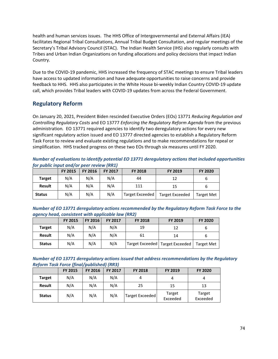health and human services issues. The HHS Office of Intergovernmental and External Affairs (IEA) facilitates Regional Tribal Consultations, Annual Tribal Budget Consultation, and regular meetings of the Secretary's Tribal Advisory Council (STAC). The Indian Health Service (IHS) also regularly consults with Tribes and Urban Indian Organizations on funding allocations and policy decisions that impact Indian Country.

Due to the COVID-19 pandemic, HHS increased the frequency of STAC meetings to ensure Tribal leaders have access to updated information and have adequate opportunities to raise concerns and provide feedback to HHS. HHS also participates in the White House bi-weekly Indian Country COVID-19 update call, which provides Tribal leaders with COVID-19 updates from across the Federal Government.

# **Regulatory Reform**

On January 20, 2021, President Biden rescinded Executive Orders (EOs) 13771 *Reducing Regulation and Controlling Regulatory Costs* and EO 13777 *Enforcing the Regulatory Reform Agenda* from the previous administration*.* EO 13771 required agencies to identify two deregulatory actions for every new significant regulatory action issued and EO 13777 directed agencies to establish a Regulatory Reform Task Force to review and evaluate existing regulations and to make recommendations for repeal or simplification. HHS tracked progress on these two EOs through six measures until FY 2020.

*Number of evaluations to identify potential EO 13771 deregulatory actions that included opportunities for public input and/or peer review (RR1)*

|               | <b>FY 2015</b> | <b>FY 2016</b> | <b>FY 2017</b> | <b>FY 2018</b>  | FY 2019                | <b>FY 2020</b>    |
|---------------|----------------|----------------|----------------|-----------------|------------------------|-------------------|
| <b>Target</b> | N/A            | N/A            | N/A            | 44              | 12                     | 6                 |
| <b>Result</b> | N/A            | N/A            | N/A            | 111             | 15                     | ь                 |
| <b>Status</b> | N/A            | N/A            | N/A            | Target Exceeded | <b>Target Exceeded</b> | <b>Target Met</b> |

| Number of EO 13771 deregulatory actions recommended by the Regulatory Reform Task Force to the |  |
|------------------------------------------------------------------------------------------------|--|
| agency head, consistent with applicable law (RR2)                                              |  |

|               | <b>FY 2015</b> | <b>FY 2016</b>   | <b>FY 2017</b> | <b>FY 2018</b> | FY 2019                           | <b>FY 2020</b>    |
|---------------|----------------|------------------|----------------|----------------|-----------------------------------|-------------------|
| <b>Target</b> | N/A            | N/A              | N/A            | 19             | 12                                | ь                 |
| <b>Result</b> | N/A            | N/A<br>N/A<br>61 |                |                | 14                                |                   |
| <b>Status</b> | N/A            | N/A              | N/A            |                | Target Exceeded   Target Exceeded | <b>Target Met</b> |

| Number of EO 13771 deregulatory actions issued that address recommendations by the Regulatory |  |
|-----------------------------------------------------------------------------------------------|--|
| <b>Reform Task Force (final/published) (RR3)</b>                                              |  |

|               | <b>FY 2015</b> | <b>FY 2016</b> | FY 2017 | <b>FY 2018</b>  | FY 2019            | <b>FY 2020</b>     |
|---------------|----------------|----------------|---------|-----------------|--------------------|--------------------|
| <b>Target</b> | N/A            | N/A            | N/A     |                 | 4                  | 4                  |
| <b>Result</b> | N/A            | N/A            | N/A     | 25              | 15                 | 13                 |
| <b>Status</b> | N/A            | N/A            | N/A     | Target Exceeded | Target<br>Exceeded | Target<br>Exceeded |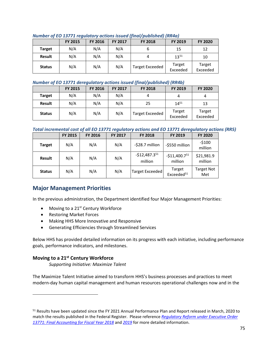<span id="page-74-0"></span>

| $1$ and $0$ and $0$ and $1$ are $1$ and $0$ are $0$ and $0$ and $0$ and $0$ and $0$ and $0$ and $0$ and $0$ and $0$ and $0$ and $0$ and $0$ and $0$ and $0$ and $0$ and $0$ and $0$ and $0$ and $0$ and $0$ and $0$ and $0$ a |                |                |                |                        |                    |                    |  |  |
|-------------------------------------------------------------------------------------------------------------------------------------------------------------------------------------------------------------------------------|----------------|----------------|----------------|------------------------|--------------------|--------------------|--|--|
|                                                                                                                                                                                                                               | <b>FY 2015</b> | <b>FY 2016</b> | <b>FY 2017</b> | <b>FY 2018</b>         | <b>FY 2019</b>     | <b>FY 2020</b>     |  |  |
| <b>Target</b>                                                                                                                                                                                                                 | N/A            | N/A            | N/A            |                        | 15                 | 12                 |  |  |
| <b>Result</b>                                                                                                                                                                                                                 | N/A            | N/A            | N/A            |                        | $13^{51}$          | 10                 |  |  |
| <b>Status</b>                                                                                                                                                                                                                 | N/A            | N/A            | N/A            | <b>Target Exceeded</b> | Target<br>Exceeded | Target<br>Exceeded |  |  |

#### *Number of EO 13771 regulatory actions issued (final/published) (RR4a)*

#### *Number of EO 13771 deregulatory actions issued (final/published) (RR4b)*

|               | <b>FY 2015</b> | <b>FY 2016</b> | <b>FY 2017</b> | <b>FY 2018</b>         | <b>FY 2019</b>     | <b>FY 2020</b>     |
|---------------|----------------|----------------|----------------|------------------------|--------------------|--------------------|
| <b>Target</b> | N/A            | N/A            | N/A            | 4                      |                    | 4                  |
| <b>Result</b> | N/A            | N/A            | N/A            | 25                     | $14^{51}$          | 13                 |
| <b>Status</b> | N/A            | N/A            | N/A            | <b>Target Exceeded</b> | Target<br>Exceeded | Target<br>Exceeded |

### *Total incremental cost of all EO 13771 regulatory actions and EO 13771 deregulatory actions (RR5)*

|               | <b>FY 2015</b> | <b>FY 2016</b> | <b>FY 2017</b> | <b>FY 2018</b>            | <b>FY 2019</b>                   | <b>FY 2020</b>           |
|---------------|----------------|----------------|----------------|---------------------------|----------------------------------|--------------------------|
| <b>Target</b> | N/A            | N/A            | N/A            | -\$28.7 million           | -\$550 million                   | $-5100$<br>million       |
| <b>Result</b> | N/A            | N/A            | N/A            | $-$12,487.351$<br>million | $-$11,400.751$<br>million        | \$21,981.9<br>million    |
| <b>Status</b> | N/A            | N/A            | N/A            | Target Exceeded           | Target<br>Exceeded <sup>51</sup> | <b>Target Not</b><br>Met |

## **Major Management Priorities**

In the previous administration, the Department identified four Major Management Priorities:

- Moving to a 21<sup>st</sup> Century Workforce
- Restoring Market Forces
- Making HHS More Innovative and Responsive
- Generating Efficiencies through Streamlined Services

Below HHS has provided detailed information on its progress with each initiative, including performance goals, performance indicators, and milestones.

## **Moving to a 21st Century Workforce**

*Supporting Initiative: Maximize Talent* 

The Maximize Talent Initiative aimed to transform HHS's business processes and practices to meet modern-day human capital management and human resources operational challenges now and in the

<span id="page-74-1"></span><sup>51</sup> Results have been updated since the FY 2021 Annual Performance Plan and Report released in March, 2020 to match the results published in the Federal Register. Please reference *[Regulatory Reform under Executive Order](https://www.reginfo.gov/public/pdf/eo13771/EO_13771_Final_Accounting_for_Fiscal_Year_2018.pdf)  [13771: Final Accounting for Fiscal Year 2018](https://www.reginfo.gov/public/pdf/eo13771/EO_13771_Final_Accounting_for_Fiscal_Year_2018.pdf)* and *[2019](https://www.reginfo.gov/public/pdf/eo13771/EO_13771_Final_Accounting_for_Fiscal_Year_2019.pdf)* for more detailed information.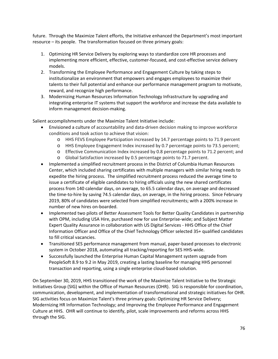future. Through the Maximize Talent efforts, the Initiative enhanced the Department's most important resource – its people. The transformation focused on three primary goals:

- 1. Optimizing HR Service Delivery by exploring ways to standardize core HR processes and implementing more efficient, effective, customer-focused, and cost-effective service delivery models.
- 2. Transforming the Employee Performance and Engagement Culture by taking steps to institutionalize an environment that empowers and engages employees to maximize their talents to their full potential and enhance our performance management program to motivate, reward, and recognize high performance.
- 3. Modernizing Human Resources Information Technology Infrastructure by upgrading and integrating enterprise IT systems that support the workforce and increase the data available to inform management decision-making.

Salient accomplishments under the Maximize Talent Initiative include:

- Envisioned a culture of accountability and data-driven decision making to improve workforce conditions and took action to achieve that vision:
	- o HHS FEVS Employee Participation increased by 14.7 percentage points to 71.9 percent
	- o HHS Employee Engagement Index increased by 0.7 percentage points to 73.5 percent;
	- o Effective Communication Index increased by 0.8 percentage points to 71.2 percent; and
	- o Global Satisfaction increased by 0.5 percentage points to 71.7 percent.
- Implemented a simplified recruitment process in the District of Columbia Human Resources Center, which included sharing certificates with multiple managers with similar hiring needs to expedite the hiring process. The simplified recruitment process reduced the average time to issue a certificate of eligible candidates to hiring officials using the new shared certificates process from 140 calendar days, on average, to 65.5 calendar days, on average and decreased the time-to-hire by saving 74.5 calendar days, on average, in the hiring process. Since February 2019, 80% of candidates were selected from simplified recruitments; with a 200% increase in number of new hires on-boarded.
- Implemented two pilots of Better Assessment Tools for Better Quality Candidates in partnership with OPM, including USA Hire, purchased now for use Enterprise-wide; and Subject Matter Expert Quality Assurance in collaboration with US Digital Services - HHS Office of the Chief Information Officer and Office of the Chief Technology Officer selected 35+ qualified candidates to fill critical vacancies.
- Transitioned SES performance management from manual, paper-based processes to electronic system in October 2018, automating all tracking/reporting for SES HHS-wide.
- Successfully launched the Enterprise Human Capital Management system upgrade from PeopleSoft 8.9 to 9.2 in May 2019, creating a lasting baseline for managing HHS personnel transaction and reporting, using a single enterprise cloud-based solution.

On September 30, 2019, HHS transitioned the work of the Maximize Talent Initiative to the Strategic Initiatives Group (SIG) within the Office of Human Resources (OHR). SIG is responsible for coordination, communication, development, and implementation of transformational and strategic initiatives for OHR. SIG activities focus on Maximize Talent's three primary goals: Optimizing HR Service Delivery; Modernizing HR Information Technology; and Improving the Employee Performance and Engagement Culture at HHS. OHR will continue to identify, pilot, scale improvements and reforms across HHS through the SIG.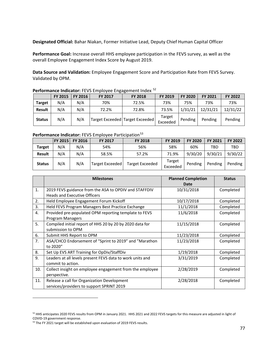**Designated Official:** Bahar Niakan, Former Initiative Lead, Deputy Chief Human Capital Officer

**Performance Goal:** Increase overall HHS employee participation in the FEVS survey, as well as the overall Employee Engagement Index Score by August 2019.

**Data Source and Validation:** Employee Engagement Score and Participation Rate from FEVS Survey. Validated by OPM.

|  |  | Performance Indicator: FEVS Employee Engagement Index <sup>52</sup> |  |
|--|--|---------------------------------------------------------------------|--|
|  |  |                                                                     |  |

|               | <b>FY 2015</b> | <b>FY 2016</b> | FY 2017 | <b>FY 2018</b>                  | FY 2019            | <b>FY 2020</b> | <b>FY 2021</b> | FY 2022  |
|---------------|----------------|----------------|---------|---------------------------------|--------------------|----------------|----------------|----------|
| <b>Target</b> | N/A            | N/A            | 70%     | 72.5%                           | 73%                | 75%            | 73%            | 73%      |
| Result        | N/A            | N/A            | 72.2%   | 72.8%                           | 73.5%              | 1/31/21        | 12/31/21       | 12/31/22 |
| <b>Status</b> | N/A            | N/A            |         | Target Exceeded Target Exceeded | Target<br>Exceeded | Pending        | Pending        | Pending  |

### Performance Indicator: FEVS Employee Participation<sup>[53](#page-76-1)</sup>

|               | <b>FY 2015</b> | <b>FY 2016</b> | <b>FY 2017</b>  | <b>FY 2018</b>         | <b>FY 2019</b>     | <b>FY 2020</b> | <b>FY 2021</b> | <b>FY 2022</b> |
|---------------|----------------|----------------|-----------------|------------------------|--------------------|----------------|----------------|----------------|
| Target        | N/A            | N/A            | 54%             | 56%                    | 58%                | 60%            | TBD            | <b>TBD</b>     |
| <b>Result</b> | N/A            | N/A            | 58.5%           | 57.2%                  | 71.9%              | 9/30/20        | 9/30/21        | 9/30/22        |
| <b>Status</b> | N/A            | N/A            | Target Exceeded | <b>Target Exceeded</b> | Target<br>Exceeded | Pending        | Pending        | Pending        |

|     | <b>Milestones</b>                                         | <b>Planned Completion</b> | <b>Status</b> |
|-----|-----------------------------------------------------------|---------------------------|---------------|
|     |                                                           | Date                      |               |
| 1.  | 2019 FEVS guidance from the ASA to OPDIV and STAFFDIV     | 10/31/2018                | Completed     |
|     | <b>Heads and Executive Officers</b>                       |                           |               |
| 2.  | Held Employee Engagement Forum Kickoff                    | 10/17/2018                | Completed     |
| 3.  | Held FEVS Program Managers Best Practice Exchange         | 11/1/2018                 | Completed     |
| 4.  | Provided pre-populated OPM reporting template to FEVS     | 11/6/2018                 | Completed     |
|     | Program Managers                                          |                           |               |
| 5.  | Compiled initial report of HHS 20 by 20 by 2020 data for  | 11/15/2018                | Completed     |
|     | submission to OPM                                         |                           |               |
| 6.  | Submit HHS Report to OPM                                  | 11/23/2018                | Completed     |
| 7.  | ASA/CHCO Endorsement of "Sprint to 2019" and "Marathon    | 11/23/2018                | Completed     |
|     | to 2020"                                                  |                           |               |
| 8.  | Set Up EVS ART Training for OpDiv/StaffDiv                | 1/19/2018                 | Completed     |
| 9.  | Leaders at all levels present FEVS data to work units and | 3/31/2019                 | Completed     |
|     | commit to action.                                         |                           |               |
| 10. | Collect insight on employee engagement from the employee  | 2/28/2019                 | Completed     |
|     | perspective.                                              |                           |               |
| 11. | Release a call for Organization Development               | 2/28/2018                 | Completed     |
|     | services/providers to support SPRINT 2019                 |                           |               |

<span id="page-76-0"></span><sup>&</sup>lt;sup>52</sup> HHS anticipates 2020 FEVS results from OPM in January 2021. HHS 2021 and 2022 FEVS targets for this measure are adjusted in light of COVID-19 government response.

<span id="page-76-1"></span><sup>&</sup>lt;sup>53</sup> The FY 2021 target will be established upon evaluation of 2019 FEVS results.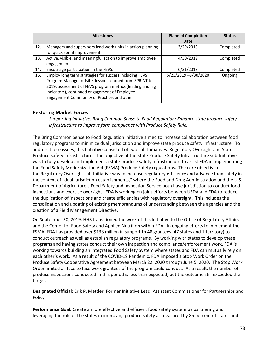|     | <b>Milestones</b>                                                                                                                                                                                                                                                              | <b>Planned Completion</b><br>Date | <b>Status</b> |
|-----|--------------------------------------------------------------------------------------------------------------------------------------------------------------------------------------------------------------------------------------------------------------------------------|-----------------------------------|---------------|
| 12. | Managers and supervisors lead work units in action planning<br>for quick sprint improvement.                                                                                                                                                                                   | 3/29/2019                         | Completed     |
| 13. | Active, visible, and meaningful action to improve employee<br>engagement.                                                                                                                                                                                                      | 4/30/2019                         | Completed     |
| 14. | Encourage participation in the FEVS.                                                                                                                                                                                                                                           | 6/21/2019                         | Completed     |
| 15. | Employ long term strategies for success including FEVS<br>Program Manager offsite, lessons learned from SPRINT to<br>2019, assessment of FEVS program metrics (leading and lag<br>indicators), continued engagement of Employee<br>Engagement Community of Practice, and other | 6/21/2019-8/30/2020               | Ongoing       |

## **Restoring Market Forces**

*Supporting Initiative: Bring Common Sense to Food Regulation; Enhance state produce safety infrastructure to improve farm compliance with Produce Safety Rule.*

The Bring Common Sense to Food Regulation Initiative aimed to increase collaboration between food regulatory programs to minimize dual jurisdiction and improve state produce safety infrastructure. To address these issues, this Initiative consisted of two sub-Initiatives: Regulatory Oversight and State Produce Safety Infrastructure. The objective of the State Produce Safety Infrastructure sub-Initiative was to fully develop and implement a state produce safety infrastructure to assist FDA in implementing the Food Safety Modernization Act (FSMA) Produce Safety regulations. The core objective of the Regulatory Oversight sub-Initiative was to increase regulatory efficiency and advance food safety in the context of "dual jurisdiction establishments," where the Food and Drug Administration and the U.S. Department of Agriculture's Food Safety and Inspection Service both have jurisdiction to conduct food inspections and exercise oversight. FDA is working on joint efforts between USDA and FDA to reduce the duplication of inspections and create efficiencies with regulatory oversight. This includes the consolidation and updating of existing memorandums of understanding between the agencies and the creation of a Field Management Directive.

On September 30, 2019, HHS transitioned the work of this Initiative to the Office of Regulatory Affairs and the Center for Food Safety and Applied Nutrition within FDA. In ongoing efforts to implement the FSMA, FDA has provided over \$133 million in support to 48 grantees (47 states and 1 territory) to conduct outreach as well as establish regulatory programs. By working with states to develop these programs and having states conduct their own inspection and compliance/enforcement work, FDA is working towards building an Integrated Food Safety System where states and FDA can mutually rely on each other's work. As a result of the COVID-19 Pandemic, FDA imposed a Stop Work Order on the Produce Safety Cooperative Agreement between March 22, 2020 through June 5, 2020. The Stop Work Order limited all face to face work grantees of the program could conduct. As a result, the number of produce inspections conducted in this period is less than expected, but the outcome still exceeded the target.

**Designated Official:** Erik P. Mettler, Former Initiative Lead, Assistant Commissioner for Partnerships and Policy

**Performance Goal:** Create a more effective and efficient food safety system by partnering and leveraging the role of the states in improving produce safety as measured by 85 percent of states and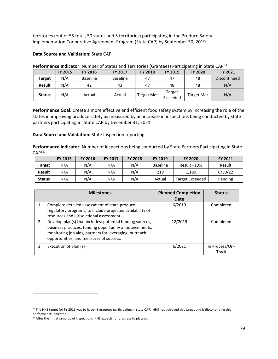territories (out of 55 total, 50 states and 5 territories) participating in the Produce Safety Implementation Cooperative Agreement Program (State CAP) by September 30, 2019.

#### **Data Source and Validation:** State CAP

|               | <b>FY 2015</b> | FY 2016         | <b>FY 2017</b> | <b>FY 2018</b>    | <b>FY 2019</b>     | <b>FY 2020</b>    | <b>FY 2021</b> |
|---------------|----------------|-----------------|----------------|-------------------|--------------------|-------------------|----------------|
| <b>Target</b> | N/A            | <b>Baseline</b> | Baseline       | 47                | 47                 | 48                | Discontinued   |
| <b>Result</b> | N/A            | 42              | 43             | 47                | 48                 | 48                | N/A            |
| <b>Status</b> | N/A            | Actual          | Actual         | <b>Target Met</b> | Target<br>Exceeded | <b>Target Met</b> | N/A            |

Performance Indicator: Number of States and Territories (Grantees) Participating in State CAP<sup>[54](#page-78-0)</sup>

**Performance Goal:** Create a more effective and efficient food safety system by increasing the role of the states in improving produce safety as measured by an increase in inspections being conducted by state partners participating in State CAP by December 31, 2021.

**Data Source and Validation:** State inspection reporting.

**Performance Indicator:** Number of Inspections being conducted by State Partners Participating in State CAP<sub>[55](#page-78-1)</sub>,

|               | <b>FY 2015</b> | <b>FY 2016</b> | <b>FY 2017</b> | <b>FY 2018</b> | <b>FY 2019</b>  | <b>FY 2020</b>  | <b>FY 2021</b> |
|---------------|----------------|----------------|----------------|----------------|-----------------|-----------------|----------------|
| <b>Target</b> | N/A            | N/A            | N/A            | N/A            | <b>Baseline</b> | Result +10%     | Result         |
| <b>Result</b> | N/A            | N/A            | N/A            | N/A            | 219             | 1.190           | 6/30/22        |
| <b>Status</b> | N/A            | N/A            | N/A            | N/A            | Actual          | Target Exceeded | Pending        |

|    | <b>Milestones</b>                                                                                                                                                                                                        | <b>Planned Completion</b><br>Date | <b>Status</b>           |
|----|--------------------------------------------------------------------------------------------------------------------------------------------------------------------------------------------------------------------------|-----------------------------------|-------------------------|
| 1. | Complete detailed assessment of state produce<br>regulatory programs, to include projected availability of<br>resources and jurisdictional assessment.                                                                   | 6/2019                            | Completed               |
| 2. | Develop plan(s) that includes: potential funding sources,<br>business practices, funding opportunity announcements,<br>monitoring job aids, partners for leveraging, outreach<br>opportunities, and measures of success. | 12/2019                           | Completed               |
| 3. | Execution of plan (s)                                                                                                                                                                                                    | 6/2021                            | In Process/On-<br>Track |

<span id="page-78-0"></span><sup>&</sup>lt;sup>54</sup> The HHS target for FY 2019 was to have 48 grantees participating in state CAP. HHS has achieved this target and is discontinuing this performance indicator.

<span id="page-78-1"></span><sup>&</sup>lt;sup>55</sup> After the initial ramp up of inspections, HHS expects for progress to plateau.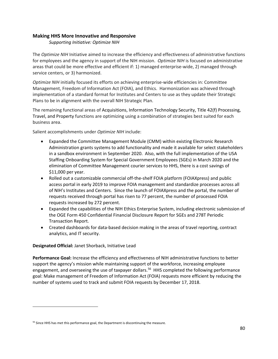### **Making HHS More Innovative and Responsive**

*Supporting Initiative: Optimize NIH*

The *Optimize NIH* Initiative aimed to increase the efficiency and effectiveness of administrative functions for employees and the agency in support of the NIH mission. *Optimize NIH* is focused on administrative areas that could be more effective and efficient if: 1) managed enterprise-wide, 2) managed through service centers, or 3) harmonized.

*Optimize NIH* initially focused its efforts on achieving enterprise-wide efficiencies in: Committee Management, Freedom of Information Act (FOIA), and Ethics. Harmonization was achieved through implementation of a standard format for Institutes and Centers to use as they update their Strategic Plans to be in alignment with the overall NIH Strategic Plan.

The remaining functional areas of Acquisitions, Information Technology Security, Title 42(f) Processing, Travel, and Property functions are optimizing using a combination of strategies best suited for each business area.

Salient accomplishments under *Optimize NIH* include:

- Expanded the Committee Management Module (CMM) within existing Electronic Research Administration grants systems to add functionality and made it available for select stakeholders in a sandbox environment in September 2020. Also, with the full implementation of the USA Staffing Onboarding System for Special Government Employees (SGEs) in March 2020 and the elimination of Committee Management courier services to HHS, there is a cost savings of \$11,000 per year.
- Rolled out a customizable commercial off-the-shelf FOIA platform (FOIAXpress) and public access portal in early 2019 to improve FOIA management and standardize processes across all of NIH's Institutes and Centers. Since the launch of FOIAXpress and the portal, the number of requests received through portal has risen to 77 percent, the number of processed FOIA requests increased by 272 percent.
- Expanded the capabilities of the NIH Ethics Enterprise System, including electronic submission of the OGE Form 450 Confidential Financial Disclosure Report for SGEs and 278T Periodic Transaction Report.
- Created dashboards for data-based decision making in the areas of travel reporting, contract analytics, and IT security.

## **Designated Official:** Janet Shorback, Initiative Lead

**Performance Goal:** Increase the efficiency and effectiveness of NIH administrative functions to better support the agency's mission while maintaining support of the workforce, increasing employee engagement, and overseeing the use of taxpayer dollars.<sup>[56](#page-79-0)</sup> HHS completed the following performance goal: Make management of Freedom of Information Act (FOIA) requests more efficient by reducing the number of systems used to track and submit FOIA requests by December 17, 2018.

<span id="page-79-0"></span><sup>&</sup>lt;sup>56</sup> Since HHS has met this performance goal, the Department is discontinuing the measure.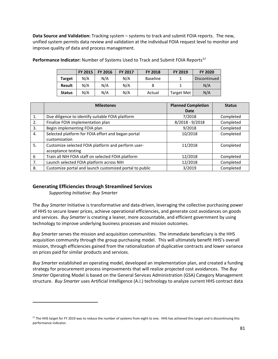**Data Source and Validation:** Tracking system – systems to track and submit FOIA reports. The new, unified system permits data review and validation at the individual FOIA request level to monitor and improve quality of data and process management.

|               | <b>FY 2015</b> | <b>FY 2016</b> | <b>FY 2017</b> | <b>FY 2018</b>  | <b>FY 2019</b>    | <b>FY 2020</b> |
|---------------|----------------|----------------|----------------|-----------------|-------------------|----------------|
| <b>Target</b> | N/A            | N/A            | N/A            | <b>Baseline</b> |                   | Discontinued   |
| <b>Result</b> | N/A            | N/A            | N/A            |                 |                   | N/A            |
| <b>Status</b> | N/A            | N/A            | N/A            | Actual          | <b>Target Met</b> | N/A            |

**Performance Indicator:** Number of Systems Used to Track and Submit FOIA Reports<sup>[57](#page-80-0)</sup>

|    | <b>Milestones</b>                                       | <b>Planned Completion</b><br>Date | <b>Status</b> |
|----|---------------------------------------------------------|-----------------------------------|---------------|
| 1. | Due diligence to identify suitable FOIA platform        | 7/2018                            | Completed     |
|    |                                                         |                                   |               |
| 2. | Finalize FOIA implementation plan                       | 8/2018 - 9/2018                   | Completed     |
| 3. | Begin implementing FOIA plan                            | 9/2018                            | Completed     |
| 4. | Selected platform for FOIA effort and began portal      | 10/2018                           | Completed     |
|    | customization                                           |                                   |               |
| 5. | Customize selected FOIA platform and perform user-      | 11/2018                           | Completed     |
|    | acceptance testing                                      |                                   |               |
| 6  | Train all NIH FOIA staff on selected FOIA platform      | 12/2018                           | Completed     |
| 7. | Launch selected FOIA platform across NIH                | 12/2018                           | Completed     |
| 8. | Customize portal and launch customized portal to public | 3/2019                            | Completed     |

#### **Generating Efficiencies through Streamlined Services**

*Supporting Initiative: Buy Smarter*

The *Buy Smarter* Initiative is transformative and data-driven, leveraging the collective purchasing power of HHS to secure lower prices, achieve operational efficiencies, and generate cost avoidances on goods and services. *Buy Smarter* is creating a leaner, more accountable, and efficient government by using technology to improve underlying business processes and mission outcomes.

*Buy Smarter* serves the mission and acquisition communities. The immediate beneficiary is the HHS acquisition community through the group purchasing model. This will ultimately benefit HHS's overall mission, through efficiencies gained from the rationalization of duplicative contracts and lower variance on prices paid for similar products and services.

*Buy Smarter* established an operating model, developed an implementation plan, and created a funding strategy for procurement process improvements that will realize projected cost avoidances. The *Buy Smarter* Operating Model is based on the General Services Administration (GSA) Category Management structure. *Buy Smarter* uses Artificial Intelligence (A.I.) technology to analyze current HHS contract data

<span id="page-80-0"></span><sup>&</sup>lt;sup>57</sup> The HHS target for FY 2019 was to reduce the number of systems from eight to one. HHS has achieved this target and is discontinuing this performance indicator.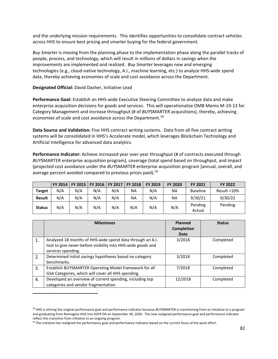and the underlying mission requirements. This identifies opportunities to consolidate contract vehicles across HHS to ensure best pricing and smarter buying for the federal government.

*Buy Smarter* is moving from the planning phase to the implementation phase along the parallel tracks of people, process, and technology, which will result in millions of dollars in savings when the improvements are implemented and realized. *Buy Smarter* leverages new and emerging technologies (e.g., cloud-native technology, A.I., machine learning, etc.) to analyze HHS-wide spend data, thereby achieving economies of scale and cost avoidance across the Department.

#### **Designated Official:** David Dasher, Initiative Lead

**Performance Goal:** Establish an HHS-wide Executive Steering Committee to analyze data and make enterprise acquisition decisions for goods and services. This will operationalize OMB Memo M-19-13 for Category Management and increase throughput (# of *BUY*SMARTER acquisitions), thereby, achieving economies of scale and cost avoidance across the Department.<sup>[58](#page-81-0)</sup>

**Data Source and Validation:** Five HHS contract writing systems. Data from all five contract writing systems will be consolidated in HHS's Accelerate model, which leverages Blockchain Technology and Artificial Intelligence for advanced data analytics.

**Performance Indicator:** Achieve increased year over year throughput (# of contracts executed through *BUY*SMARTER enterprise acquisition program), coverage (total spend based on throughput, and impact (projected cost avoidance under the *BUY*SMARTER enterprise acquisition program [annual, overall, and average percent avoided compared to previous prices paid).<sup>[59](#page-81-1)</sup>

|               |     |     | FY 2014   FY 2015   FY 2016   FY 2017   FY 2018 |     |     | FY 2019 | <b>FY 2020</b> | <b>FY 2021</b>    | FY 2022     |
|---------------|-----|-----|-------------------------------------------------|-----|-----|---------|----------------|-------------------|-------------|
| <b>Target</b> | N/A | N/A | N/A                                             | N/A | ΝA  | N/A     | ΝA             | <b>Baseline</b>   | Result +10% |
| <b>Result</b> | N/A | N/A | N/A                                             | N/A | NA  | N/A     | ΝA             | 9/30/21           | 9/30/22     |
| <b>Status</b> | N/A | N/A | N/A                                             | N/A | N/A | N/A     | N/A            | Pending<br>Actual | Pending     |

|    | <b>Milestones</b>                                                                                                                               | <b>Planned</b><br><b>Completion</b><br>Date | <b>Status</b> |
|----|-------------------------------------------------------------------------------------------------------------------------------------------------|---------------------------------------------|---------------|
| 1. | Analyzed 18 months of HHS-wide spend data through an A.I.<br>tool to give never-before visibility into HHS-wide goods and<br>services spending. | 3/2018                                      | Completed     |
| 2. | Determined initial savings hypotheses based on category<br>benchmarks.                                                                          | 3/2018                                      | Completed     |
| 3. | Establish BUYSMARTER Operating Model framework for all<br>GSA Categories, which will cover all HHS spending.                                    | 7/2018                                      | Completed     |
| 4. | Developed an overview of current spending, including top<br>categories and vendor fragmentation.                                                | 12/2018                                     | Completed     |

<span id="page-81-0"></span><sup>58</sup> HHS is retiring the original performance goal and performance indicator because *BUY*SMARTER is transitioning from an initiative to a program and graduating from ReImagine HHS into ASFR OA on September 30, 2020. The new realigned performance goal and performance indicator reflect this transition from initiative to an ongoing program.

<span id="page-81-1"></span><sup>&</sup>lt;sup>59</sup> The initiative has realigned the performance goal and performance indicator based on the current focus of the work effort.